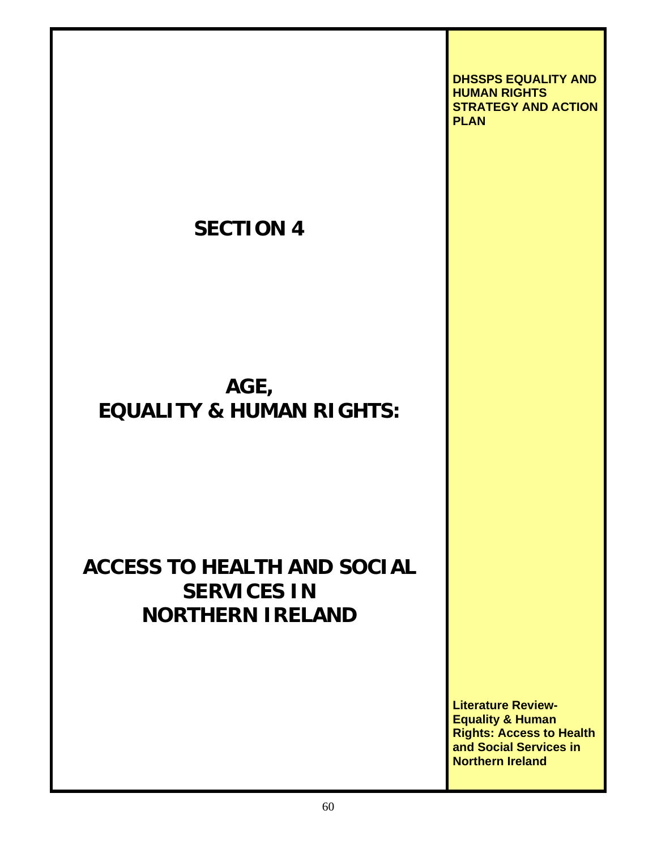**SECTION 4 AGE, EQUALITY & HUMAN RIGHTS: ACCESS TO HEALTH AND SOCIAL SERVICES IN NORTHERN IRELAND DHSSPS EQUALITY AND HUMAN RIGHTS STRATEGY AND ACTION PLAN Literature Review-Equality & Human Rights: Access to Health** 

60

**and Social Services in** 

**Northern Ireland**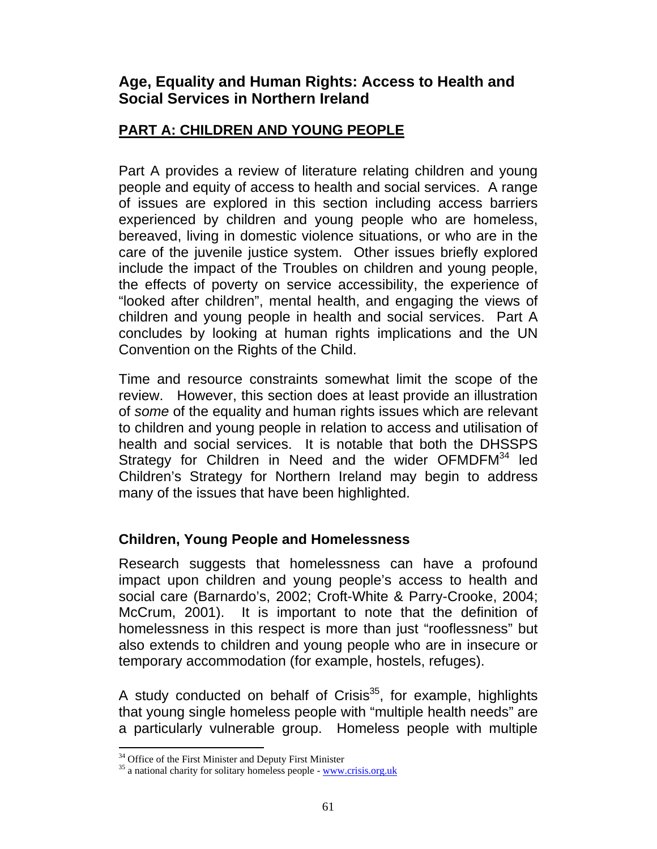## **Age, Equality and Human Rights: Access to Health and Social Services in Northern Ireland**

### **PART A: CHILDREN AND YOUNG PEOPLE**

Part A provides a review of literature relating children and young people and equity of access to health and social services. A range of issues are explored in this section including access barriers experienced by children and young people who are homeless, bereaved, living in domestic violence situations, or who are in the care of the juvenile justice system. Other issues briefly explored include the impact of the Troubles on children and young people, the effects of poverty on service accessibility, the experience of "looked after children", mental health, and engaging the views of children and young people in health and social services. Part A concludes by looking at human rights implications and the UN Convention on the Rights of the Child.

Time and resource constraints somewhat limit the scope of the review. However, this section does at least provide an illustration of *some* of the equality and human rights issues which are relevant to children and young people in relation to access and utilisation of health and social services. It is notable that both the DHSSPS Strategy for Children in Need and the wider OFMDFM<sup>34</sup> led Children's Strategy for Northern Ireland may begin to address many of the issues that have been highlighted.

### **Children, Young People and Homelessness**

Research suggests that homelessness can have a profound impact upon children and young people's access to health and social care (Barnardo's, 2002; Croft-White & Parry-Crooke, 2004; McCrum, 2001). It is important to note that the definition of homelessness in this respect is more than just "rooflessness" but also extends to children and young people who are in insecure or temporary accommodation (for example, hostels, refuges).

A study conducted on behalf of Crisis $35$ , for example, highlights that young single homeless people with "multiple health needs" are a particularly vulnerable group. Homeless people with multiple

l <sup>34</sup> Office of the First Minister and Deputy First Minister

 $35$  a national charity for solitary homeless people - www.crisis.org.uk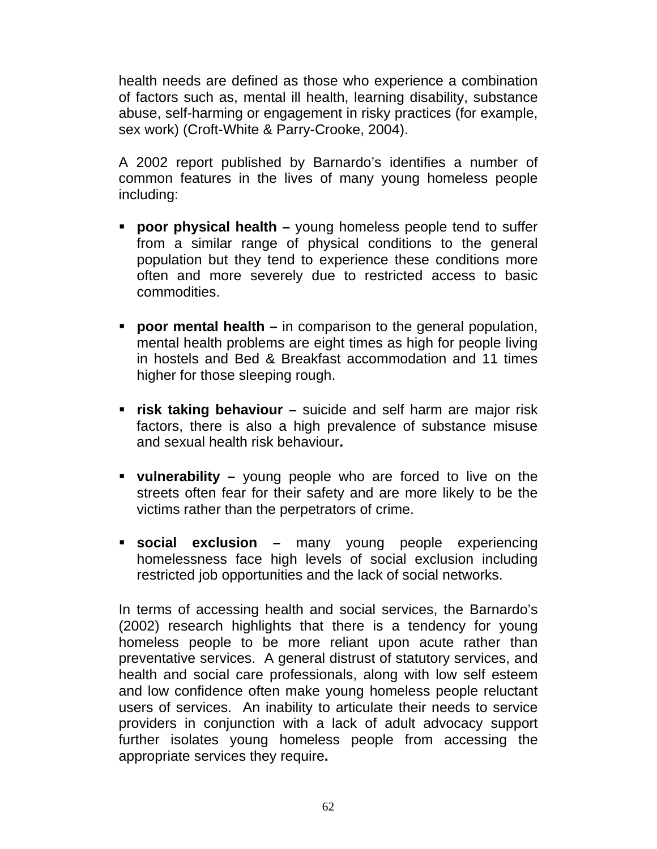health needs are defined as those who experience a combination of factors such as, mental ill health, learning disability, substance abuse, self-harming or engagement in risky practices (for example, sex work) (Croft-White & Parry-Crooke, 2004).

A 2002 report published by Barnardo's identifies a number of common features in the lives of many young homeless people including:

- **poor physical health** young homeless people tend to suffer from a similar range of physical conditions to the general population but they tend to experience these conditions more often and more severely due to restricted access to basic commodities.
- **poor mental health –** in comparison to the general population, mental health problems are eight times as high for people living in hostels and Bed & Breakfast accommodation and 11 times higher for those sleeping rough.
- **risk taking behaviour** suicide and self harm are major risk factors, there is also a high prevalence of substance misuse and sexual health risk behaviour**.**
- **vulnerability** young people who are forced to live on the streets often fear for their safety and are more likely to be the victims rather than the perpetrators of crime.
- **social exclusion** many young people experiencing homelessness face high levels of social exclusion including restricted job opportunities and the lack of social networks.

In terms of accessing health and social services, the Barnardo's (2002) research highlights that there is a tendency for young homeless people to be more reliant upon acute rather than preventative services. A general distrust of statutory services, and health and social care professionals, along with low self esteem and low confidence often make young homeless people reluctant users of services. An inability to articulate their needs to service providers in conjunction with a lack of adult advocacy support further isolates young homeless people from accessing the appropriate services they require**.**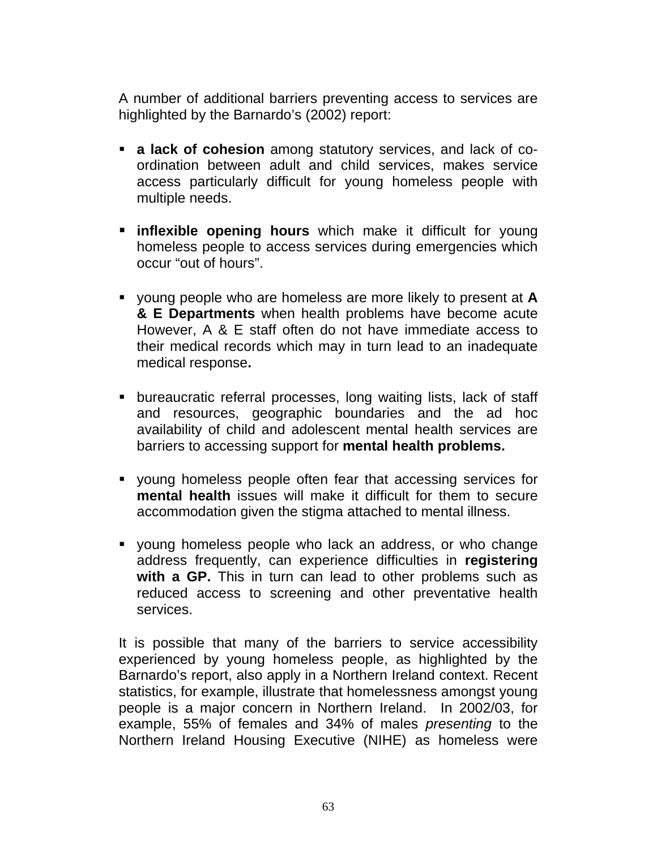A number of additional barriers preventing access to services are highlighted by the Barnardo's (2002) report:

- **a lack of cohesion** among statutory services, and lack of coordination between adult and child services, makes service access particularly difficult for young homeless people with multiple needs.
- **inflexible opening hours** which make it difficult for young homeless people to access services during emergencies which occur "out of hours".
- young people who are homeless are more likely to present at **A & E Departments** when health problems have become acute However, A & E staff often do not have immediate access to their medical records which may in turn lead to an inadequate medical response**.**
- bureaucratic referral processes, long waiting lists, lack of staff and resources, geographic boundaries and the ad hoc availability of child and adolescent mental health services are barriers to accessing support for **mental health problems.**
- young homeless people often fear that accessing services for **mental health** issues will make it difficult for them to secure accommodation given the stigma attached to mental illness.
- young homeless people who lack an address, or who change address frequently, can experience difficulties in **registering**  with a GP. This in turn can lead to other problems such as reduced access to screening and other preventative health services.

It is possible that many of the barriers to service accessibility experienced by young homeless people, as highlighted by the Barnardo's report, also apply in a Northern Ireland context. Recent statistics, for example, illustrate that homelessness amongst young people is a major concern in Northern Ireland. In 2002/03, for example, 55% of females and 34% of males *presenting* to the Northern Ireland Housing Executive (NIHE) as homeless were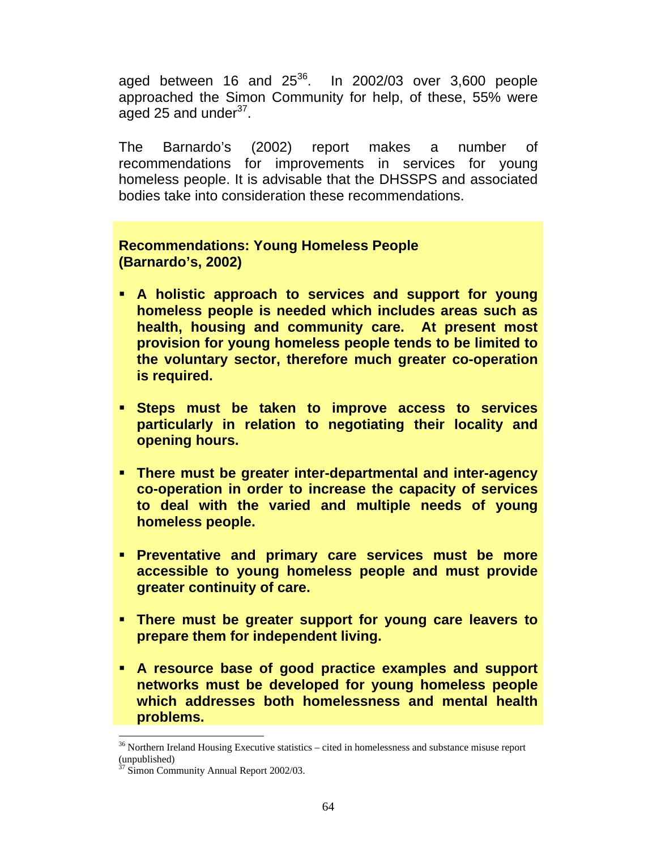aged between 16 and  $25^{36}$ . In 2002/03 over 3,600 people approached the Simon Community for help, of these, 55% were aged 25 and under $37$ .

The Barnardo's (2002) report makes a number of recommendations for improvements in services for young homeless people. It is advisable that the DHSSPS and associated bodies take into consideration these recommendations.

### **Recommendations: Young Homeless People (Barnardo's, 2002)**

- **A holistic approach to services and support for young homeless people is needed which includes areas such as health, housing and community care. At present most provision for young homeless people tends to be limited to the voluntary sector, therefore much greater co-operation is required.**
- **Steps must be taken to improve access to services particularly in relation to negotiating their locality and opening hours.**
- **There must be greater inter-departmental and inter-agency co-operation in order to increase the capacity of services to deal with the varied and multiple needs of young homeless people.**
- **Preventative and primary care services must be more accessible to young homeless people and must provide greater continuity of care.**
- **There must be greater support for young care leavers to prepare them for independent living.**
- **A resource base of good practice examples and support networks must be developed for young homeless people which addresses both homelessness and mental health problems.**

 $\overline{a}$ 

 $36$  Northern Ireland Housing Executive statistics – cited in homelessness and substance misuse report (unpublished)

<sup>&</sup>lt;sup>7</sup> Simon Community Annual Report 2002/03.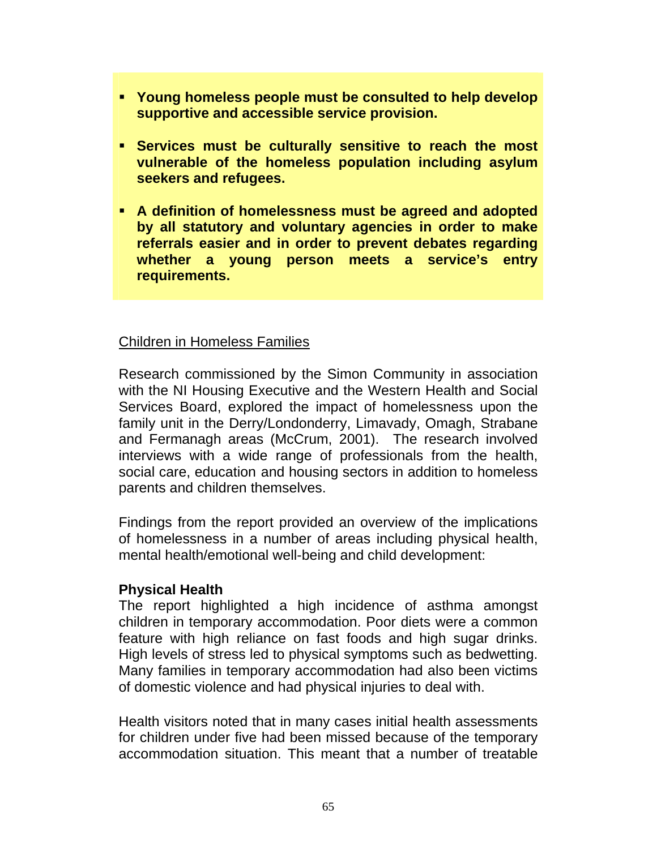- **Young homeless people must be consulted to help develop supportive and accessible service provision.**
- **Services must be culturally sensitive to reach the most vulnerable of the homeless population including asylum seekers and refugees.**
- **A definition of homelessness must be agreed and adopted by all statutory and voluntary agencies in order to make referrals easier and in order to prevent debates regarding whether a young person meets a service's entry requirements.**

#### Children in Homeless Families

Research commissioned by the Simon Community in association with the NI Housing Executive and the Western Health and Social Services Board, explored the impact of homelessness upon the family unit in the Derry/Londonderry, Limavady, Omagh, Strabane and Fermanagh areas (McCrum, 2001). The research involved interviews with a wide range of professionals from the health, social care, education and housing sectors in addition to homeless parents and children themselves.

Findings from the report provided an overview of the implications of homelessness in a number of areas including physical health, mental health/emotional well-being and child development:

#### **Physical Health**

The report highlighted a high incidence of asthma amongst children in temporary accommodation. Poor diets were a common feature with high reliance on fast foods and high sugar drinks. High levels of stress led to physical symptoms such as bedwetting. Many families in temporary accommodation had also been victims of domestic violence and had physical injuries to deal with.

Health visitors noted that in many cases initial health assessments for children under five had been missed because of the temporary accommodation situation. This meant that a number of treatable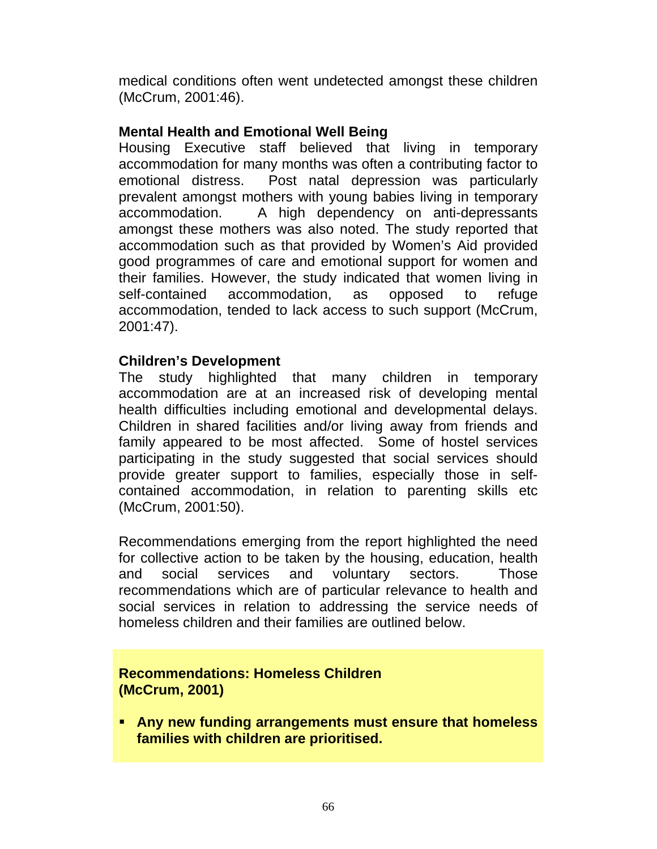medical conditions often went undetected amongst these children (McCrum, 2001:46).

### **Mental Health and Emotional Well Being**

Housing Executive staff believed that living in temporary accommodation for many months was often a contributing factor to emotional distress. Post natal depression was particularly prevalent amongst mothers with young babies living in temporary accommodation. A high dependency on anti-depressants amongst these mothers was also noted. The study reported that accommodation such as that provided by Women's Aid provided good programmes of care and emotional support for women and their families. However, the study indicated that women living in self-contained accommodation, as opposed to refuge accommodation, tended to lack access to such support (McCrum, 2001:47).

#### **Children's Development**

The study highlighted that many children in temporary accommodation are at an increased risk of developing mental health difficulties including emotional and developmental delays. Children in shared facilities and/or living away from friends and family appeared to be most affected. Some of hostel services participating in the study suggested that social services should provide greater support to families, especially those in selfcontained accommodation, in relation to parenting skills etc (McCrum, 2001:50).

Recommendations emerging from the report highlighted the need for collective action to be taken by the housing, education, health and social services and voluntary sectors. Those recommendations which are of particular relevance to health and social services in relation to addressing the service needs of homeless children and their families are outlined below.

#### **Recommendations: Homeless Children (McCrum, 2001)**

 **Any new funding arrangements must ensure that homeless families with children are prioritised.**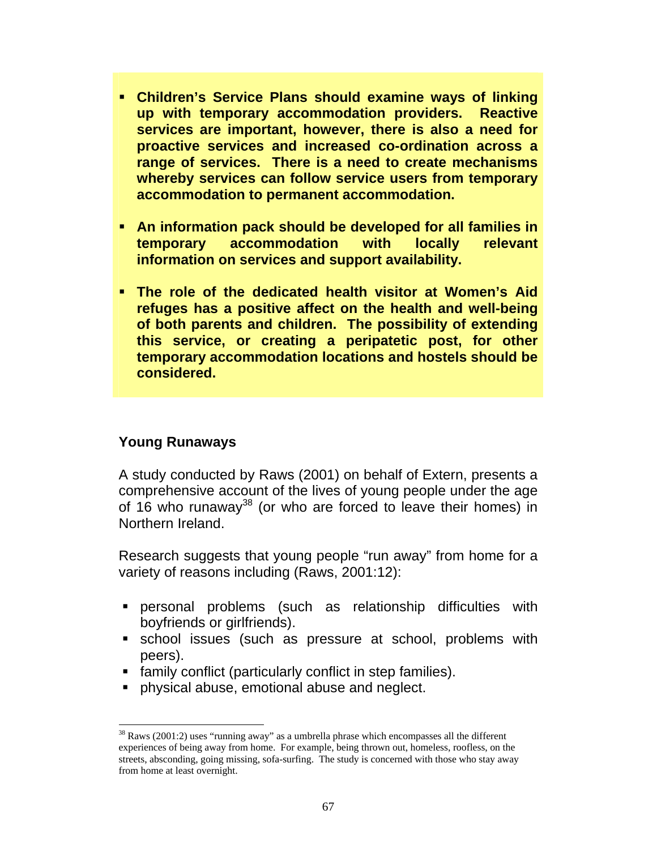- **Children's Service Plans should examine ways of linking up with temporary accommodation providers. Reactive services are important, however, there is also a need for proactive services and increased co-ordination across a range of services. There is a need to create mechanisms whereby services can follow service users from temporary accommodation to permanent accommodation.**
- **An information pack should be developed for all families in temporary accommodation with locally relevant information on services and support availability.**
- **The role of the dedicated health visitor at Women's Aid refuges has a positive affect on the health and well-being of both parents and children. The possibility of extending this service, or creating a peripatetic post, for other temporary accommodation locations and hostels should be considered.**

### **Young Runaways**

A study conducted by Raws (2001) on behalf of Extern, presents a comprehensive account of the lives of young people under the age of 16 who runaway<sup>38</sup> (or who are forced to leave their homes) in Northern Ireland.

Research suggests that young people "run away" from home for a variety of reasons including (Raws, 2001:12):

- personal problems (such as relationship difficulties with boyfriends or girlfriends).
- school issues (such as pressure at school, problems with peers).
- **family conflict (particularly conflict in step families).**
- **physical abuse, emotional abuse and neglect.**

 $\overline{a}$  $38$  Raws (2001:2) uses "running away" as a umbrella phrase which encompasses all the different experiences of being away from home. For example, being thrown out, homeless, roofless, on the streets, absconding, going missing, sofa-surfing. The study is concerned with those who stay away from home at least overnight.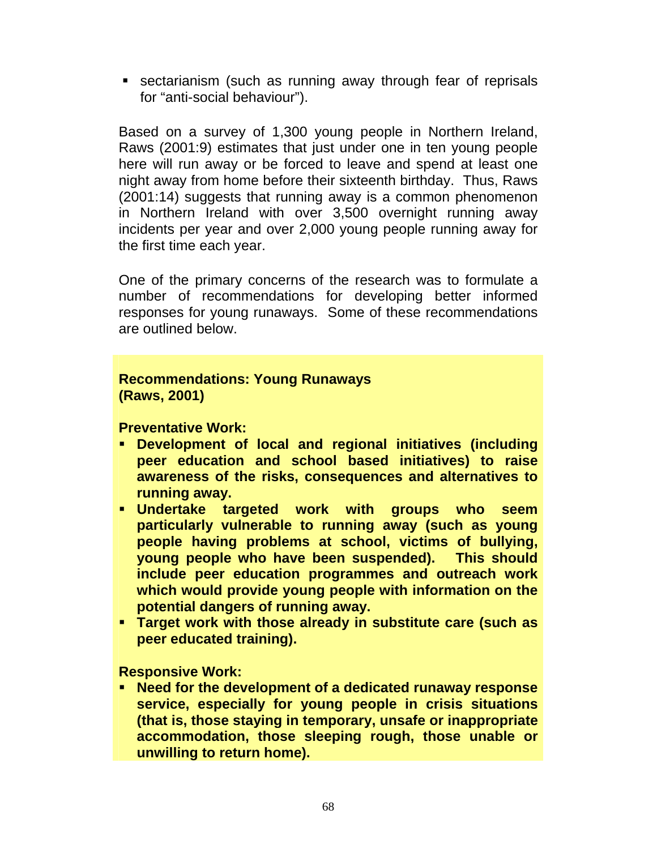sectarianism (such as running away through fear of reprisals for "anti-social behaviour").

Based on a survey of 1,300 young people in Northern Ireland, Raws (2001:9) estimates that just under one in ten young people here will run away or be forced to leave and spend at least one night away from home before their sixteenth birthday. Thus, Raws (2001:14) suggests that running away is a common phenomenon in Northern Ireland with over 3,500 overnight running away incidents per year and over 2,000 young people running away for the first time each year.

One of the primary concerns of the research was to formulate a number of recommendations for developing better informed responses for young runaways. Some of these recommendations are outlined below.

#### **Recommendations: Young Runaways (Raws, 2001)**

**Preventative Work:** 

- **Development of local and regional initiatives (including peer education and school based initiatives) to raise awareness of the risks, consequences and alternatives to running away.**
- **Undertake targeted work with groups who seem particularly vulnerable to running away (such as young people having problems at school, victims of bullying, young people who have been suspended). This should include peer education programmes and outreach work which would provide young people with information on the potential dangers of running away.**
- **Target work with those already in substitute care (such as peer educated training).**

**Responsive Work:** 

 **Need for the development of a dedicated runaway response service, especially for young people in crisis situations (that is, those staying in temporary, unsafe or inappropriate accommodation, those sleeping rough, those unable or unwilling to return home).**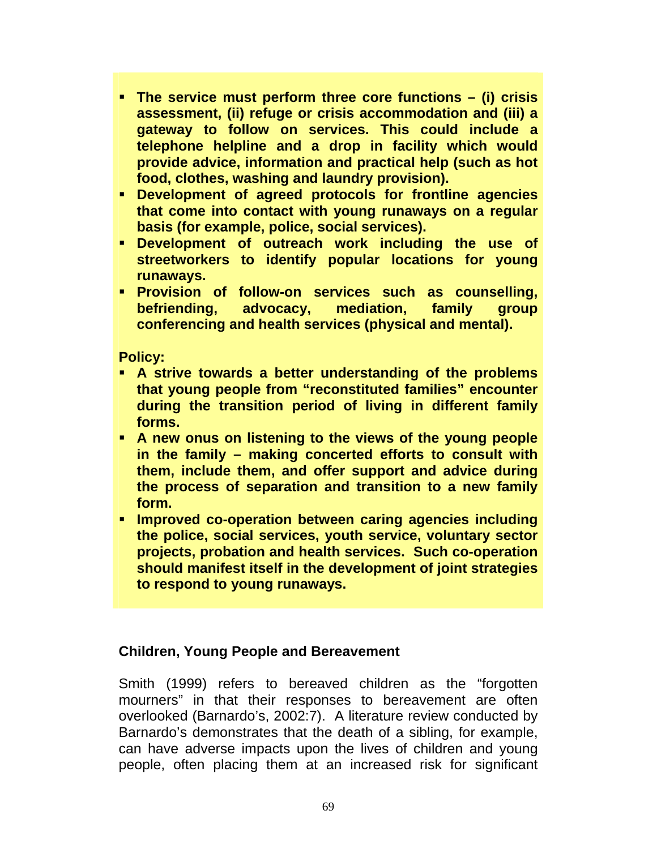- **The service must perform three core functions (i) crisis assessment, (ii) refuge or crisis accommodation and (iii) a gateway to follow on services. This could include a telephone helpline and a drop in facility which would provide advice, information and practical help (such as hot food, clothes, washing and laundry provision).**
- **Development of agreed protocols for frontline agencies that come into contact with young runaways on a regular basis (for example, police, social services).**
- **Development of outreach work including the use of streetworkers to identify popular locations for young runaways.**
- **Provision of follow-on services such as counselling, befriending, advocacy, mediation, family group conferencing and health services (physical and mental).**

**Policy:** 

- **A strive towards a better understanding of the problems that young people from "reconstituted families" encounter during the transition period of living in different family forms.**
- **A new onus on listening to the views of the young people in the family – making concerted efforts to consult with them, include them, and offer support and advice during the process of separation and transition to a new family form.**
- **Improved co-operation between caring agencies including the police, social services, youth service, voluntary sector projects, probation and health services. Such co-operation should manifest itself in the development of joint strategies to respond to young runaways.**

#### **Children, Young People and Bereavement**

Smith (1999) refers to bereaved children as the "forgotten mourners" in that their responses to bereavement are often overlooked (Barnardo's, 2002:7). A literature review conducted by Barnardo's demonstrates that the death of a sibling, for example, can have adverse impacts upon the lives of children and young people, often placing them at an increased risk for significant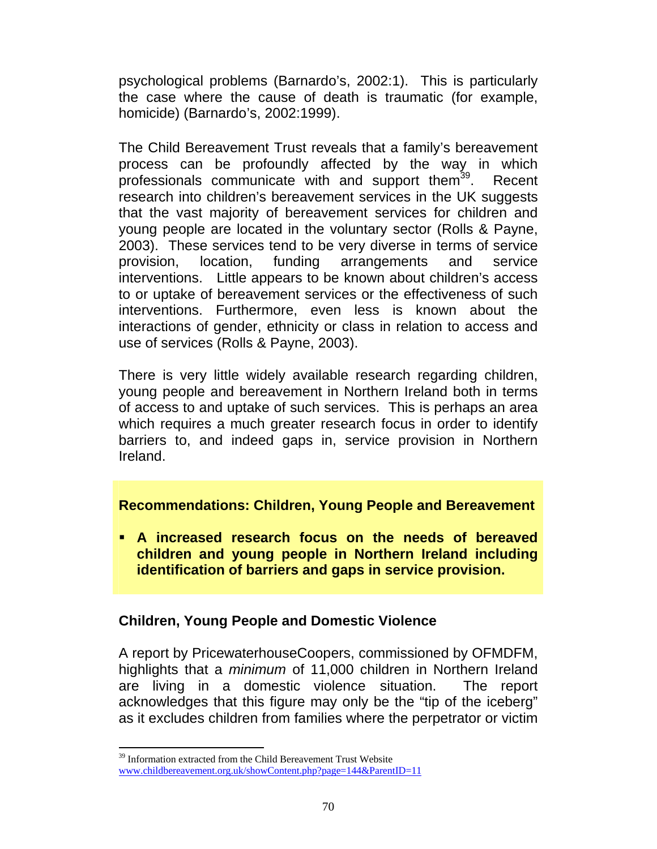psychological problems (Barnardo's, 2002:1). This is particularly the case where the cause of death is traumatic (for example, homicide) (Barnardo's, 2002:1999).

The Child Bereavement Trust reveals that a family's bereavement process can be profoundly affected by the way in which professionals communicate with and support them<sup>39</sup>. Recent research into children's bereavement services in the UK suggests that the vast majority of bereavement services for children and young people are located in the voluntary sector (Rolls & Payne, 2003). These services tend to be very diverse in terms of service provision, location, funding arrangements and service interventions. Little appears to be known about children's access to or uptake of bereavement services or the effectiveness of such interventions. Furthermore, even less is known about the interactions of gender, ethnicity or class in relation to access and use of services (Rolls & Payne, 2003).

There is very little widely available research regarding children, young people and bereavement in Northern Ireland both in terms of access to and uptake of such services. This is perhaps an area which requires a much greater research focus in order to identify barriers to, and indeed gaps in, service provision in Northern Ireland.

#### **Recommendations: Children, Young People and Bereavement**

 **A increased research focus on the needs of bereaved children and young people in Northern Ireland including identification of barriers and gaps in service provision.** 

#### **Children, Young People and Domestic Violence**

A report by PricewaterhouseCoopers, commissioned by OFMDFM, highlights that a *minimum* of 11,000 children in Northern Ireland are living in a domestic violence situation. The report acknowledges that this figure may only be the "tip of the iceberg" as it excludes children from families where the perpetrator or victim

l  $39$  Information extracted from the Child Bereavement Trust Website www.childbereavement.org.uk/showContent.php?page=144&ParentID=11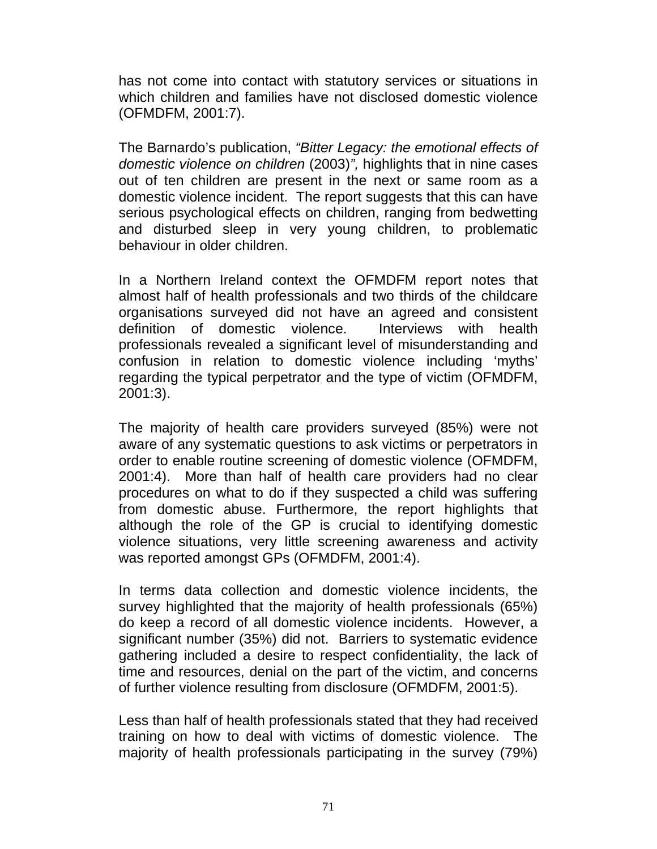has not come into contact with statutory services or situations in which children and families have not disclosed domestic violence (OFMDFM, 2001:7).

The Barnardo's publication, *"Bitter Legacy: the emotional effects of domestic violence on children* (2003)*",* highlights that in nine cases out of ten children are present in the next or same room as a domestic violence incident. The report suggests that this can have serious psychological effects on children, ranging from bedwetting and disturbed sleep in very young children, to problematic behaviour in older children.

In a Northern Ireland context the OFMDFM report notes that almost half of health professionals and two thirds of the childcare organisations surveyed did not have an agreed and consistent definition of domestic violence. Interviews with health professionals revealed a significant level of misunderstanding and confusion in relation to domestic violence including 'myths' regarding the typical perpetrator and the type of victim (OFMDFM, 2001:3).

The majority of health care providers surveyed (85%) were not aware of any systematic questions to ask victims or perpetrators in order to enable routine screening of domestic violence (OFMDFM, 2001:4). More than half of health care providers had no clear procedures on what to do if they suspected a child was suffering from domestic abuse. Furthermore, the report highlights that although the role of the GP is crucial to identifying domestic violence situations, very little screening awareness and activity was reported amongst GPs (OFMDFM, 2001:4).

In terms data collection and domestic violence incidents, the survey highlighted that the majority of health professionals (65%) do keep a record of all domestic violence incidents. However, a significant number (35%) did not. Barriers to systematic evidence gathering included a desire to respect confidentiality, the lack of time and resources, denial on the part of the victim, and concerns of further violence resulting from disclosure (OFMDFM, 2001:5).

Less than half of health professionals stated that they had received training on how to deal with victims of domestic violence. The majority of health professionals participating in the survey (79%)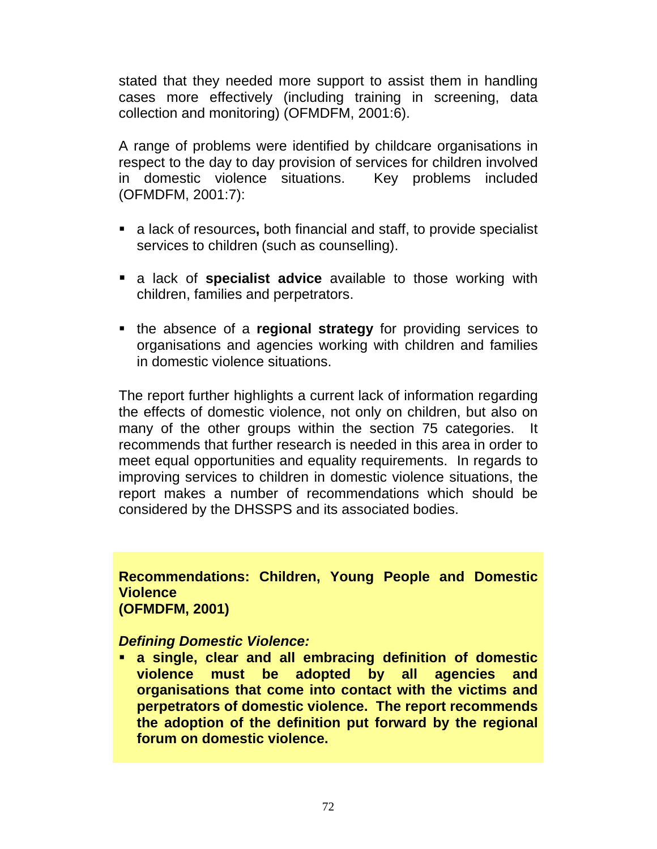stated that they needed more support to assist them in handling cases more effectively (including training in screening, data collection and monitoring) (OFMDFM, 2001:6).

A range of problems were identified by childcare organisations in respect to the day to day provision of services for children involved in domestic violence situations. Key problems included (OFMDFM, 2001:7):

- a lack of resources**,** both financial and staff, to provide specialist services to children (such as counselling).
- a lack of **specialist advice** available to those working with children, families and perpetrators.
- the absence of a **regional strategy** for providing services to organisations and agencies working with children and families in domestic violence situations.

The report further highlights a current lack of information regarding the effects of domestic violence, not only on children, but also on many of the other groups within the section 75 categories. It recommends that further research is needed in this area in order to meet equal opportunities and equality requirements. In regards to improving services to children in domestic violence situations, the report makes a number of recommendations which should be considered by the DHSSPS and its associated bodies.

#### **Recommendations: Children, Young People and Domestic Violence (OFMDFM, 2001)**

# *Defining Domestic Violence:*

 **a single, clear and all embracing definition of domestic violence must be adopted by all agencies and organisations that come into contact with the victims and perpetrators of domestic violence. The report recommends the adoption of the definition put forward by the regional forum on domestic violence.**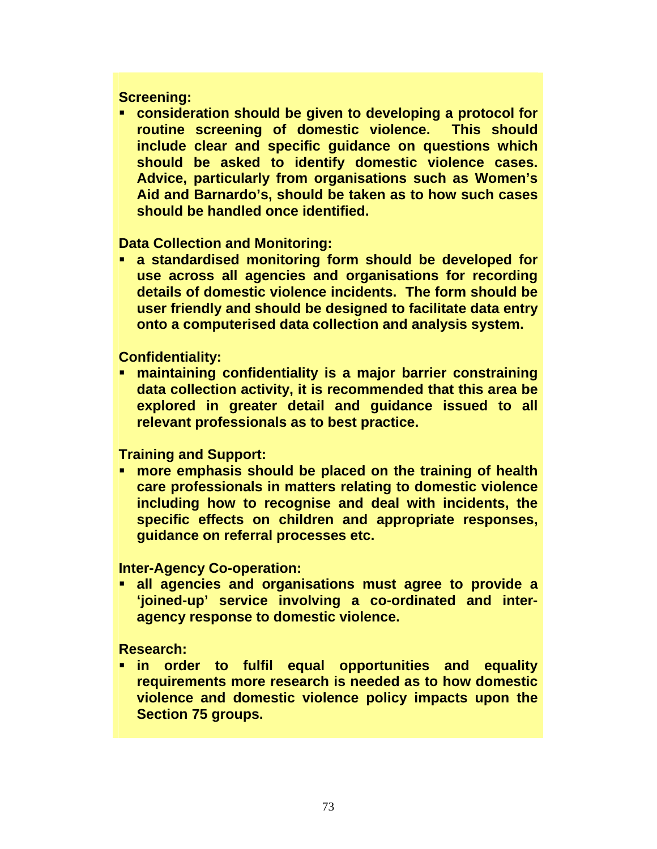#### **Screening:**

 **consideration should be given to developing a protocol for routine screening of domestic violence. This should include clear and specific guidance on questions which should be asked to identify domestic violence cases. Advice, particularly from organisations such as Women's Aid and Barnardo's, should be taken as to how such cases should be handled once identified.** 

#### **Data Collection and Monitoring:**

 **a standardised monitoring form should be developed for use across all agencies and organisations for recording details of domestic violence incidents. The form should be user friendly and should be designed to facilitate data entry onto a computerised data collection and analysis system.** 

#### **Confidentiality:**

 **maintaining confidentiality is a major barrier constraining data collection activity, it is recommended that this area be explored in greater detail and guidance issued to all relevant professionals as to best practice.** 

#### **Training and Support:**

 **more emphasis should be placed on the training of health care professionals in matters relating to domestic violence including how to recognise and deal with incidents, the specific effects on children and appropriate responses, guidance on referral processes etc.** 

**Inter-Agency Co-operation:** 

 **all agencies and organisations must agree to provide a 'joined-up' service involving a co-ordinated and interagency response to domestic violence.** 

**Research:** 

 **in order to fulfil equal opportunities and equality requirements more research is needed as to how domestic violence and domestic violence policy impacts upon the Section 75 groups.**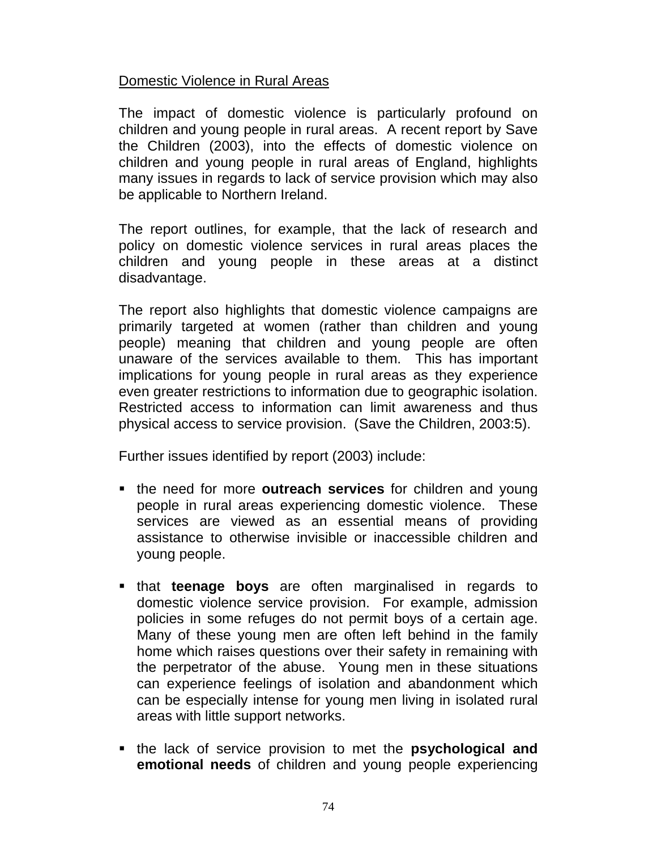#### Domestic Violence in Rural Areas

The impact of domestic violence is particularly profound on children and young people in rural areas. A recent report by Save the Children (2003), into the effects of domestic violence on children and young people in rural areas of England, highlights many issues in regards to lack of service provision which may also be applicable to Northern Ireland.

The report outlines, for example, that the lack of research and policy on domestic violence services in rural areas places the children and young people in these areas at a distinct disadvantage.

The report also highlights that domestic violence campaigns are primarily targeted at women (rather than children and young people) meaning that children and young people are often unaware of the services available to them. This has important implications for young people in rural areas as they experience even greater restrictions to information due to geographic isolation. Restricted access to information can limit awareness and thus physical access to service provision. (Save the Children, 2003:5).

Further issues identified by report (2003) include:

- **the need for more outreach services for children and young** people in rural areas experiencing domestic violence. These services are viewed as an essential means of providing assistance to otherwise invisible or inaccessible children and young people.
- **that teenage boys** are often marginalised in regards to domestic violence service provision. For example, admission policies in some refuges do not permit boys of a certain age. Many of these young men are often left behind in the family home which raises questions over their safety in remaining with the perpetrator of the abuse. Young men in these situations can experience feelings of isolation and abandonment which can be especially intense for young men living in isolated rural areas with little support networks.
- **the lack of service provision to met the psychological and emotional needs** of children and young people experiencing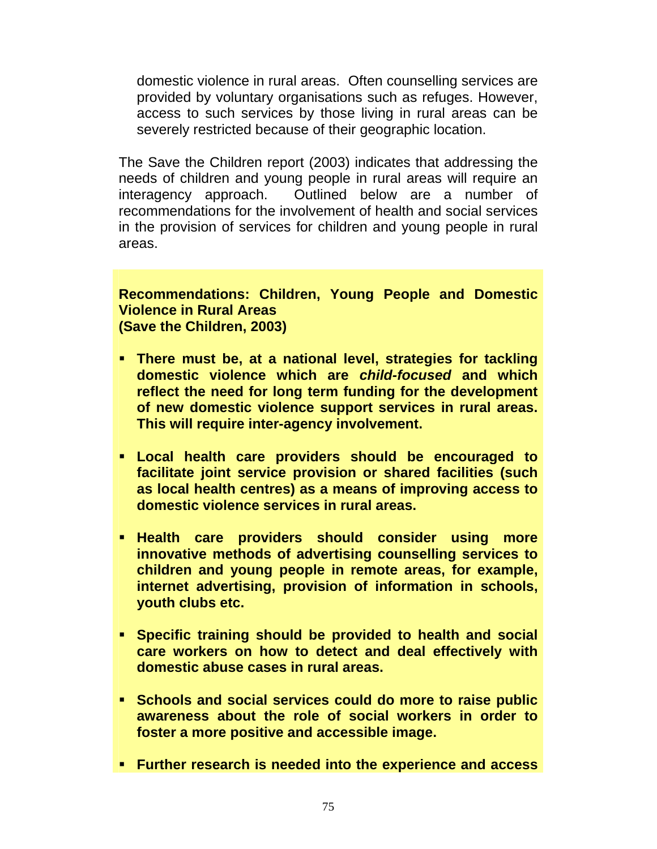domestic violence in rural areas. Often counselling services are provided by voluntary organisations such as refuges. However, access to such services by those living in rural areas can be severely restricted because of their geographic location.

The Save the Children report (2003) indicates that addressing the needs of children and young people in rural areas will require an interagency approach. Outlined below are a number of recommendations for the involvement of health and social services in the provision of services for children and young people in rural areas.

#### **Recommendations: Children, Young People and Domestic Violence in Rural Areas (Save the Children, 2003)**

- **There must be, at a national level, strategies for tackling domestic violence which are** *child-focused* **and which reflect the need for long term funding for the development of new domestic violence support services in rural areas. This will require inter-agency involvement.**
- **Local health care providers should be encouraged to facilitate joint service provision or shared facilities (such as local health centres) as a means of improving access to domestic violence services in rural areas.**
- **Health care providers should consider using more innovative methods of advertising counselling services to children and young people in remote areas, for example, internet advertising, provision of information in schools, youth clubs etc.**
- **Specific training should be provided to health and social care workers on how to detect and deal effectively with domestic abuse cases in rural areas.**
- **Schools and social services could do more to raise public awareness about the role of social workers in order to foster a more positive and accessible image.**
- **Further research is needed into the experience and access**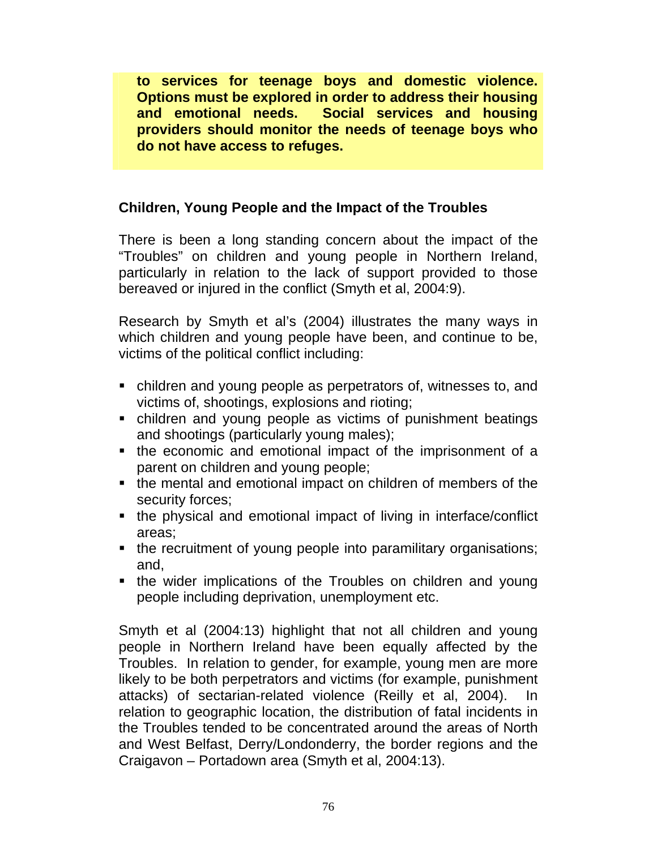**to services for teenage boys and domestic violence. Options must be explored in order to address their housing and emotional needs. Social services and housing providers should monitor the needs of teenage boys who do not have access to refuges.** 

### **Children, Young People and the Impact of the Troubles**

There is been a long standing concern about the impact of the "Troubles" on children and young people in Northern Ireland, particularly in relation to the lack of support provided to those bereaved or injured in the conflict (Smyth et al, 2004:9).

Research by Smyth et al's (2004) illustrates the many ways in which children and young people have been, and continue to be, victims of the political conflict including:

- children and young people as perpetrators of, witnesses to, and victims of, shootings, explosions and rioting;
- children and young people as victims of punishment beatings and shootings (particularly young males);
- the economic and emotional impact of the imprisonment of a parent on children and young people;
- the mental and emotional impact on children of members of the security forces;
- the physical and emotional impact of living in interface/conflict areas;
- the recruitment of young people into paramilitary organisations; and,
- the wider implications of the Troubles on children and young people including deprivation, unemployment etc.

Smyth et al (2004:13) highlight that not all children and young people in Northern Ireland have been equally affected by the Troubles. In relation to gender, for example, young men are more likely to be both perpetrators and victims (for example, punishment attacks) of sectarian-related violence (Reilly et al, 2004). In relation to geographic location, the distribution of fatal incidents in the Troubles tended to be concentrated around the areas of North and West Belfast, Derry/Londonderry, the border regions and the Craigavon – Portadown area (Smyth et al, 2004:13).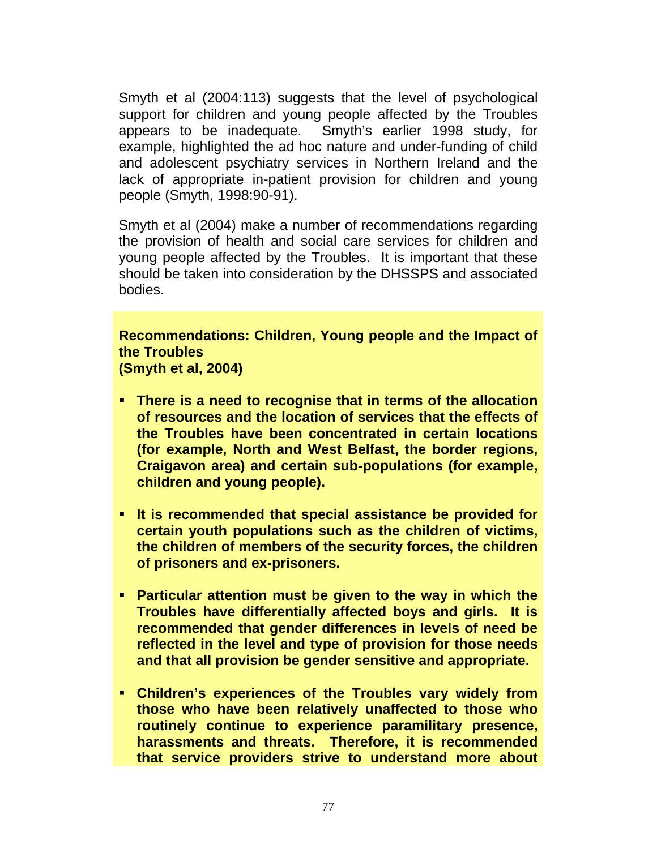Smyth et al (2004:113) suggests that the level of psychological support for children and young people affected by the Troubles appears to be inadequate. Smyth's earlier 1998 study, for example, highlighted the ad hoc nature and under-funding of child and adolescent psychiatry services in Northern Ireland and the lack of appropriate in-patient provision for children and young people (Smyth, 1998:90-91).

Smyth et al (2004) make a number of recommendations regarding the provision of health and social care services for children and young people affected by the Troubles. It is important that these should be taken into consideration by the DHSSPS and associated bodies.

**Recommendations: Children, Young people and the Impact of the Troubles (Smyth et al, 2004)** 

- **There is a need to recognise that in terms of the allocation of resources and the location of services that the effects of the Troubles have been concentrated in certain locations (for example, North and West Belfast, the border regions, Craigavon area) and certain sub-populations (for example, children and young people).**
- **It is recommended that special assistance be provided for certain youth populations such as the children of victims, the children of members of the security forces, the children of prisoners and ex-prisoners.**
- **Particular attention must be given to the way in which the Troubles have differentially affected boys and girls. It is recommended that gender differences in levels of need be reflected in the level and type of provision for those needs and that all provision be gender sensitive and appropriate.**
- **Children's experiences of the Troubles vary widely from those who have been relatively unaffected to those who routinely continue to experience paramilitary presence, harassments and threats. Therefore, it is recommended that service providers strive to understand more about**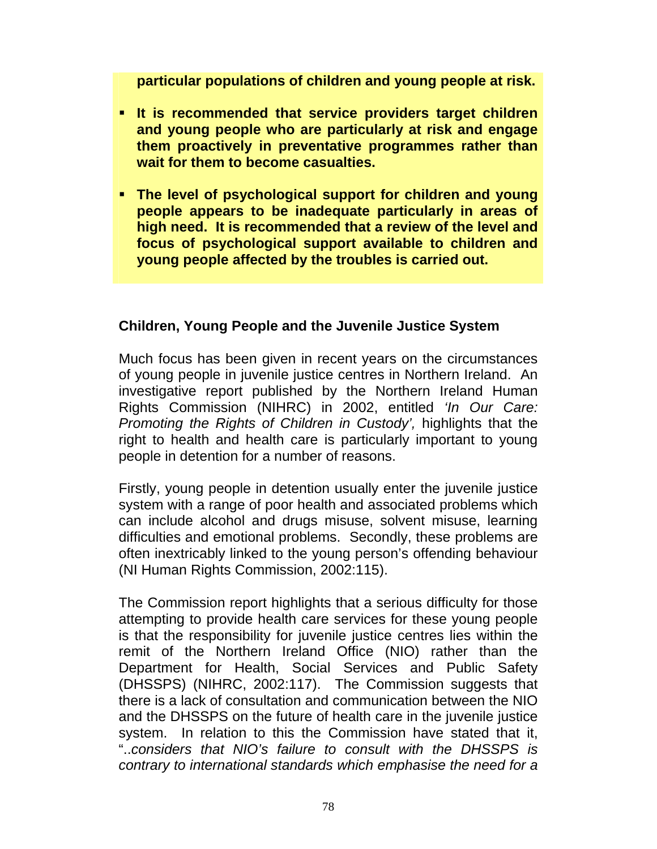**particular populations of children and young people at risk.**

- **It is recommended that service providers target children and young people who are particularly at risk and engage them proactively in preventative programmes rather than wait for them to become casualties.**
- **The level of psychological support for children and young people appears to be inadequate particularly in areas of high need. It is recommended that a review of the level and focus of psychological support available to children and young people affected by the troubles is carried out.**

### **Children, Young People and the Juvenile Justice System**

Much focus has been given in recent years on the circumstances of young people in juvenile justice centres in Northern Ireland. An investigative report published by the Northern Ireland Human Rights Commission (NIHRC) in 2002, entitled *'In Our Care: Promoting the Rights of Children in Custody',* highlights that the right to health and health care is particularly important to young people in detention for a number of reasons.

Firstly, young people in detention usually enter the juvenile justice system with a range of poor health and associated problems which can include alcohol and drugs misuse, solvent misuse, learning difficulties and emotional problems. Secondly, these problems are often inextricably linked to the young person's offending behaviour (NI Human Rights Commission, 2002:115).

The Commission report highlights that a serious difficulty for those attempting to provide health care services for these young people is that the responsibility for juvenile justice centres lies within the remit of the Northern Ireland Office (NIO) rather than the Department for Health, Social Services and Public Safety (DHSSPS) (NIHRC, 2002:117). The Commission suggests that there is a lack of consultation and communication between the NIO and the DHSSPS on the future of health care in the juvenile justice system. In relation to this the Commission have stated that it, "..*considers that NIO's failure to consult with the DHSSPS is contrary to international standards which emphasise the need for a*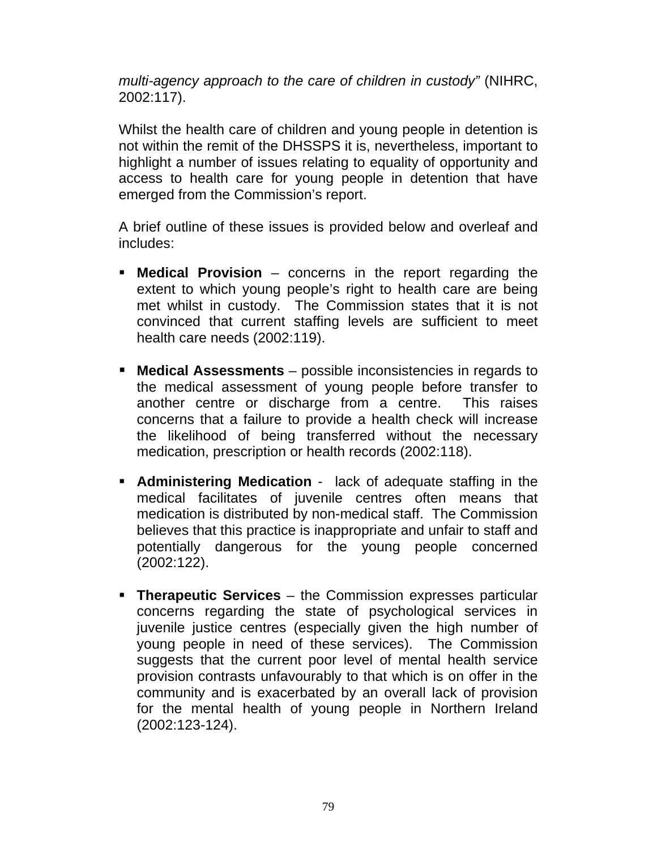*multi-agency approach to the care of children in custody"* (NIHRC, 2002:117).

Whilst the health care of children and young people in detention is not within the remit of the DHSSPS it is, nevertheless, important to highlight a number of issues relating to equality of opportunity and access to health care for young people in detention that have emerged from the Commission's report.

A brief outline of these issues is provided below and overleaf and includes:

- **Medical Provision** concerns in the report regarding the extent to which young people's right to health care are being met whilst in custody. The Commission states that it is not convinced that current staffing levels are sufficient to meet health care needs (2002:119).
- **Medical Assessments** possible inconsistencies in regards to the medical assessment of young people before transfer to another centre or discharge from a centre. This raises concerns that a failure to provide a health check will increase the likelihood of being transferred without the necessary medication, prescription or health records (2002:118).
- **Administering Medication** lack of adequate staffing in the medical facilitates of juvenile centres often means that medication is distributed by non-medical staff. The Commission believes that this practice is inappropriate and unfair to staff and potentially dangerous for the young people concerned (2002:122).
- **Therapeutic Services** the Commission expresses particular concerns regarding the state of psychological services in juvenile justice centres (especially given the high number of young people in need of these services). The Commission suggests that the current poor level of mental health service provision contrasts unfavourably to that which is on offer in the community and is exacerbated by an overall lack of provision for the mental health of young people in Northern Ireland (2002:123-124).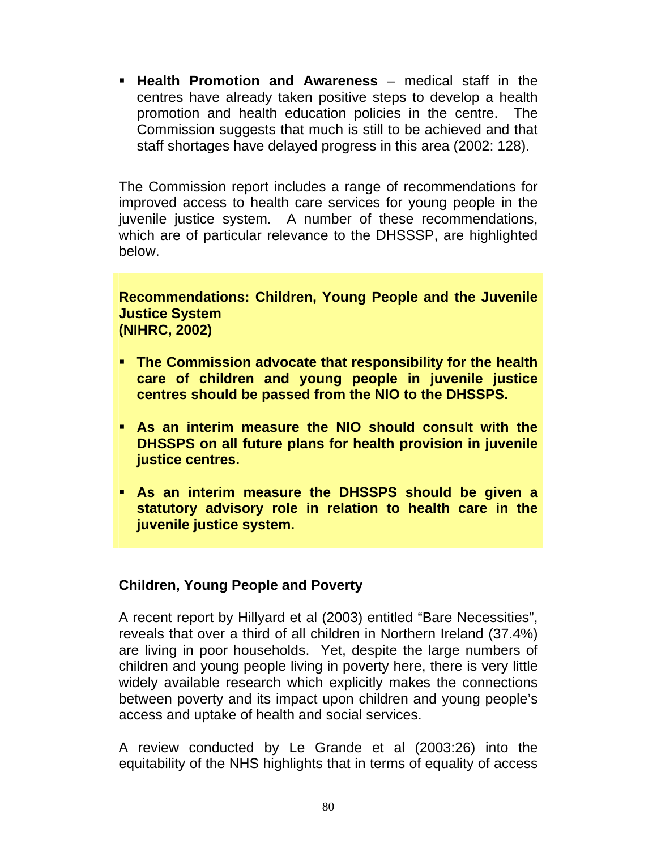**Health Promotion and Awareness** – medical staff in the centres have already taken positive steps to develop a health promotion and health education policies in the centre. The Commission suggests that much is still to be achieved and that staff shortages have delayed progress in this area (2002: 128).

The Commission report includes a range of recommendations for improved access to health care services for young people in the juvenile justice system. A number of these recommendations, which are of particular relevance to the DHSSSP, are highlighted below.

#### **Recommendations: Children, Young People and the Juvenile Justice System (NIHRC, 2002)**

- **The Commission advocate that responsibility for the health care of children and young people in juvenile justice centres should be passed from the NIO to the DHSSPS.**
- **As an interim measure the NIO should consult with the DHSSPS on all future plans for health provision in juvenile justice centres.**
- **As an interim measure the DHSSPS should be given a statutory advisory role in relation to health care in the juvenile justice system.**

### **Children, Young People and Poverty**

A recent report by Hillyard et al (2003) entitled "Bare Necessities", reveals that over a third of all children in Northern Ireland (37.4%) are living in poor households. Yet, despite the large numbers of children and young people living in poverty here, there is very little widely available research which explicitly makes the connections between poverty and its impact upon children and young people's access and uptake of health and social services.

A review conducted by Le Grande et al (2003:26) into the equitability of the NHS highlights that in terms of equality of access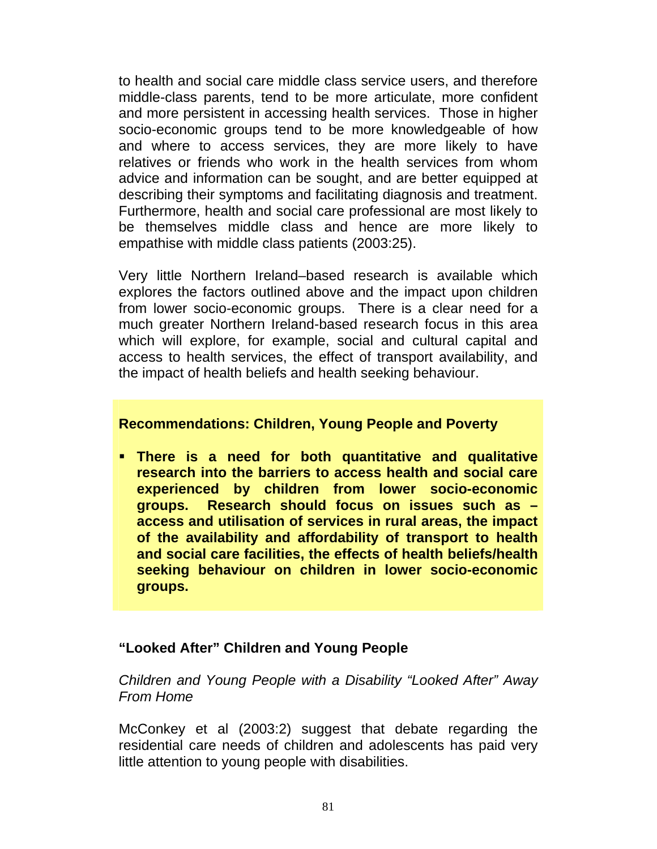to health and social care middle class service users, and therefore middle-class parents, tend to be more articulate, more confident and more persistent in accessing health services. Those in higher socio-economic groups tend to be more knowledgeable of how and where to access services, they are more likely to have relatives or friends who work in the health services from whom advice and information can be sought, and are better equipped at describing their symptoms and facilitating diagnosis and treatment. Furthermore, health and social care professional are most likely to be themselves middle class and hence are more likely to empathise with middle class patients (2003:25).

Very little Northern Ireland–based research is available which explores the factors outlined above and the impact upon children from lower socio-economic groups. There is a clear need for a much greater Northern Ireland-based research focus in this area which will explore, for example, social and cultural capital and access to health services, the effect of transport availability, and the impact of health beliefs and health seeking behaviour.

#### **Recommendations: Children, Young People and Poverty**

 **There is a need for both quantitative and qualitative research into the barriers to access health and social care experienced by children from lower socio-economic groups. Research should focus on issues such as – access and utilisation of services in rural areas, the impact of the availability and affordability of transport to health and social care facilities, the effects of health beliefs/health seeking behaviour on children in lower socio-economic groups.** 

### **"Looked After" Children and Young People**

*Children and Young People with a Disability "Looked After" Away From Home* 

McConkey et al (2003:2) suggest that debate regarding the residential care needs of children and adolescents has paid very little attention to young people with disabilities.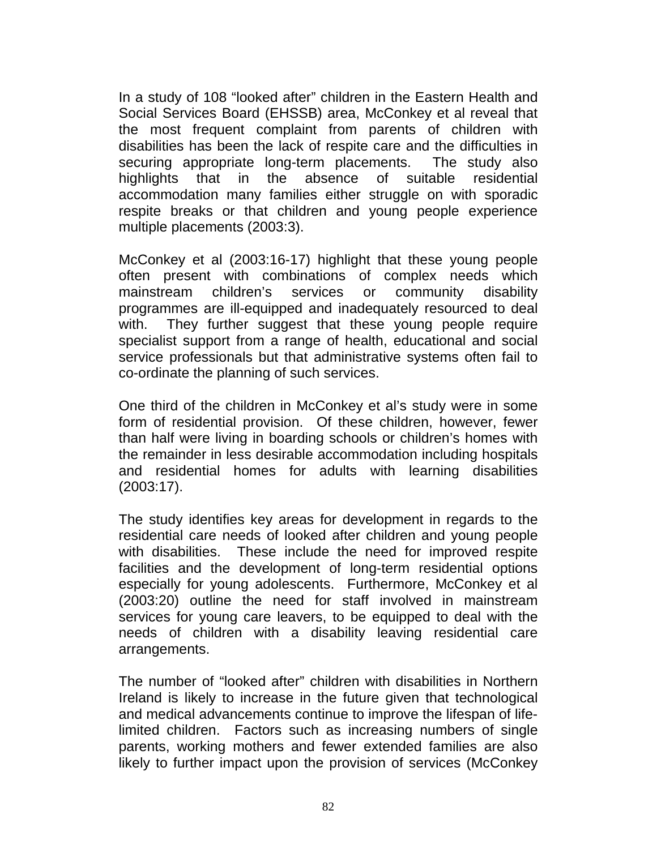In a study of 108 "looked after" children in the Eastern Health and Social Services Board (EHSSB) area, McConkey et al reveal that the most frequent complaint from parents of children with disabilities has been the lack of respite care and the difficulties in securing appropriate long-term placements. The study also highlights that in the absence of suitable residential accommodation many families either struggle on with sporadic respite breaks or that children and young people experience multiple placements (2003:3).

McConkey et al (2003:16-17) highlight that these young people often present with combinations of complex needs which mainstream children's services or community disability programmes are ill-equipped and inadequately resourced to deal with. They further suggest that these young people require specialist support from a range of health, educational and social service professionals but that administrative systems often fail to co-ordinate the planning of such services.

One third of the children in McConkey et al's study were in some form of residential provision. Of these children, however, fewer than half were living in boarding schools or children's homes with the remainder in less desirable accommodation including hospitals and residential homes for adults with learning disabilities (2003:17).

The study identifies key areas for development in regards to the residential care needs of looked after children and young people with disabilities. These include the need for improved respite facilities and the development of long-term residential options especially for young adolescents. Furthermore, McConkey et al (2003:20) outline the need for staff involved in mainstream services for young care leavers, to be equipped to deal with the needs of children with a disability leaving residential care arrangements.

The number of "looked after" children with disabilities in Northern Ireland is likely to increase in the future given that technological and medical advancements continue to improve the lifespan of lifelimited children. Factors such as increasing numbers of single parents, working mothers and fewer extended families are also likely to further impact upon the provision of services (McConkey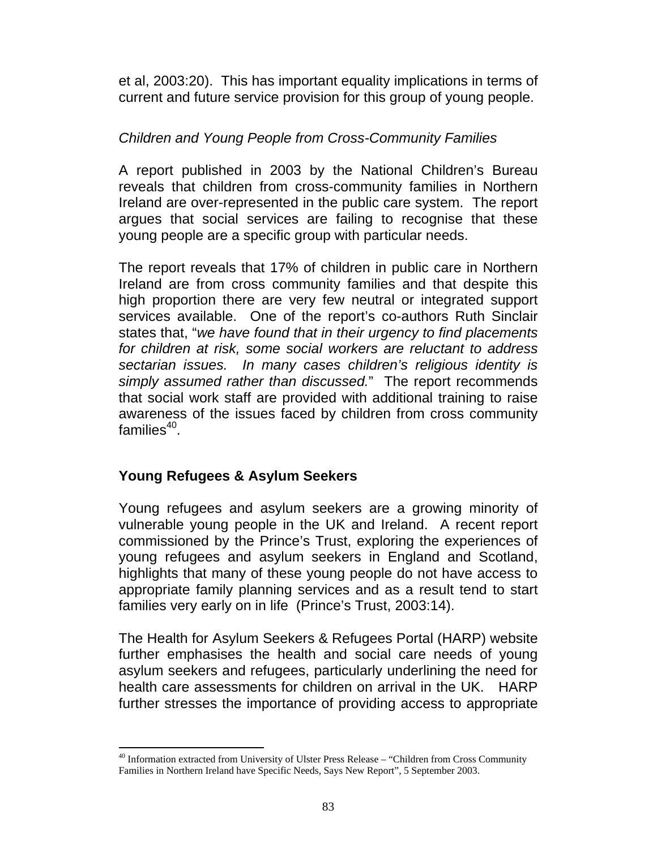et al, 2003:20). This has important equality implications in terms of current and future service provision for this group of young people.

### *Children and Young People from Cross-Community Families*

A report published in 2003 by the National Children's Bureau reveals that children from cross-community families in Northern Ireland are over-represented in the public care system. The report argues that social services are failing to recognise that these young people are a specific group with particular needs.

The report reveals that 17% of children in public care in Northern Ireland are from cross community families and that despite this high proportion there are very few neutral or integrated support services available. One of the report's co-authors Ruth Sinclair states that, "*we have found that in their urgency to find placements for children at risk, some social workers are reluctant to address sectarian issues. In many cases children's religious identity is simply assumed rather than discussed.*" The report recommends that social work staff are provided with additional training to raise awareness of the issues faced by children from cross community families $40$ .

### **Young Refugees & Asylum Seekers**

Young refugees and asylum seekers are a growing minority of vulnerable young people in the UK and Ireland. A recent report commissioned by the Prince's Trust, exploring the experiences of young refugees and asylum seekers in England and Scotland, highlights that many of these young people do not have access to appropriate family planning services and as a result tend to start families very early on in life (Prince's Trust, 2003:14).

The Health for Asylum Seekers & Refugees Portal (HARP) website further emphasises the health and social care needs of young asylum seekers and refugees, particularly underlining the need for health care assessments for children on arrival in the UK. HARP further stresses the importance of providing access to appropriate

l 40 Information extracted from University of Ulster Press Release – "Children from Cross Community Families in Northern Ireland have Specific Needs, Says New Report", 5 September 2003.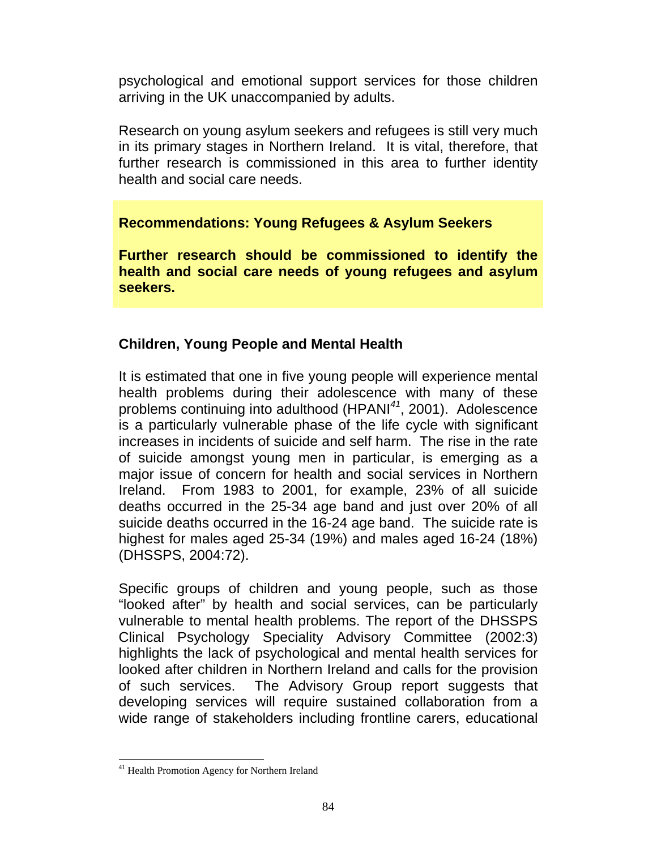psychological and emotional support services for those children arriving in the UK unaccompanied by adults.

Research on young asylum seekers and refugees is still very much in its primary stages in Northern Ireland. It is vital, therefore, that further research is commissioned in this area to further identity health and social care needs.

### **Recommendations: Young Refugees & Asylum Seekers**

**Further research should be commissioned to identify the health and social care needs of young refugees and asylum seekers.** 

## **Children, Young People and Mental Health**

It is estimated that one in five young people will experience mental health problems during their adolescence with many of these problems continuing into adulthood (HPANI*<sup>41</sup>*, 2001). Adolescence is a particularly vulnerable phase of the life cycle with significant increases in incidents of suicide and self harm. The rise in the rate of suicide amongst young men in particular, is emerging as a major issue of concern for health and social services in Northern Ireland. From 1983 to 2001, for example, 23% of all suicide deaths occurred in the 25-34 age band and just over 20% of all suicide deaths occurred in the 16-24 age band. The suicide rate is highest for males aged 25-34 (19%) and males aged 16-24 (18%) (DHSSPS, 2004:72).

Specific groups of children and young people, such as those "looked after" by health and social services, can be particularly vulnerable to mental health problems. The report of the DHSSPS Clinical Psychology Speciality Advisory Committee (2002:3) highlights the lack of psychological and mental health services for looked after children in Northern Ireland and calls for the provision of such services. The Advisory Group report suggests that developing services will require sustained collaboration from a wide range of stakeholders including frontline carers, educational

l

<sup>&</sup>lt;sup>41</sup> Health Promotion Agency for Northern Ireland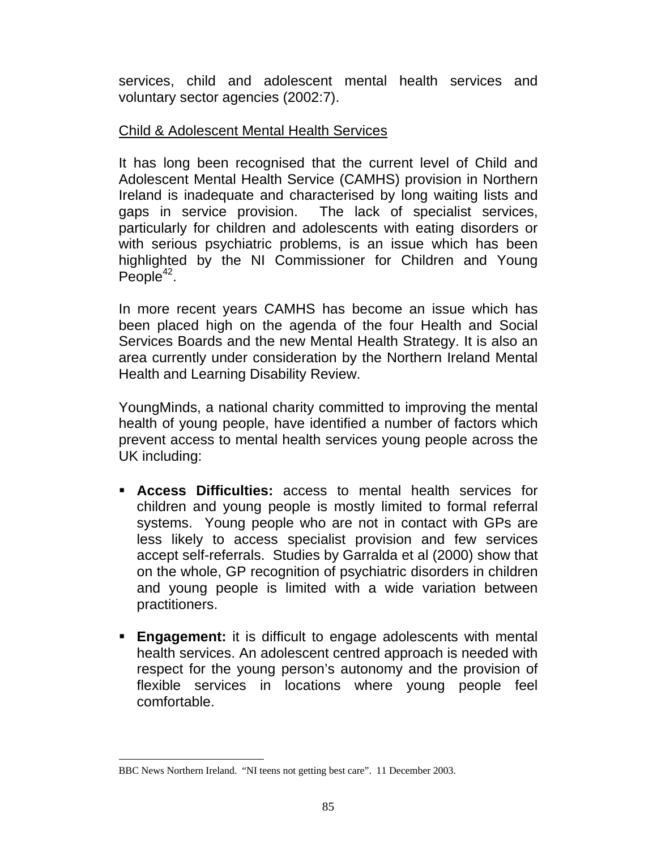services, child and adolescent mental health services and voluntary sector agencies (2002:7).

#### Child & Adolescent Mental Health Services

It has long been recognised that the current level of Child and Adolescent Mental Health Service (CAMHS) provision in Northern Ireland is inadequate and characterised by long waiting lists and gaps in service provision. The lack of specialist services, particularly for children and adolescents with eating disorders or with serious psychiatric problems, is an issue which has been highlighted by the NI Commissioner for Children and Young  $People^{42}$ .

In more recent years CAMHS has become an issue which has been placed high on the agenda of the four Health and Social Services Boards and the new Mental Health Strategy. It is also an area currently under consideration by the Northern Ireland Mental Health and Learning Disability Review.

YoungMinds, a national charity committed to improving the mental health of young people, have identified a number of factors which prevent access to mental health services young people across the UK including:

- **Access Difficulties:** access to mental health services for children and young people is mostly limited to formal referral systems. Young people who are not in contact with GPs are less likely to access specialist provision and few services accept self-referrals. Studies by Garralda et al (2000) show that on the whole, GP recognition of psychiatric disorders in children and young people is limited with a wide variation between practitioners.
- **Engagement:** it is difficult to engage adolescents with mental health services. An adolescent centred approach is needed with respect for the young person's autonomy and the provision of flexible services in locations where young people feel comfortable.

l BBC News Northern Ireland. "NI teens not getting best care". 11 December 2003.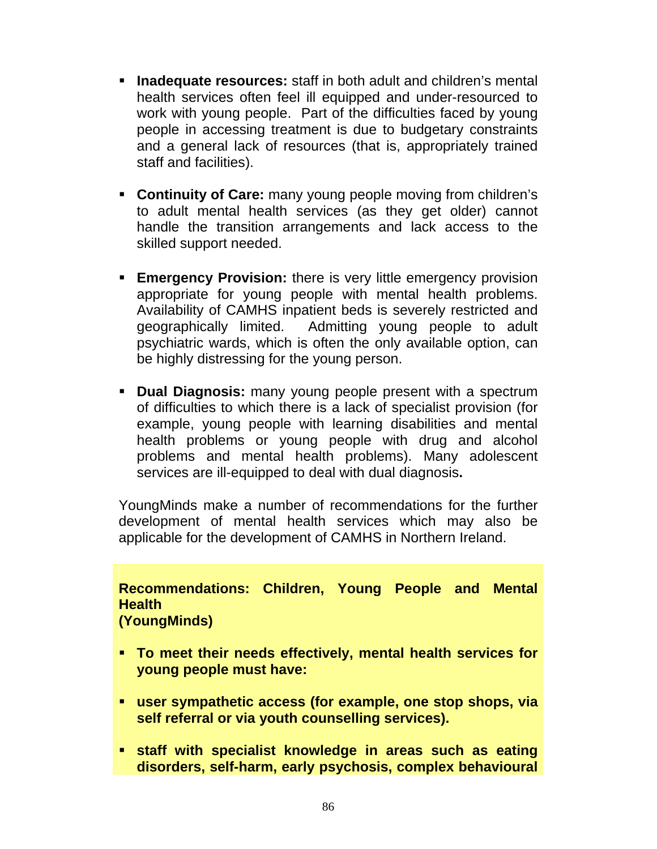- **Inadequate resources:** staff in both adult and children's mental health services often feel ill equipped and under-resourced to work with young people. Part of the difficulties faced by young people in accessing treatment is due to budgetary constraints and a general lack of resources (that is, appropriately trained staff and facilities).
- **Continuity of Care:** many young people moving from children's to adult mental health services (as they get older) cannot handle the transition arrangements and lack access to the skilled support needed.
- **Emergency Provision:** there is very little emergency provision appropriate for young people with mental health problems. Availability of CAMHS inpatient beds is severely restricted and geographically limited. Admitting young people to adult psychiatric wards, which is often the only available option, can be highly distressing for the young person.
- **Dual Diagnosis:** many young people present with a spectrum of difficulties to which there is a lack of specialist provision (for example, young people with learning disabilities and mental health problems or young people with drug and alcohol problems and mental health problems). Many adolescent services are ill-equipped to deal with dual diagnosis**.**

YoungMinds make a number of recommendations for the further development of mental health services which may also be applicable for the development of CAMHS in Northern Ireland.

**Recommendations: Children, Young People and Mental Health (YoungMinds)** 

- **To meet their needs effectively, mental health services for young people must have:**
- **user sympathetic access (for example, one stop shops, via self referral or via youth counselling services).**
- **staff with specialist knowledge in areas such as eating disorders, self-harm, early psychosis, complex behavioural**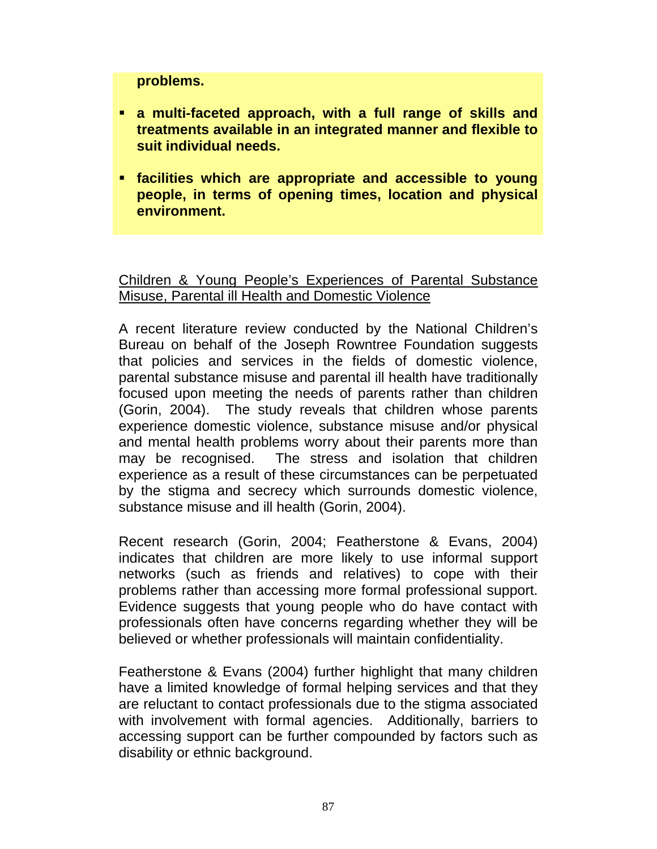**problems.** 

- **a multi-faceted approach, with a full range of skills and treatments available in an integrated manner and flexible to suit individual needs.**
- **facilities which are appropriate and accessible to young people, in terms of opening times, location and physical environment.**

Children & Young People's Experiences of Parental Substance Misuse, Parental ill Health and Domestic Violence

A recent literature review conducted by the National Children's Bureau on behalf of the Joseph Rowntree Foundation suggests that policies and services in the fields of domestic violence, parental substance misuse and parental ill health have traditionally focused upon meeting the needs of parents rather than children (Gorin, 2004). The study reveals that children whose parents experience domestic violence, substance misuse and/or physical and mental health problems worry about their parents more than may be recognised. The stress and isolation that children experience as a result of these circumstances can be perpetuated by the stigma and secrecy which surrounds domestic violence, substance misuse and ill health (Gorin, 2004).

Recent research (Gorin, 2004; Featherstone & Evans, 2004) indicates that children are more likely to use informal support networks (such as friends and relatives) to cope with their problems rather than accessing more formal professional support. Evidence suggests that young people who do have contact with professionals often have concerns regarding whether they will be believed or whether professionals will maintain confidentiality.

Featherstone & Evans (2004) further highlight that many children have a limited knowledge of formal helping services and that they are reluctant to contact professionals due to the stigma associated with involvement with formal agencies. Additionally, barriers to accessing support can be further compounded by factors such as disability or ethnic background.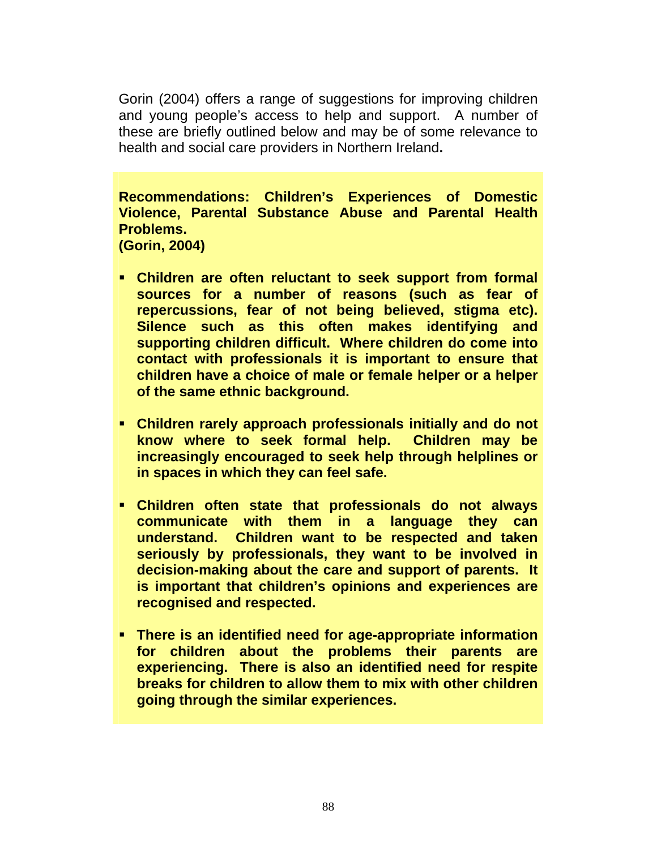Gorin (2004) offers a range of suggestions for improving children and young people's access to help and support. A number of these are briefly outlined below and may be of some relevance to health and social care providers in Northern Ireland**.** 

**Recommendations: Children's Experiences of Domestic Violence, Parental Substance Abuse and Parental Health Problems. (Gorin, 2004)** 

- **Children are often reluctant to seek support from formal sources for a number of reasons (such as fear of repercussions, fear of not being believed, stigma etc). Silence such as this often makes identifying and supporting children difficult. Where children do come into contact with professionals it is important to ensure that children have a choice of male or female helper or a helper of the same ethnic background.**
- **Children rarely approach professionals initially and do not know where to seek formal help. Children may be increasingly encouraged to seek help through helplines or in spaces in which they can feel safe.**
- **Children often state that professionals do not always communicate with them in a language they can understand. Children want to be respected and taken seriously by professionals, they want to be involved in decision-making about the care and support of parents. It is important that children's opinions and experiences are recognised and respected.**
- **There is an identified need for age-appropriate information for children about the problems their parents are experiencing. There is also an identified need for respite breaks for children to allow them to mix with other children going through the similar experiences.**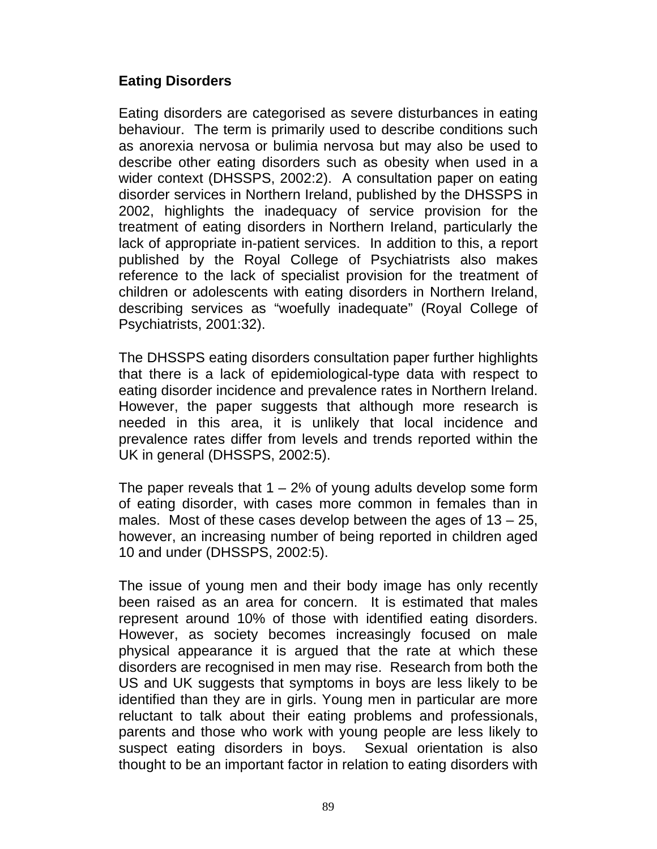## **Eating Disorders**

Eating disorders are categorised as severe disturbances in eating behaviour. The term is primarily used to describe conditions such as anorexia nervosa or bulimia nervosa but may also be used to describe other eating disorders such as obesity when used in a wider context (DHSSPS, 2002:2). A consultation paper on eating disorder services in Northern Ireland, published by the DHSSPS in 2002, highlights the inadequacy of service provision for the treatment of eating disorders in Northern Ireland, particularly the lack of appropriate in-patient services. In addition to this, a report published by the Royal College of Psychiatrists also makes reference to the lack of specialist provision for the treatment of children or adolescents with eating disorders in Northern Ireland, describing services as "woefully inadequate" (Royal College of Psychiatrists, 2001:32).

The DHSSPS eating disorders consultation paper further highlights that there is a lack of epidemiological-type data with respect to eating disorder incidence and prevalence rates in Northern Ireland. However, the paper suggests that although more research is needed in this area, it is unlikely that local incidence and prevalence rates differ from levels and trends reported within the UK in general (DHSSPS, 2002:5).

The paper reveals that  $1 - 2\%$  of young adults develop some form of eating disorder, with cases more common in females than in males. Most of these cases develop between the ages of  $13 - 25$ , however, an increasing number of being reported in children aged 10 and under (DHSSPS, 2002:5).

The issue of young men and their body image has only recently been raised as an area for concern. It is estimated that males represent around 10% of those with identified eating disorders. However, as society becomes increasingly focused on male physical appearance it is argued that the rate at which these disorders are recognised in men may rise. Research from both the US and UK suggests that symptoms in boys are less likely to be identified than they are in girls. Young men in particular are more reluctant to talk about their eating problems and professionals, parents and those who work with young people are less likely to suspect eating disorders in boys. Sexual orientation is also thought to be an important factor in relation to eating disorders with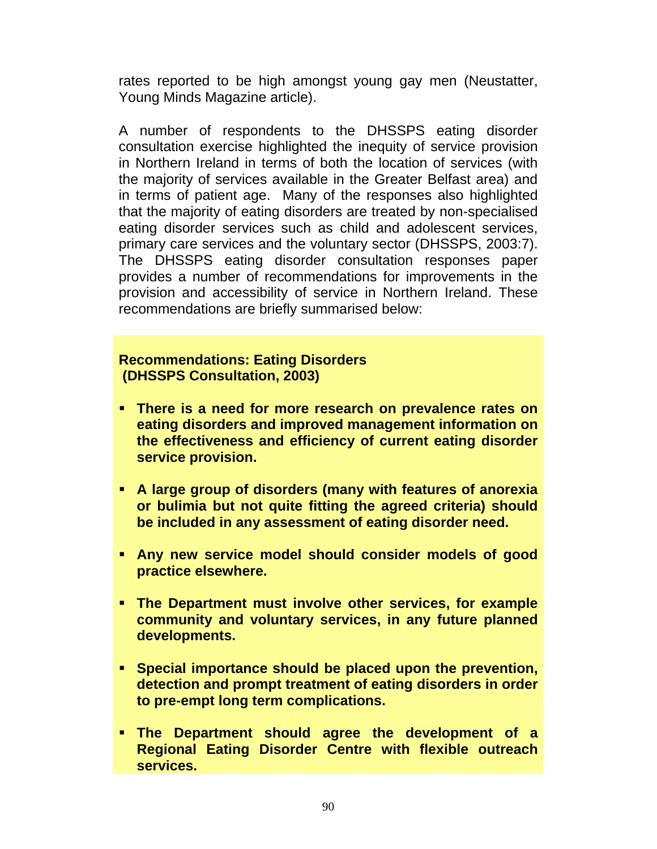rates reported to be high amongst young gay men (Neustatter, Young Minds Magazine article).

A number of respondents to the DHSSPS eating disorder consultation exercise highlighted the inequity of service provision in Northern Ireland in terms of both the location of services (with the majority of services available in the Greater Belfast area) and in terms of patient age. Many of the responses also highlighted that the majority of eating disorders are treated by non-specialised eating disorder services such as child and adolescent services, primary care services and the voluntary sector (DHSSPS, 2003:7). The DHSSPS eating disorder consultation responses paper provides a number of recommendations for improvements in the provision and accessibility of service in Northern Ireland. These recommendations are briefly summarised below:

#### **Recommendations: Eating Disorders (DHSSPS Consultation, 2003)**

- **There is a need for more research on prevalence rates on eating disorders and improved management information on the effectiveness and efficiency of current eating disorder service provision.**
- **A large group of disorders (many with features of anorexia or bulimia but not quite fitting the agreed criteria) should be included in any assessment of eating disorder need.**
- **Any new service model should consider models of good practice elsewhere.**
- **The Department must involve other services, for example community and voluntary services, in any future planned developments.**
- **Special importance should be placed upon the prevention, detection and prompt treatment of eating disorders in order to pre-empt long term complications.**
- **The Department should agree the development of a Regional Eating Disorder Centre with flexible outreach services.**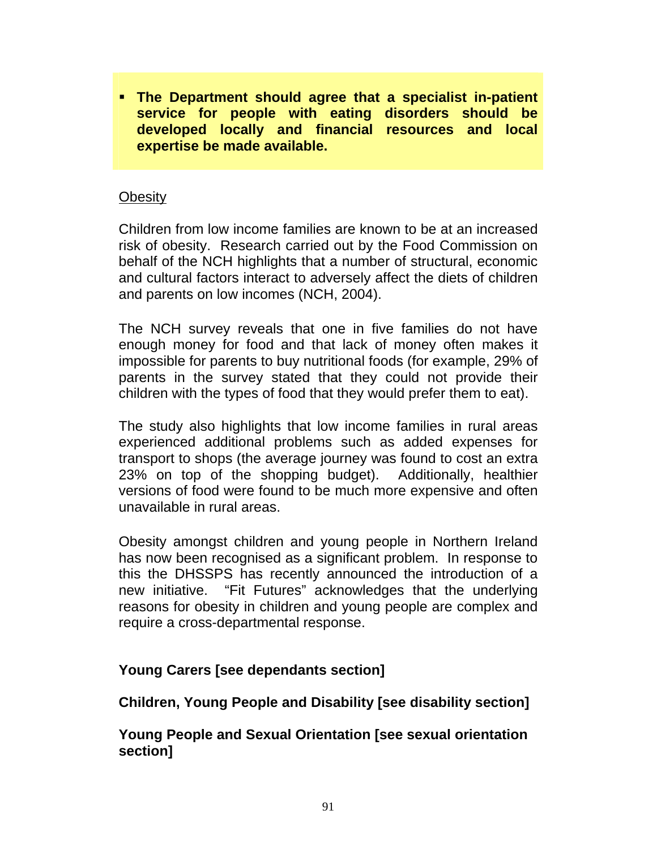**The Department should agree that a specialist in-patient service for people with eating disorders should be developed locally and financial resources and local expertise be made available.** 

#### **Obesity**

Children from low income families are known to be at an increased risk of obesity. Research carried out by the Food Commission on behalf of the NCH highlights that a number of structural, economic and cultural factors interact to adversely affect the diets of children and parents on low incomes (NCH, 2004).

The NCH survey reveals that one in five families do not have enough money for food and that lack of money often makes it impossible for parents to buy nutritional foods (for example, 29% of parents in the survey stated that they could not provide their children with the types of food that they would prefer them to eat).

The study also highlights that low income families in rural areas experienced additional problems such as added expenses for transport to shops (the average journey was found to cost an extra 23% on top of the shopping budget). Additionally, healthier versions of food were found to be much more expensive and often unavailable in rural areas.

Obesity amongst children and young people in Northern Ireland has now been recognised as a significant problem. In response to this the DHSSPS has recently announced the introduction of a new initiative. "Fit Futures" acknowledges that the underlying reasons for obesity in children and young people are complex and require a cross-departmental response.

### **Young Carers [see dependants section]**

**Children, Young People and Disability [see disability section]** 

**Young People and Sexual Orientation [see sexual orientation section]**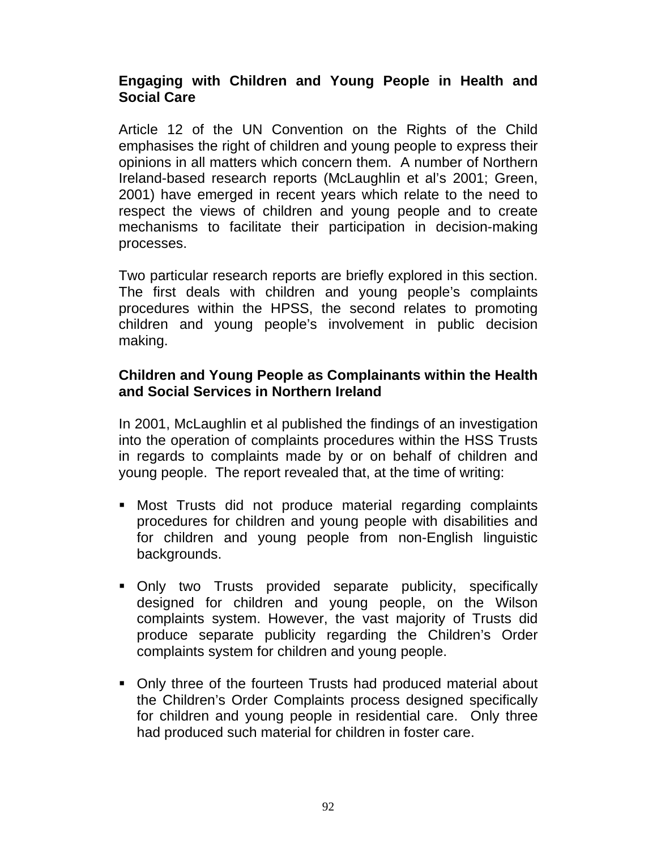### **Engaging with Children and Young People in Health and Social Care**

Article 12 of the UN Convention on the Rights of the Child emphasises the right of children and young people to express their opinions in all matters which concern them. A number of Northern Ireland-based research reports (McLaughlin et al's 2001; Green, 2001) have emerged in recent years which relate to the need to respect the views of children and young people and to create mechanisms to facilitate their participation in decision-making processes.

Two particular research reports are briefly explored in this section. The first deals with children and young people's complaints procedures within the HPSS, the second relates to promoting children and young people's involvement in public decision making.

### **Children and Young People as Complainants within the Health and Social Services in Northern Ireland**

In 2001, McLaughlin et al published the findings of an investigation into the operation of complaints procedures within the HSS Trusts in regards to complaints made by or on behalf of children and young people. The report revealed that, at the time of writing:

- Most Trusts did not produce material regarding complaints procedures for children and young people with disabilities and for children and young people from non-English linguistic backgrounds.
- Only two Trusts provided separate publicity, specifically designed for children and young people, on the Wilson complaints system. However, the vast majority of Trusts did produce separate publicity regarding the Children's Order complaints system for children and young people.
- Only three of the fourteen Trusts had produced material about the Children's Order Complaints process designed specifically for children and young people in residential care. Only three had produced such material for children in foster care.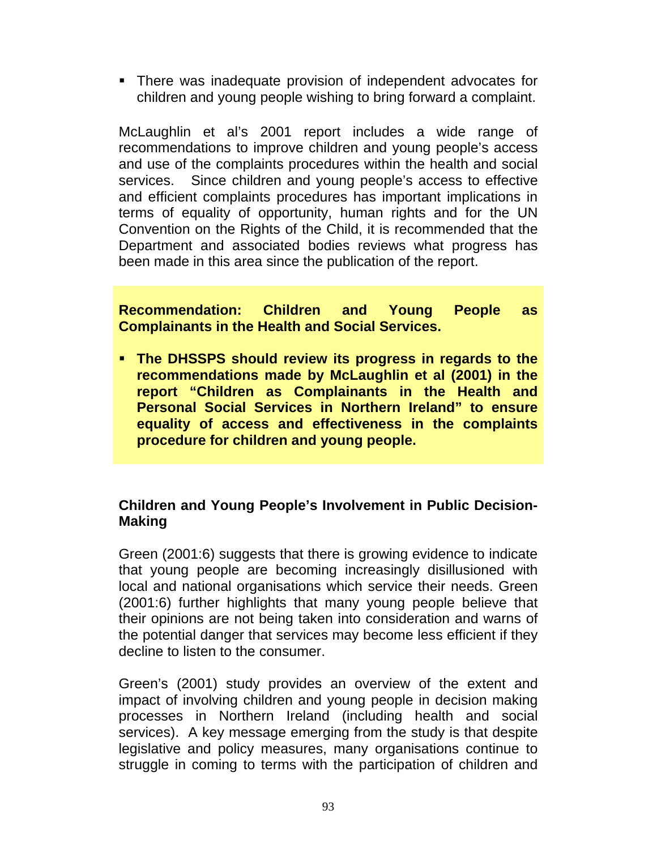There was inadequate provision of independent advocates for children and young people wishing to bring forward a complaint.

McLaughlin et al's 2001 report includes a wide range of recommendations to improve children and young people's access and use of the complaints procedures within the health and social services. Since children and young people's access to effective and efficient complaints procedures has important implications in terms of equality of opportunity, human rights and for the UN Convention on the Rights of the Child, it is recommended that the Department and associated bodies reviews what progress has been made in this area since the publication of the report.

**Recommendation: Children and Young People as Complainants in the Health and Social Services.** 

 **The DHSSPS should review its progress in regards to the recommendations made by McLaughlin et al (2001) in the report "Children as Complainants in the Health and Personal Social Services in Northern Ireland" to ensure equality of access and effectiveness in the complaints procedure for children and young people.** 

### **Children and Young People's Involvement in Public Decision-Making**

Green (2001:6) suggests that there is growing evidence to indicate that young people are becoming increasingly disillusioned with local and national organisations which service their needs. Green (2001:6) further highlights that many young people believe that their opinions are not being taken into consideration and warns of the potential danger that services may become less efficient if they decline to listen to the consumer.

Green's (2001) study provides an overview of the extent and impact of involving children and young people in decision making processes in Northern Ireland (including health and social services). A key message emerging from the study is that despite legislative and policy measures, many organisations continue to struggle in coming to terms with the participation of children and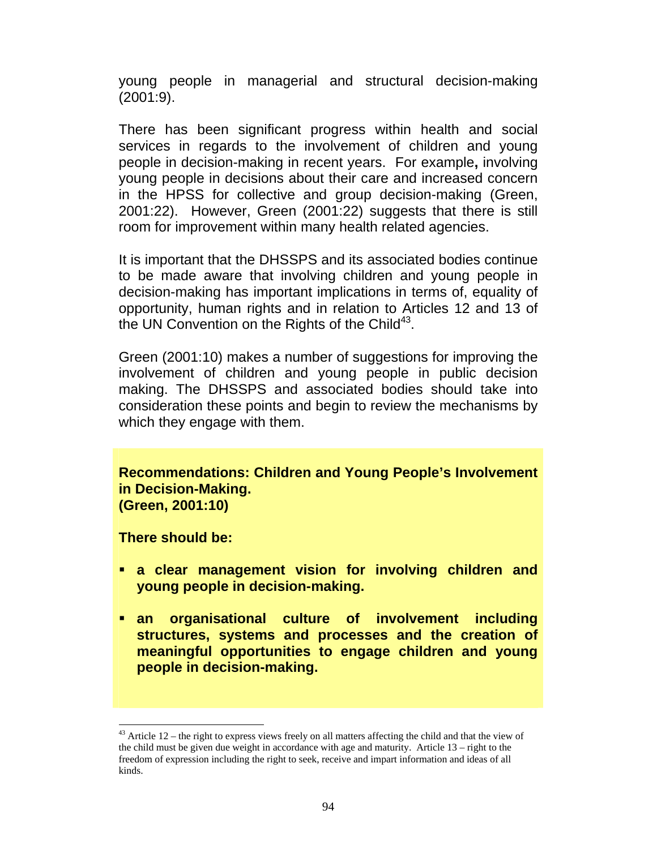young people in managerial and structural decision-making (2001:9).

There has been significant progress within health and social services in regards to the involvement of children and young people in decision-making in recent years. For example**,** involving young people in decisions about their care and increased concern in the HPSS for collective and group decision-making (Green, 2001:22). However, Green (2001:22) suggests that there is still room for improvement within many health related agencies.

It is important that the DHSSPS and its associated bodies continue to be made aware that involving children and young people in decision-making has important implications in terms of, equality of opportunity, human rights and in relation to Articles 12 and 13 of the UN Convention on the Rights of the Child<sup>43</sup>.

Green (2001:10) makes a number of suggestions for improving the involvement of children and young people in public decision making. The DHSSPS and associated bodies should take into consideration these points and begin to review the mechanisms by which they engage with them.

**Recommendations: Children and Young People's Involvement in Decision-Making. (Green, 2001:10)** 

**There should be:** 

 $\overline{a}$ 

- **a clear management vision for involving children and young people in decision-making.**
- **an organisational culture of involvement including structures, systems and processes and the creation of meaningful opportunities to engage children and young people in decision-making.**

 $43$  Article 12 – the right to express views freely on all matters affecting the child and that the view of the child must be given due weight in accordance with age and maturity. Article 13 – right to the freedom of expression including the right to seek, receive and impart information and ideas of all kinds.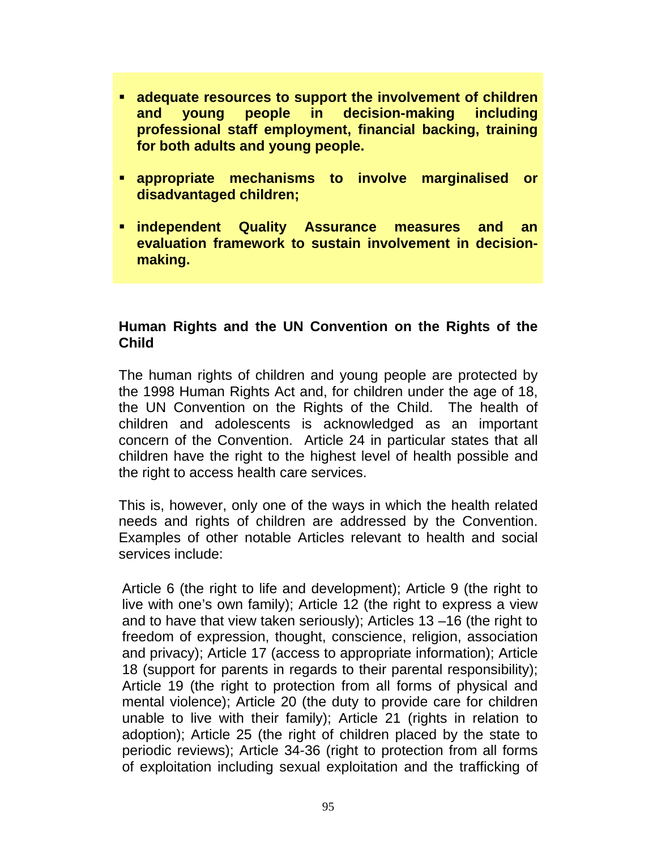- **adequate resources to support the involvement of children and young people in decision-making including professional staff employment, financial backing, training for both adults and young people.**
- **appropriate mechanisms to involve marginalised or disadvantaged children;**
- **independent Quality Assurance measures and an evaluation framework to sustain involvement in decisionmaking.**

### **Human Rights and the UN Convention on the Rights of the Child**

The human rights of children and young people are protected by the 1998 Human Rights Act and, for children under the age of 18, the UN Convention on the Rights of the Child. The health of children and adolescents is acknowledged as an important concern of the Convention. Article 24 in particular states that all children have the right to the highest level of health possible and the right to access health care services.

This is, however, only one of the ways in which the health related needs and rights of children are addressed by the Convention. Examples of other notable Articles relevant to health and social services include:

Article 6 (the right to life and development); Article 9 (the right to live with one's own family); Article 12 (the right to express a view and to have that view taken seriously); Articles 13 –16 (the right to freedom of expression, thought, conscience, religion, association and privacy); Article 17 (access to appropriate information); Article 18 (support for parents in regards to their parental responsibility); Article 19 (the right to protection from all forms of physical and mental violence); Article 20 (the duty to provide care for children unable to live with their family); Article 21 (rights in relation to adoption); Article 25 (the right of children placed by the state to periodic reviews); Article 34-36 (right to protection from all forms of exploitation including sexual exploitation and the trafficking of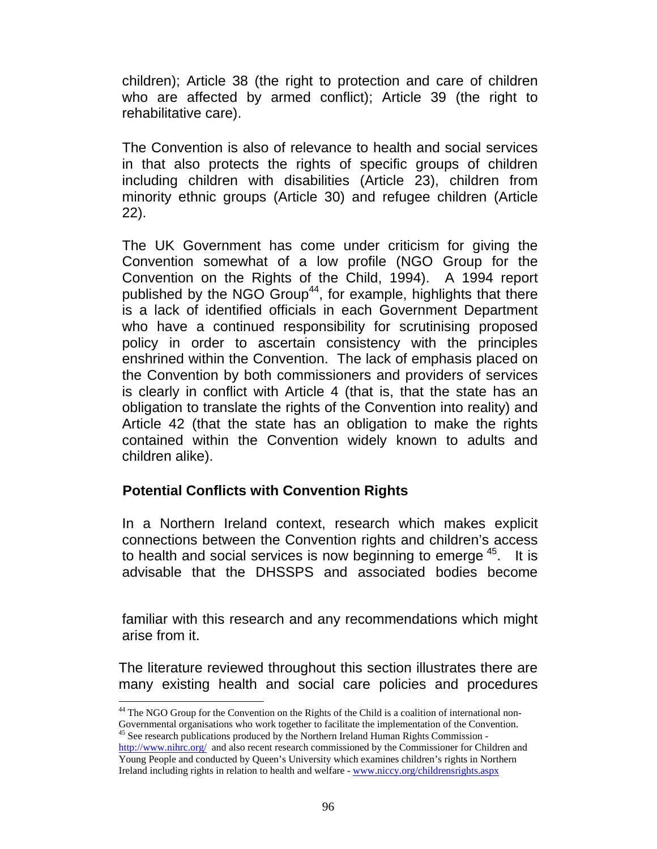children); Article 38 (the right to protection and care of children who are affected by armed conflict); Article 39 (the right to rehabilitative care).

The Convention is also of relevance to health and social services in that also protects the rights of specific groups of children including children with disabilities (Article 23), children from minority ethnic groups (Article 30) and refugee children (Article 22).

The UK Government has come under criticism for giving the Convention somewhat of a low profile (NGO Group for the Convention on the Rights of the Child, 1994). A 1994 report published by the NGO Group<sup>44</sup>, for example, highlights that there is a lack of identified officials in each Government Department who have a continued responsibility for scrutinising proposed policy in order to ascertain consistency with the principles enshrined within the Convention. The lack of emphasis placed on the Convention by both commissioners and providers of services is clearly in conflict with Article 4 (that is, that the state has an obligation to translate the rights of the Convention into reality) and Article 42 (that the state has an obligation to make the rights contained within the Convention widely known to adults and children alike).

### **Potential Conflicts with Convention Rights**

l

In a Northern Ireland context, research which makes explicit connections between the Convention rights and children's access to health and social services is now beginning to emerge <sup>45</sup>. It is advisable that the DHSSPS and associated bodies become

familiar with this research and any recommendations which might arise from it.

The literature reviewed throughout this section illustrates there are many existing health and social care policies and procedures

<sup>&</sup>lt;sup>44</sup> The NGO Group for the Convention on the Rights of the Child is a coalition of international non-Governmental organisations who work together to facilitate the implementation of the Convention. <sup>45</sup> See research publications produced by the Northern Ireland Human Rights Commission -

http://www.nihrc.org/ and also recent research commissioned by the Commissioner for Children and Young People and conducted by Queen's University which examines children's rights in Northern Ireland including rights in relation to health and welfare - www.niccy.org/childrensrights.aspx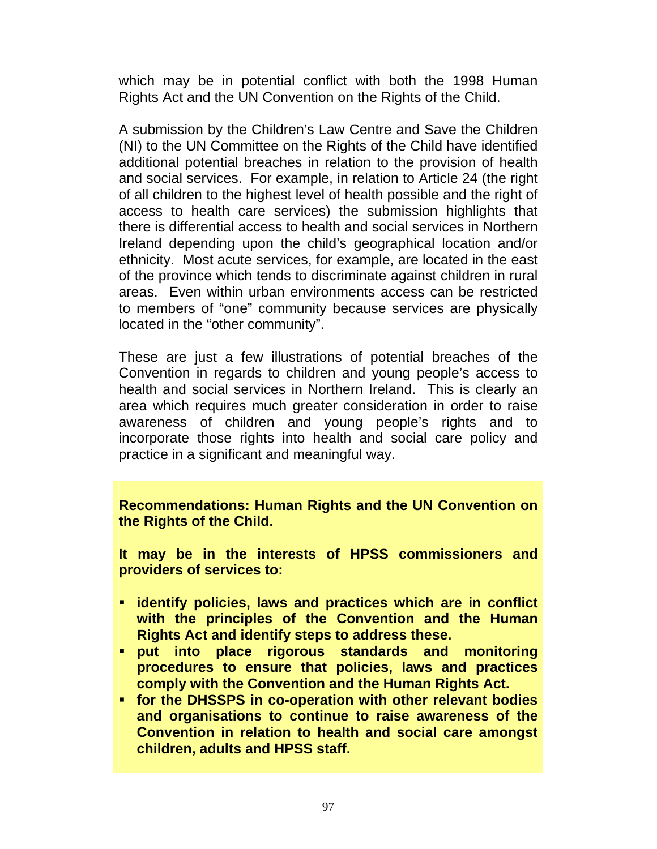which may be in potential conflict with both the 1998 Human Rights Act and the UN Convention on the Rights of the Child.

A submission by the Children's Law Centre and Save the Children (NI) to the UN Committee on the Rights of the Child have identified additional potential breaches in relation to the provision of health and social services. For example, in relation to Article 24 (the right of all children to the highest level of health possible and the right of access to health care services) the submission highlights that there is differential access to health and social services in Northern Ireland depending upon the child's geographical location and/or ethnicity. Most acute services, for example, are located in the east of the province which tends to discriminate against children in rural areas. Even within urban environments access can be restricted to members of "one" community because services are physically located in the "other community".

These are just a few illustrations of potential breaches of the Convention in regards to children and young people's access to health and social services in Northern Ireland. This is clearly an area which requires much greater consideration in order to raise awareness of children and young people's rights and to incorporate those rights into health and social care policy and practice in a significant and meaningful way.

**Recommendations: Human Rights and the UN Convention on the Rights of the Child.** 

**It may be in the interests of HPSS commissioners and providers of services to:** 

- **identify policies, laws and practices which are in conflict with the principles of the Convention and the Human Rights Act and identify steps to address these.**
- **put into place rigorous standards and monitoring procedures to ensure that policies, laws and practices comply with the Convention and the Human Rights Act.**
- **for the DHSSPS in co-operation with other relevant bodies and organisations to continue to raise awareness of the Convention in relation to health and social care amongst children, adults and HPSS staff.**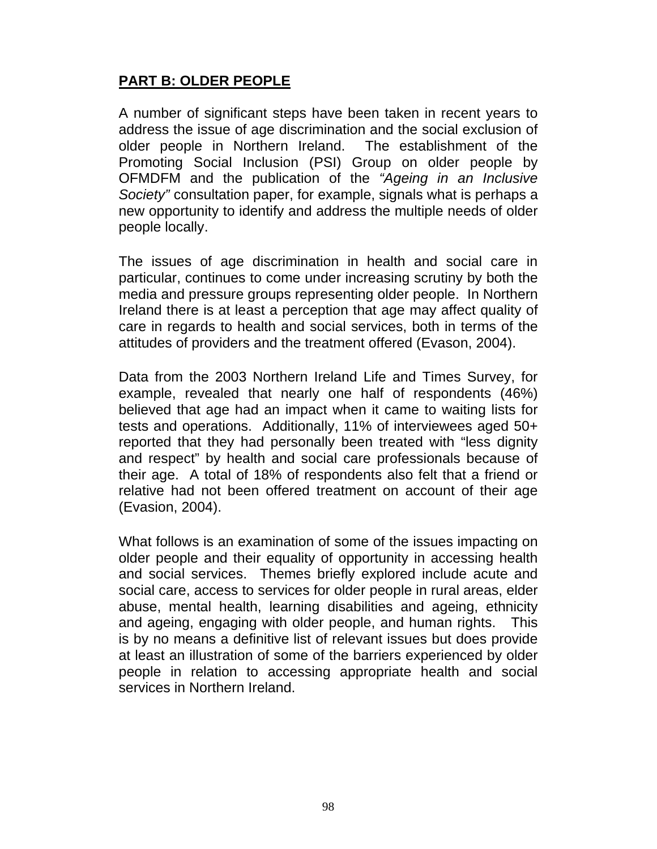## **PART B: OLDER PEOPLE**

A number of significant steps have been taken in recent years to address the issue of age discrimination and the social exclusion of older people in Northern Ireland. The establishment of the Promoting Social Inclusion (PSI) Group on older people by OFMDFM and the publication of the *"Ageing in an Inclusive Society"* consultation paper, for example, signals what is perhaps a new opportunity to identify and address the multiple needs of older people locally.

The issues of age discrimination in health and social care in particular, continues to come under increasing scrutiny by both the media and pressure groups representing older people. In Northern Ireland there is at least a perception that age may affect quality of care in regards to health and social services, both in terms of the attitudes of providers and the treatment offered (Evason, 2004).

Data from the 2003 Northern Ireland Life and Times Survey, for example, revealed that nearly one half of respondents (46%) believed that age had an impact when it came to waiting lists for tests and operations. Additionally, 11% of interviewees aged 50+ reported that they had personally been treated with "less dignity and respect" by health and social care professionals because of their age. A total of 18% of respondents also felt that a friend or relative had not been offered treatment on account of their age (Evasion, 2004).

What follows is an examination of some of the issues impacting on older people and their equality of opportunity in accessing health and social services. Themes briefly explored include acute and social care, access to services for older people in rural areas, elder abuse, mental health, learning disabilities and ageing, ethnicity and ageing, engaging with older people, and human rights. This is by no means a definitive list of relevant issues but does provide at least an illustration of some of the barriers experienced by older people in relation to accessing appropriate health and social services in Northern Ireland.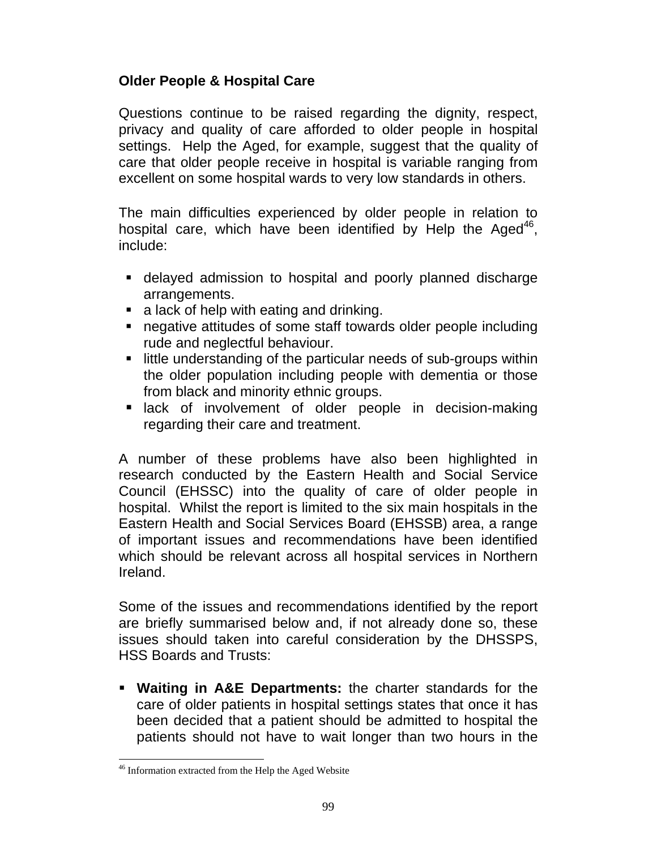## **Older People & Hospital Care**

Questions continue to be raised regarding the dignity, respect, privacy and quality of care afforded to older people in hospital settings. Help the Aged, for example, suggest that the quality of care that older people receive in hospital is variable ranging from excellent on some hospital wards to very low standards in others.

The main difficulties experienced by older people in relation to hospital care, which have been identified by Help the Aged $46$ , include:

- delayed admission to hospital and poorly planned discharge arrangements.
- **a** lack of help with eating and drinking.
- negative attitudes of some staff towards older people including rude and neglectful behaviour.
- **E** little understanding of the particular needs of sub-groups within the older population including people with dementia or those from black and minority ethnic groups.
- **E** lack of involvement of older people in decision-making regarding their care and treatment.

A number of these problems have also been highlighted in research conducted by the Eastern Health and Social Service Council (EHSSC) into the quality of care of older people in hospital. Whilst the report is limited to the six main hospitals in the Eastern Health and Social Services Board (EHSSB) area, a range of important issues and recommendations have been identified which should be relevant across all hospital services in Northern Ireland.

Some of the issues and recommendations identified by the report are briefly summarised below and, if not already done so, these issues should taken into careful consideration by the DHSSPS, HSS Boards and Trusts:

 **Waiting in A&E Departments:** the charter standards for the care of older patients in hospital settings states that once it has been decided that a patient should be admitted to hospital the patients should not have to wait longer than two hours in the

l <sup>46</sup> Information extracted from the Help the Aged Website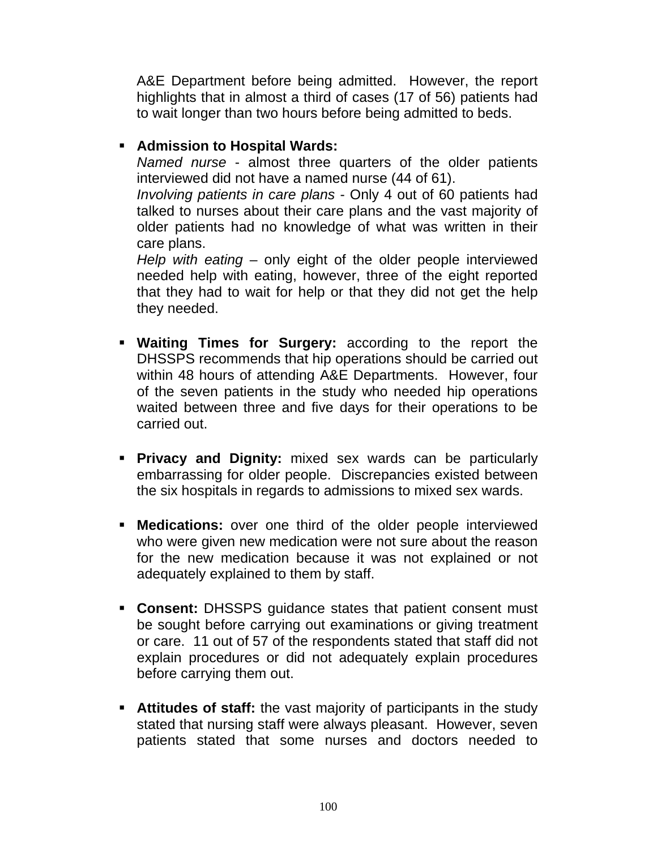A&E Department before being admitted. However, the report highlights that in almost a third of cases (17 of 56) patients had to wait longer than two hours before being admitted to beds.

### **Admission to Hospital Wards:**

*Named nurse* - almost three quarters of the older patients interviewed did not have a named nurse (44 of 61).

*Involving patients in care plans* - Only 4 out of 60 patients had talked to nurses about their care plans and the vast majority of older patients had no knowledge of what was written in their care plans.

*Help with eating* – only eight of the older people interviewed needed help with eating, however, three of the eight reported that they had to wait for help or that they did not get the help they needed.

- **Waiting Times for Surgery:** according to the report the DHSSPS recommends that hip operations should be carried out within 48 hours of attending A&E Departments. However, four of the seven patients in the study who needed hip operations waited between three and five days for their operations to be carried out.
- **Privacy and Dignity:** mixed sex wards can be particularly embarrassing for older people. Discrepancies existed between the six hospitals in regards to admissions to mixed sex wards.
- **Medications:** over one third of the older people interviewed who were given new medication were not sure about the reason for the new medication because it was not explained or not adequately explained to them by staff.
- **Consent:** DHSSPS guidance states that patient consent must be sought before carrying out examinations or giving treatment or care. 11 out of 57 of the respondents stated that staff did not explain procedures or did not adequately explain procedures before carrying them out.
- **Attitudes of staff:** the vast majority of participants in the study stated that nursing staff were always pleasant. However, seven patients stated that some nurses and doctors needed to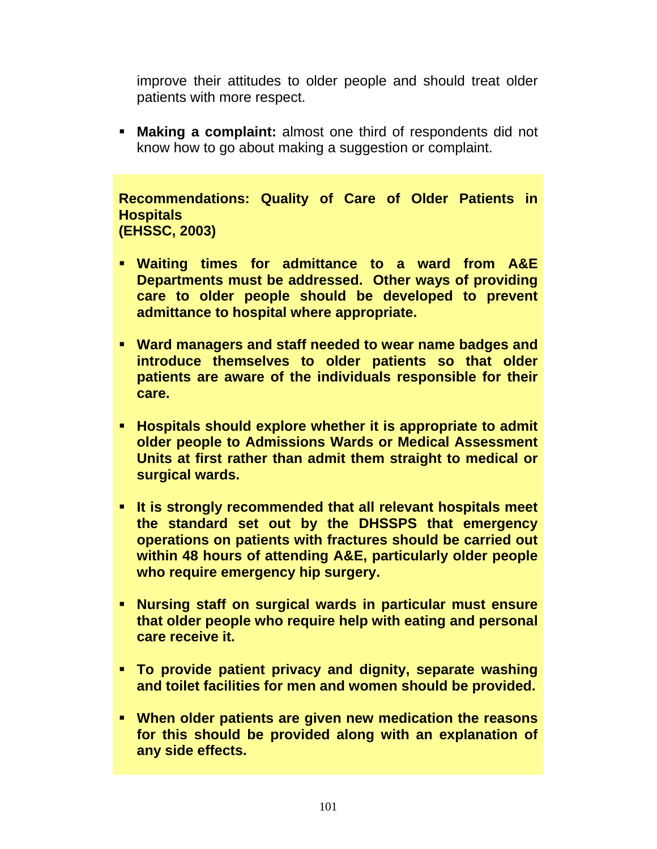improve their attitudes to older people and should treat older patients with more respect.

 **Making a complaint:** almost one third of respondents did not know how to go about making a suggestion or complaint.

**Recommendations: Quality of Care of Older Patients in Hospitals (EHSSC, 2003)** 

- **Waiting times for admittance to a ward from A&E Departments must be addressed. Other ways of providing care to older people should be developed to prevent admittance to hospital where appropriate.**
- **Ward managers and staff needed to wear name badges and introduce themselves to older patients so that older patients are aware of the individuals responsible for their care.**
- **Hospitals should explore whether it is appropriate to admit older people to Admissions Wards or Medical Assessment Units at first rather than admit them straight to medical or surgical wards.**
- **It is strongly recommended that all relevant hospitals meet the standard set out by the DHSSPS that emergency operations on patients with fractures should be carried out within 48 hours of attending A&E, particularly older people who require emergency hip surgery.**
- **Nursing staff on surgical wards in particular must ensure that older people who require help with eating and personal care receive it.**
- **To provide patient privacy and dignity, separate washing and toilet facilities for men and women should be provided.**
- **When older patients are given new medication the reasons for this should be provided along with an explanation of any side effects.**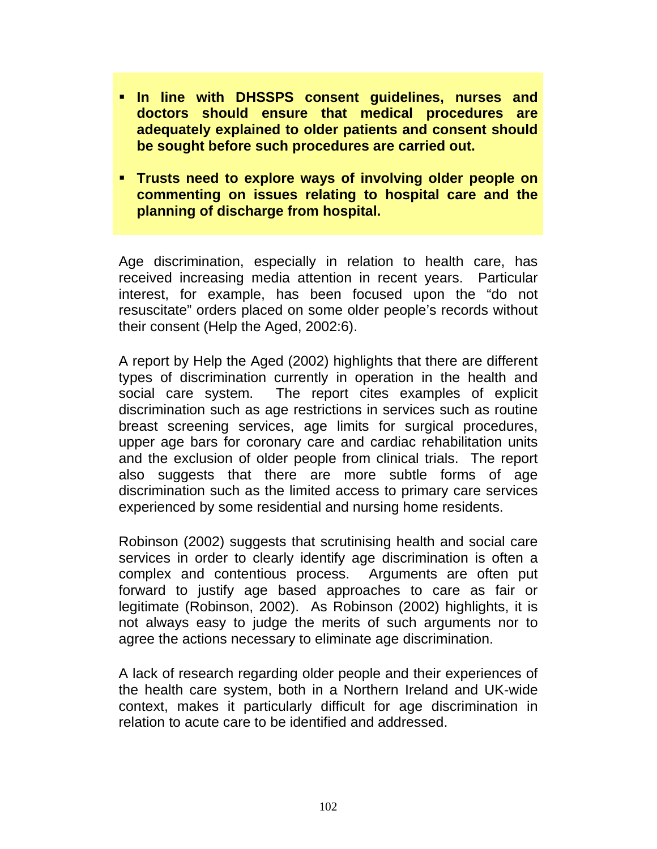- **In line with DHSSPS consent guidelines, nurses and doctors should ensure that medical procedures are adequately explained to older patients and consent should be sought before such procedures are carried out.**
- **Trusts need to explore ways of involving older people on commenting on issues relating to hospital care and the planning of discharge from hospital.**

Age discrimination, especially in relation to health care, has received increasing media attention in recent years. Particular interest, for example, has been focused upon the "do not resuscitate" orders placed on some older people's records without their consent (Help the Aged, 2002:6).

A report by Help the Aged (2002) highlights that there are different types of discrimination currently in operation in the health and social care system. The report cites examples of explicit discrimination such as age restrictions in services such as routine breast screening services, age limits for surgical procedures, upper age bars for coronary care and cardiac rehabilitation units and the exclusion of older people from clinical trials. The report also suggests that there are more subtle forms of age discrimination such as the limited access to primary care services experienced by some residential and nursing home residents.

Robinson (2002) suggests that scrutinising health and social care services in order to clearly identify age discrimination is often a complex and contentious process. Arguments are often put forward to justify age based approaches to care as fair or legitimate (Robinson, 2002). As Robinson (2002) highlights, it is not always easy to judge the merits of such arguments nor to agree the actions necessary to eliminate age discrimination.

A lack of research regarding older people and their experiences of the health care system, both in a Northern Ireland and UK-wide context, makes it particularly difficult for age discrimination in relation to acute care to be identified and addressed.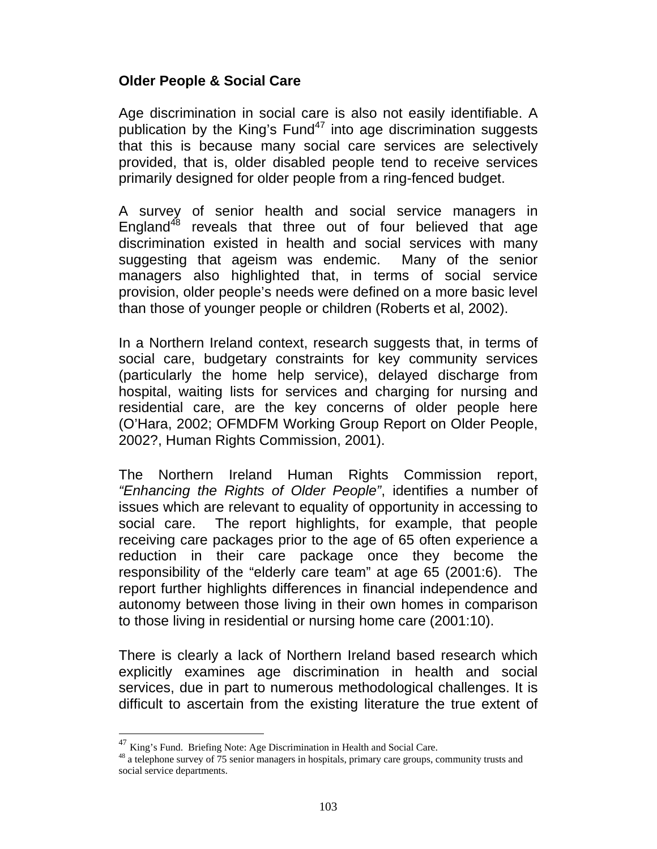### **Older People & Social Care**

Age discrimination in social care is also not easily identifiable. A publication by the King's Fund<sup>47</sup> into age discrimination suggests that this is because many social care services are selectively provided, that is, older disabled people tend to receive services primarily designed for older people from a ring-fenced budget.

A survey of senior health and social service managers in England $48$  reveals that three out of four believed that age discrimination existed in health and social services with many suggesting that ageism was endemic. Many of the senior managers also highlighted that, in terms of social service provision, older people's needs were defined on a more basic level than those of younger people or children (Roberts et al, 2002).

In a Northern Ireland context, research suggests that, in terms of social care, budgetary constraints for key community services (particularly the home help service), delayed discharge from hospital, waiting lists for services and charging for nursing and residential care, are the key concerns of older people here (O'Hara, 2002; OFMDFM Working Group Report on Older People, 2002?, Human Rights Commission, 2001).

The Northern Ireland Human Rights Commission report, *"Enhancing the Rights of Older People"*, identifies a number of issues which are relevant to equality of opportunity in accessing to social care. The report highlights, for example, that people receiving care packages prior to the age of 65 often experience a reduction in their care package once they become the responsibility of the "elderly care team" at age 65 (2001:6). The report further highlights differences in financial independence and autonomy between those living in their own homes in comparison to those living in residential or nursing home care (2001:10).

There is clearly a lack of Northern Ireland based research which explicitly examines age discrimination in health and social services, due in part to numerous methodological challenges. It is difficult to ascertain from the existing literature the true extent of

 $\overline{a}$ 

 $47$  King's Fund. Briefing Note: Age Discrimination in Health and Social Care.<br> $48$  a telephone survey of 75 senior managers in hospitals, primary care groups, community trusts and social service departments.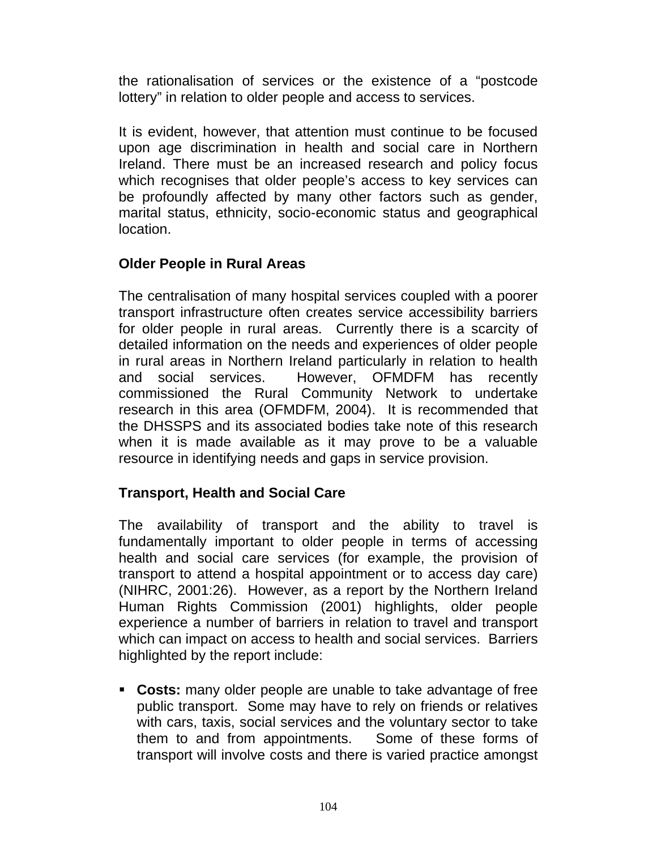the rationalisation of services or the existence of a "postcode lottery" in relation to older people and access to services.

It is evident, however, that attention must continue to be focused upon age discrimination in health and social care in Northern Ireland. There must be an increased research and policy focus which recognises that older people's access to key services can be profoundly affected by many other factors such as gender, marital status, ethnicity, socio-economic status and geographical location.

### **Older People in Rural Areas**

The centralisation of many hospital services coupled with a poorer transport infrastructure often creates service accessibility barriers for older people in rural areas. Currently there is a scarcity of detailed information on the needs and experiences of older people in rural areas in Northern Ireland particularly in relation to health and social services. However, OFMDFM has recently commissioned the Rural Community Network to undertake research in this area (OFMDFM, 2004). It is recommended that the DHSSPS and its associated bodies take note of this research when it is made available as it may prove to be a valuable resource in identifying needs and gaps in service provision.

### **Transport, Health and Social Care**

The availability of transport and the ability to travel is fundamentally important to older people in terms of accessing health and social care services (for example, the provision of transport to attend a hospital appointment or to access day care) (NIHRC, 2001:26). However, as a report by the Northern Ireland Human Rights Commission (2001) highlights, older people experience a number of barriers in relation to travel and transport which can impact on access to health and social services. Barriers highlighted by the report include:

 **Costs:** many older people are unable to take advantage of free public transport. Some may have to rely on friends or relatives with cars, taxis, social services and the voluntary sector to take them to and from appointments. Some of these forms of transport will involve costs and there is varied practice amongst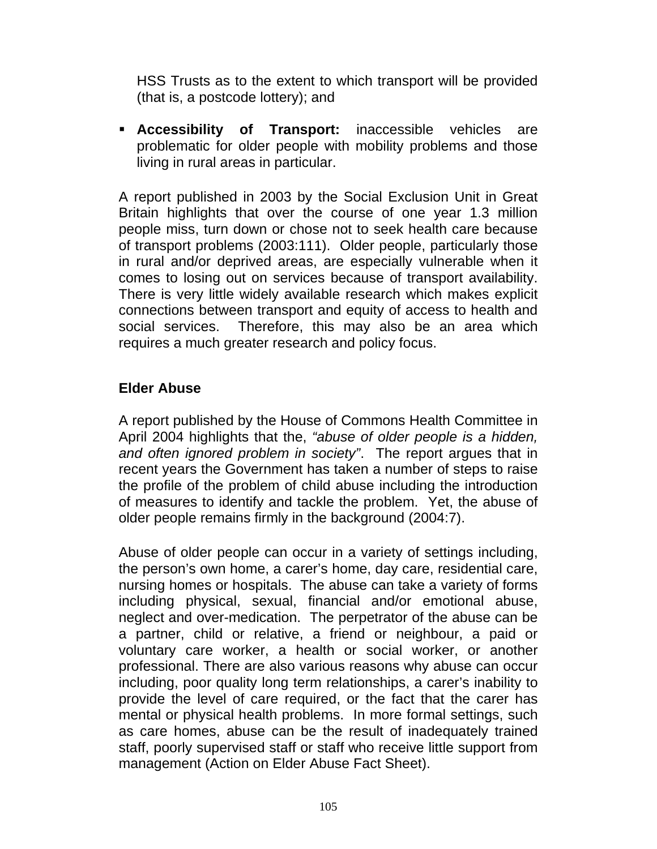HSS Trusts as to the extent to which transport will be provided (that is, a postcode lottery); and

 **Accessibility of Transport:** inaccessible vehicles are problematic for older people with mobility problems and those living in rural areas in particular.

A report published in 2003 by the Social Exclusion Unit in Great Britain highlights that over the course of one year 1.3 million people miss, turn down or chose not to seek health care because of transport problems (2003:111). Older people, particularly those in rural and/or deprived areas, are especially vulnerable when it comes to losing out on services because of transport availability. There is very little widely available research which makes explicit connections between transport and equity of access to health and social services. Therefore, this may also be an area which requires a much greater research and policy focus.

## **Elder Abuse**

A report published by the House of Commons Health Committee in April 2004 highlights that the, *"abuse of older people is a hidden, and often ignored problem in society"*. The report argues that in recent years the Government has taken a number of steps to raise the profile of the problem of child abuse including the introduction of measures to identify and tackle the problem. Yet, the abuse of older people remains firmly in the background (2004:7).

Abuse of older people can occur in a variety of settings including, the person's own home, a carer's home, day care, residential care, nursing homes or hospitals. The abuse can take a variety of forms including physical, sexual, financial and/or emotional abuse, neglect and over-medication. The perpetrator of the abuse can be a partner, child or relative, a friend or neighbour, a paid or voluntary care worker, a health or social worker, or another professional. There are also various reasons why abuse can occur including, poor quality long term relationships, a carer's inability to provide the level of care required, or the fact that the carer has mental or physical health problems. In more formal settings, such as care homes, abuse can be the result of inadequately trained staff, poorly supervised staff or staff who receive little support from management (Action on Elder Abuse Fact Sheet).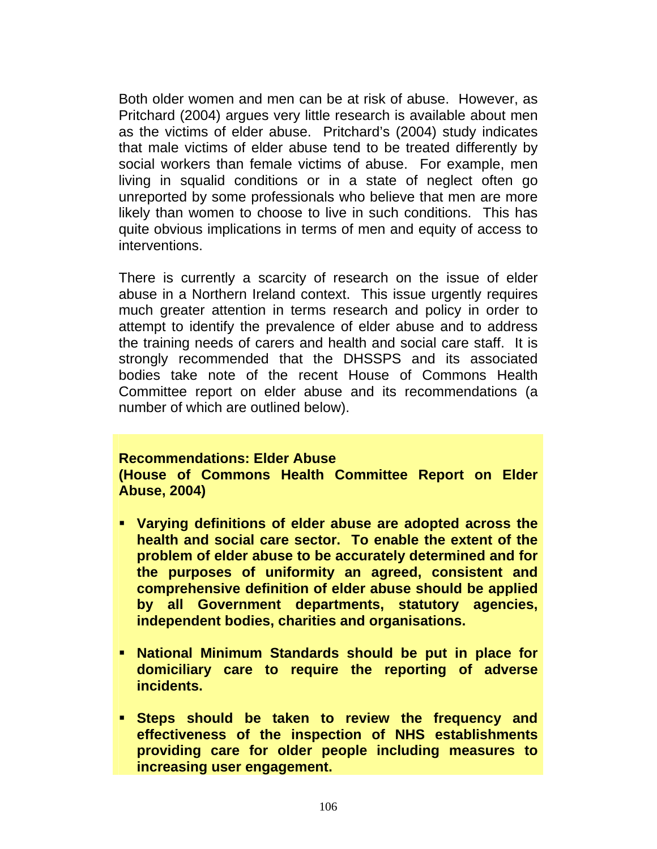Both older women and men can be at risk of abuse. However, as Pritchard (2004) argues very little research is available about men as the victims of elder abuse. Pritchard's (2004) study indicates that male victims of elder abuse tend to be treated differently by social workers than female victims of abuse. For example, men living in squalid conditions or in a state of neglect often go unreported by some professionals who believe that men are more likely than women to choose to live in such conditions. This has quite obvious implications in terms of men and equity of access to interventions.

There is currently a scarcity of research on the issue of elder abuse in a Northern Ireland context. This issue urgently requires much greater attention in terms research and policy in order to attempt to identify the prevalence of elder abuse and to address the training needs of carers and health and social care staff. It is strongly recommended that the DHSSPS and its associated bodies take note of the recent House of Commons Health Committee report on elder abuse and its recommendations (a number of which are outlined below).

#### **Recommendations: Elder Abuse**

**(House of Commons Health Committee Report on Elder Abuse, 2004)** 

- **Varying definitions of elder abuse are adopted across the health and social care sector. To enable the extent of the problem of elder abuse to be accurately determined and for the purposes of uniformity an agreed, consistent and comprehensive definition of elder abuse should be applied by all Government departments, statutory agencies, independent bodies, charities and organisations.**
- **National Minimum Standards should be put in place for domiciliary care to require the reporting of adverse incidents.**
- **Steps should be taken to review the frequency and effectiveness of the inspection of NHS establishments providing care for older people including measures to increasing user engagement.**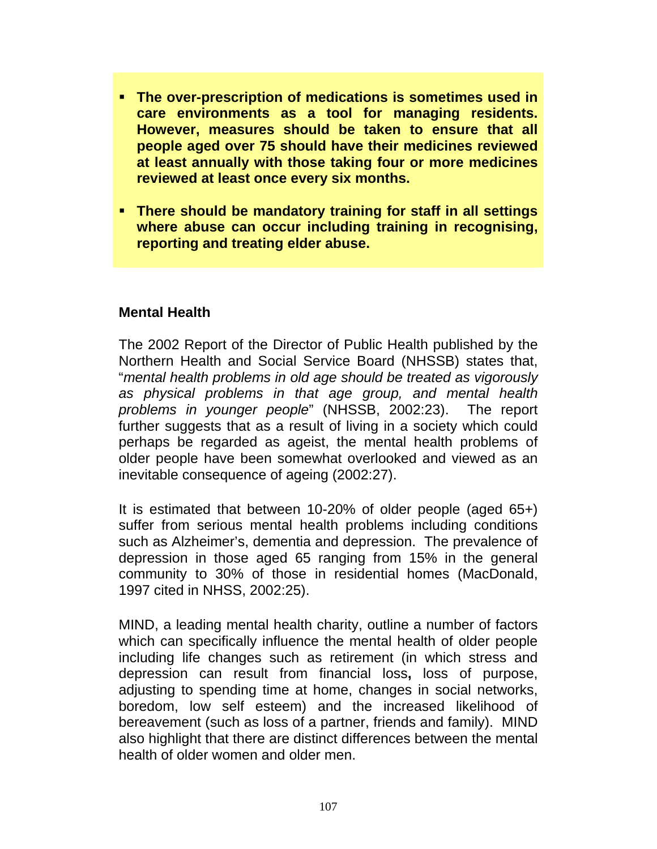- **The over-prescription of medications is sometimes used in care environments as a tool for managing residents. However, measures should be taken to ensure that all people aged over 75 should have their medicines reviewed at least annually with those taking four or more medicines reviewed at least once every six months.**
- **There should be mandatory training for staff in all settings where abuse can occur including training in recognising, reporting and treating elder abuse.**

#### **Mental Health**

The 2002 Report of the Director of Public Health published by the Northern Health and Social Service Board (NHSSB) states that, "*mental health problems in old age should be treated as vigorously as physical problems in that age group, and mental health problems in younger people*" (NHSSB, 2002:23). The report further suggests that as a result of living in a society which could perhaps be regarded as ageist, the mental health problems of older people have been somewhat overlooked and viewed as an inevitable consequence of ageing (2002:27).

It is estimated that between 10-20% of older people (aged 65+) suffer from serious mental health problems including conditions such as Alzheimer's, dementia and depression. The prevalence of depression in those aged 65 ranging from 15% in the general community to 30% of those in residential homes (MacDonald, 1997 cited in NHSS, 2002:25).

MIND, a leading mental health charity, outline a number of factors which can specifically influence the mental health of older people including life changes such as retirement (in which stress and depression can result from financial loss**,** loss of purpose, adjusting to spending time at home, changes in social networks, boredom, low self esteem) and the increased likelihood of bereavement (such as loss of a partner, friends and family). MIND also highlight that there are distinct differences between the mental health of older women and older men.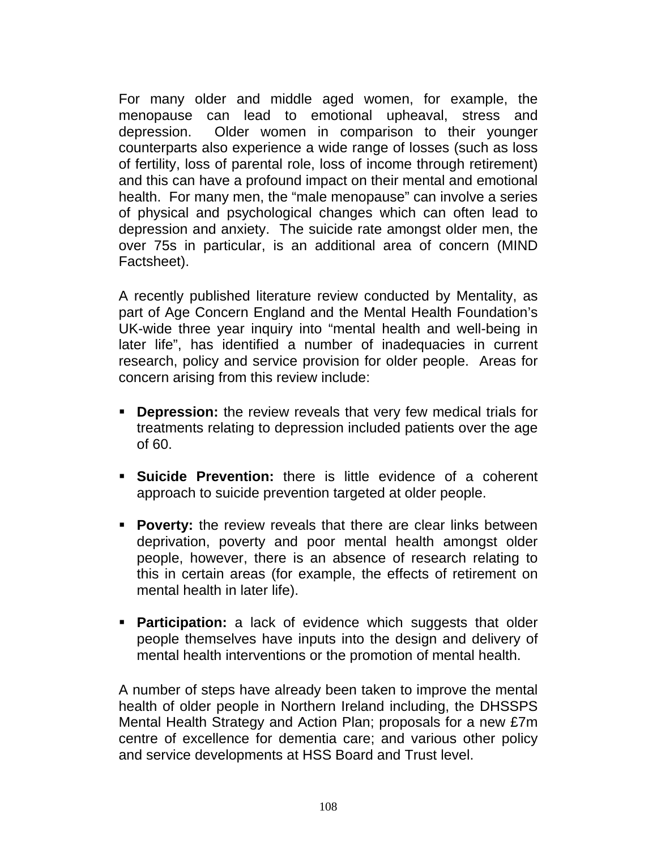For many older and middle aged women, for example, the menopause can lead to emotional upheaval, stress and depression. Older women in comparison to their younger counterparts also experience a wide range of losses (such as loss of fertility, loss of parental role, loss of income through retirement) and this can have a profound impact on their mental and emotional health. For many men, the "male menopause" can involve a series of physical and psychological changes which can often lead to depression and anxiety. The suicide rate amongst older men, the over 75s in particular, is an additional area of concern (MIND Factsheet).

A recently published literature review conducted by Mentality, as part of Age Concern England and the Mental Health Foundation's UK-wide three year inquiry into "mental health and well-being in later life", has identified a number of inadequacies in current research, policy and service provision for older people. Areas for concern arising from this review include:

- **Depression:** the review reveals that very few medical trials for treatments relating to depression included patients over the age of 60.
- **Suicide Prevention:** there is little evidence of a coherent approach to suicide prevention targeted at older people.
- **Poverty:** the review reveals that there are clear links between deprivation, poverty and poor mental health amongst older people, however, there is an absence of research relating to this in certain areas (for example, the effects of retirement on mental health in later life).
- **Participation:** a lack of evidence which suggests that older people themselves have inputs into the design and delivery of mental health interventions or the promotion of mental health.

A number of steps have already been taken to improve the mental health of older people in Northern Ireland including, the DHSSPS Mental Health Strategy and Action Plan; proposals for a new £7m centre of excellence for dementia care; and various other policy and service developments at HSS Board and Trust level.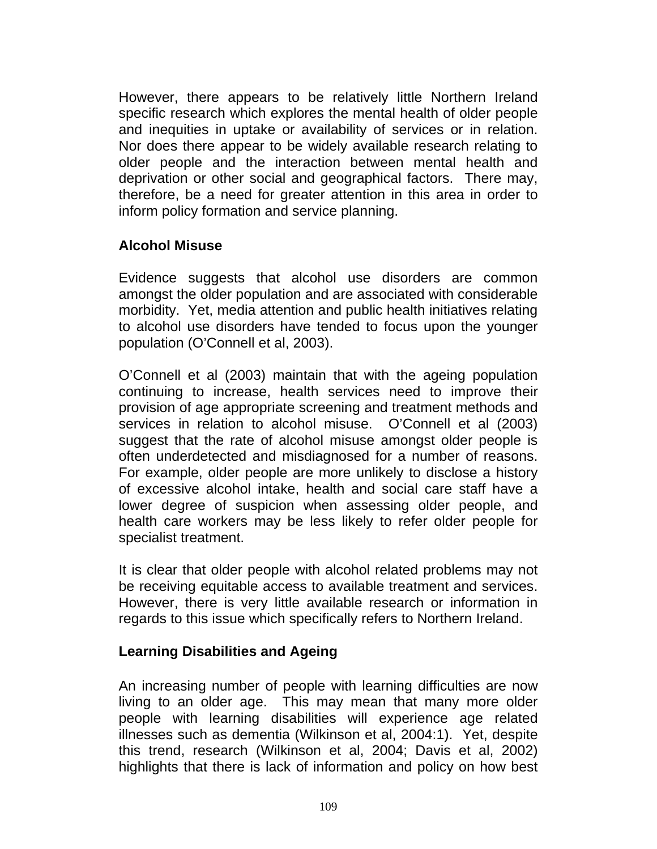However, there appears to be relatively little Northern Ireland specific research which explores the mental health of older people and inequities in uptake or availability of services or in relation. Nor does there appear to be widely available research relating to older people and the interaction between mental health and deprivation or other social and geographical factors. There may, therefore, be a need for greater attention in this area in order to inform policy formation and service planning.

### **Alcohol Misuse**

Evidence suggests that alcohol use disorders are common amongst the older population and are associated with considerable morbidity. Yet, media attention and public health initiatives relating to alcohol use disorders have tended to focus upon the younger population (O'Connell et al, 2003).

O'Connell et al (2003) maintain that with the ageing population continuing to increase, health services need to improve their provision of age appropriate screening and treatment methods and services in relation to alcohol misuse. O'Connell et al (2003) suggest that the rate of alcohol misuse amongst older people is often underdetected and misdiagnosed for a number of reasons. For example, older people are more unlikely to disclose a history of excessive alcohol intake, health and social care staff have a lower degree of suspicion when assessing older people, and health care workers may be less likely to refer older people for specialist treatment.

It is clear that older people with alcohol related problems may not be receiving equitable access to available treatment and services. However, there is very little available research or information in regards to this issue which specifically refers to Northern Ireland.

#### **Learning Disabilities and Ageing**

An increasing number of people with learning difficulties are now living to an older age. This may mean that many more older people with learning disabilities will experience age related illnesses such as dementia (Wilkinson et al, 2004:1). Yet, despite this trend, research (Wilkinson et al, 2004; Davis et al, 2002) highlights that there is lack of information and policy on how best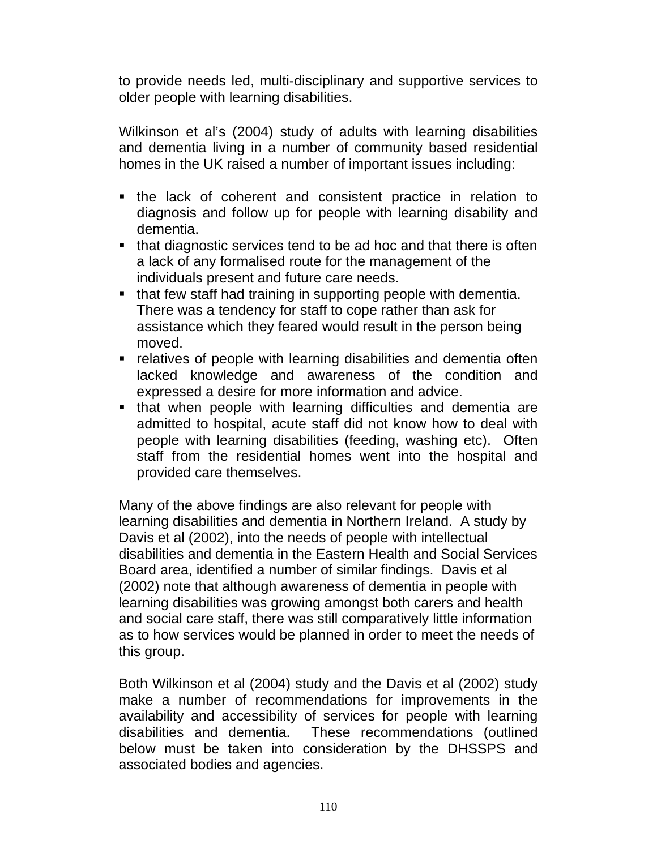to provide needs led, multi-disciplinary and supportive services to older people with learning disabilities.

Wilkinson et al's (2004) study of adults with learning disabilities and dementia living in a number of community based residential homes in the UK raised a number of important issues including:

- the lack of coherent and consistent practice in relation to diagnosis and follow up for people with learning disability and dementia.
- that diagnostic services tend to be ad hoc and that there is often a lack of any formalised route for the management of the individuals present and future care needs.
- that few staff had training in supporting people with dementia. There was a tendency for staff to cope rather than ask for assistance which they feared would result in the person being moved.
- relatives of people with learning disabilities and dementia often lacked knowledge and awareness of the condition and expressed a desire for more information and advice.
- that when people with learning difficulties and dementia are admitted to hospital, acute staff did not know how to deal with people with learning disabilities (feeding, washing etc). Often staff from the residential homes went into the hospital and provided care themselves.

Many of the above findings are also relevant for people with learning disabilities and dementia in Northern Ireland. A study by Davis et al (2002), into the needs of people with intellectual disabilities and dementia in the Eastern Health and Social Services Board area, identified a number of similar findings. Davis et al (2002) note that although awareness of dementia in people with learning disabilities was growing amongst both carers and health and social care staff, there was still comparatively little information as to how services would be planned in order to meet the needs of this group.

Both Wilkinson et al (2004) study and the Davis et al (2002) study make a number of recommendations for improvements in the availability and accessibility of services for people with learning disabilities and dementia. These recommendations (outlined below must be taken into consideration by the DHSSPS and associated bodies and agencies.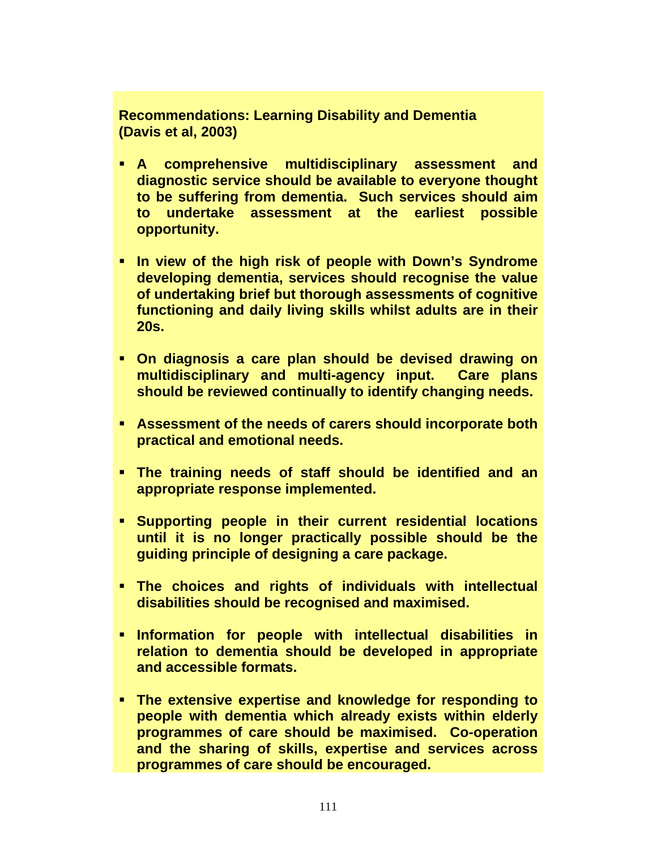**Recommendations: Learning Disability and Dementia (Davis et al, 2003)** 

- **A comprehensive multidisciplinary assessment and diagnostic service should be available to everyone thought to be suffering from dementia. Such services should aim to undertake assessment at the earliest possible opportunity.**
- **In view of the high risk of people with Down's Syndrome developing dementia, services should recognise the value of undertaking brief but thorough assessments of cognitive functioning and daily living skills whilst adults are in their 20s.**
- **On diagnosis a care plan should be devised drawing on multidisciplinary and multi-agency input. Care plans should be reviewed continually to identify changing needs.**
- **Assessment of the needs of carers should incorporate both practical and emotional needs.**
- **The training needs of staff should be identified and an appropriate response implemented.**
- **Supporting people in their current residential locations until it is no longer practically possible should be the guiding principle of designing a care package.**
- **The choices and rights of individuals with intellectual disabilities should be recognised and maximised.**
- **Information for people with intellectual disabilities in relation to dementia should be developed in appropriate and accessible formats.**
- **The extensive expertise and knowledge for responding to people with dementia which already exists within elderly programmes of care should be maximised. Co-operation and the sharing of skills, expertise and services across programmes of care should be encouraged.**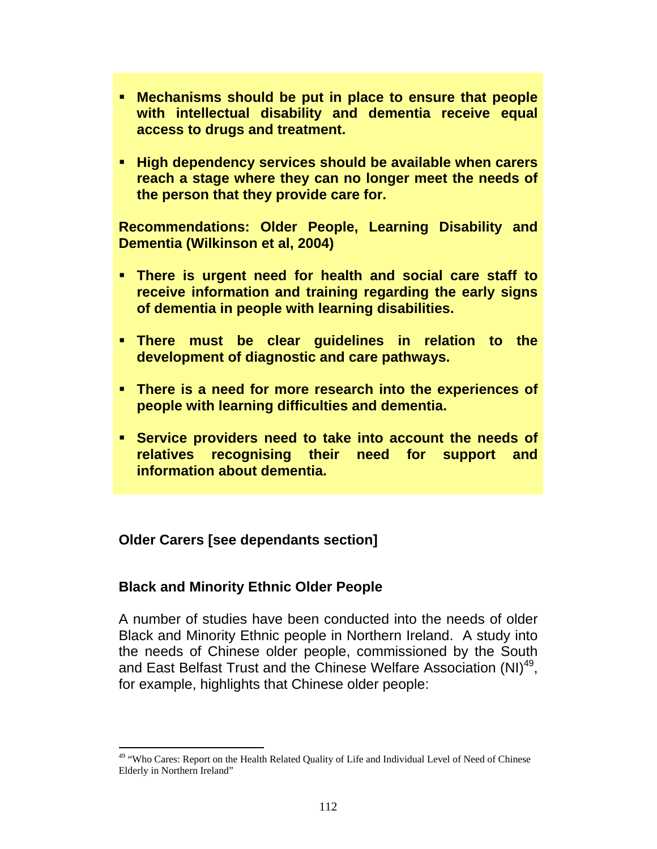- **Mechanisms should be put in place to ensure that people with intellectual disability and dementia receive equal access to drugs and treatment.**
- **High dependency services should be available when carers reach a stage where they can no longer meet the needs of the person that they provide care for.**

**Recommendations: Older People, Learning Disability and Dementia (Wilkinson et al, 2004)** 

- **There is urgent need for health and social care staff to receive information and training regarding the early signs of dementia in people with learning disabilities.**
- **There must be clear guidelines in relation to the development of diagnostic and care pathways.**
- **There is a need for more research into the experiences of people with learning difficulties and dementia.**
- **Service providers need to take into account the needs of relatives recognising their need for support and information about dementia.**

### **Older Carers [see dependants section]**

#### **Black and Minority Ethnic Older People**

A number of studies have been conducted into the needs of older Black and Minority Ethnic people in Northern Ireland. A study into the needs of Chinese older people, commissioned by the South and East Belfast Trust and the Chinese Welfare Association (NI)<sup>49</sup>, for example, highlights that Chinese older people:

l <sup>49</sup> "Who Cares: Report on the Health Related Quality of Life and Individual Level of Need of Chinese Elderly in Northern Ireland"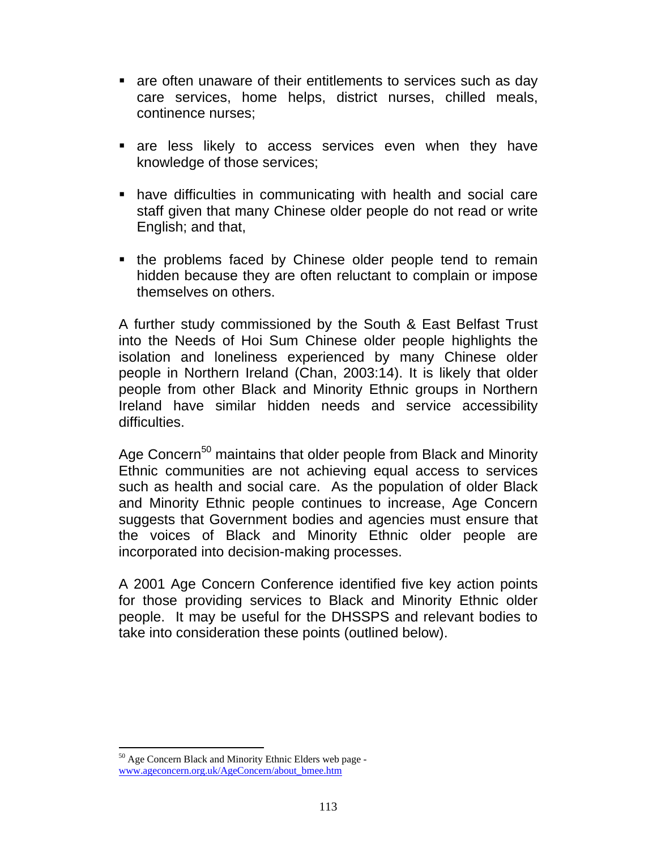- are often unaware of their entitlements to services such as day care services, home helps, district nurses, chilled meals, continence nurses;
- are less likely to access services even when they have knowledge of those services;
- have difficulties in communicating with health and social care staff given that many Chinese older people do not read or write English; and that,
- the problems faced by Chinese older people tend to remain hidden because they are often reluctant to complain or impose themselves on others.

A further study commissioned by the South & East Belfast Trust into the Needs of Hoi Sum Chinese older people highlights the isolation and loneliness experienced by many Chinese older people in Northern Ireland (Chan, 2003:14). It is likely that older people from other Black and Minority Ethnic groups in Northern Ireland have similar hidden needs and service accessibility difficulties.

Age Concern<sup>50</sup> maintains that older people from Black and Minority Ethnic communities are not achieving equal access to services such as health and social care. As the population of older Black and Minority Ethnic people continues to increase, Age Concern suggests that Government bodies and agencies must ensure that the voices of Black and Minority Ethnic older people are incorporated into decision-making processes.

A 2001 Age Concern Conference identified five key action points for those providing services to Black and Minority Ethnic older people. It may be useful for the DHSSPS and relevant bodies to take into consideration these points (outlined below).

l <sup>50</sup> Age Concern Black and Minority Ethnic Elders web page www.ageconcern.org.uk/AgeConcern/about\_bmee.htm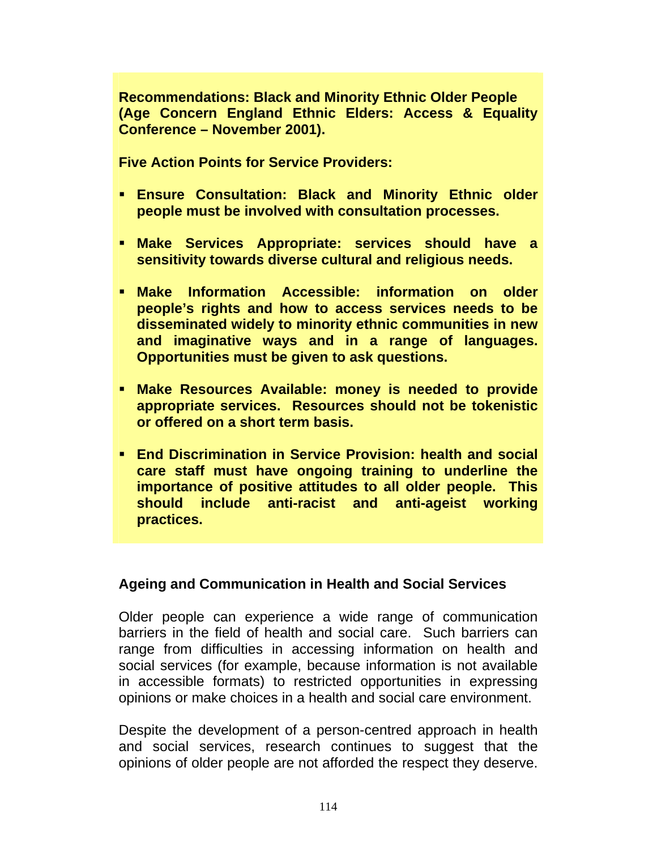**Recommendations: Black and Minority Ethnic Older People (Age Concern England Ethnic Elders: Access & Equality Conference – November 2001).** 

**Five Action Points for Service Providers:** 

- **Ensure Consultation: Black and Minority Ethnic older people must be involved with consultation processes.**
- **Make Services Appropriate: services should have a sensitivity towards diverse cultural and religious needs.**
- **Make Information Accessible: information on older people's rights and how to access services needs to be disseminated widely to minority ethnic communities in new and imaginative ways and in a range of languages. Opportunities must be given to ask questions.**
- **Make Resources Available: money is needed to provide appropriate services. Resources should not be tokenistic or offered on a short term basis.**
- **End Discrimination in Service Provision: health and social care staff must have ongoing training to underline the importance of positive attitudes to all older people. This should include anti-racist and anti-ageist working practices.**

#### **Ageing and Communication in Health and Social Services**

Older people can experience a wide range of communication barriers in the field of health and social care. Such barriers can range from difficulties in accessing information on health and social services (for example, because information is not available in accessible formats) to restricted opportunities in expressing opinions or make choices in a health and social care environment.

Despite the development of a person-centred approach in health and social services, research continues to suggest that the opinions of older people are not afforded the respect they deserve.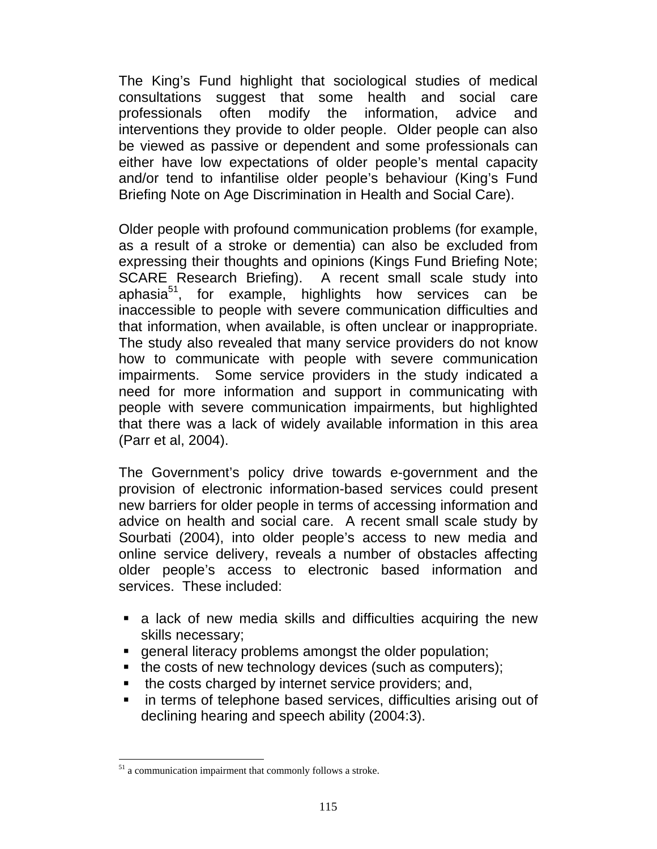The King's Fund highlight that sociological studies of medical consultations suggest that some health and social care professionals often modify the information, advice and interventions they provide to older people. Older people can also be viewed as passive or dependent and some professionals can either have low expectations of older people's mental capacity and/or tend to infantilise older people's behaviour (King's Fund Briefing Note on Age Discrimination in Health and Social Care).

Older people with profound communication problems (for example, as a result of a stroke or dementia) can also be excluded from expressing their thoughts and opinions (Kings Fund Briefing Note; SCARE Research Briefing). A recent small scale study into aphasia $5^1$ , for example, highlights how services can be inaccessible to people with severe communication difficulties and that information, when available, is often unclear or inappropriate. The study also revealed that many service providers do not know how to communicate with people with severe communication impairments. Some service providers in the study indicated a need for more information and support in communicating with people with severe communication impairments, but highlighted that there was a lack of widely available information in this area (Parr et al, 2004).

The Government's policy drive towards e-government and the provision of electronic information-based services could present new barriers for older people in terms of accessing information and advice on health and social care. A recent small scale study by Sourbati (2004), into older people's access to new media and online service delivery, reveals a number of obstacles affecting older people's access to electronic based information and services. These included:

- a lack of new media skills and difficulties acquiring the new skills necessary;
- general literacy problems amongst the older population;
- $\blacksquare$  the costs of new technology devices (such as computers);
- the costs charged by internet service providers; and,
- **F** in terms of telephone based services, difficulties arising out of declining hearing and speech ability (2004:3).

l  $51$  a communication impairment that commonly follows a stroke.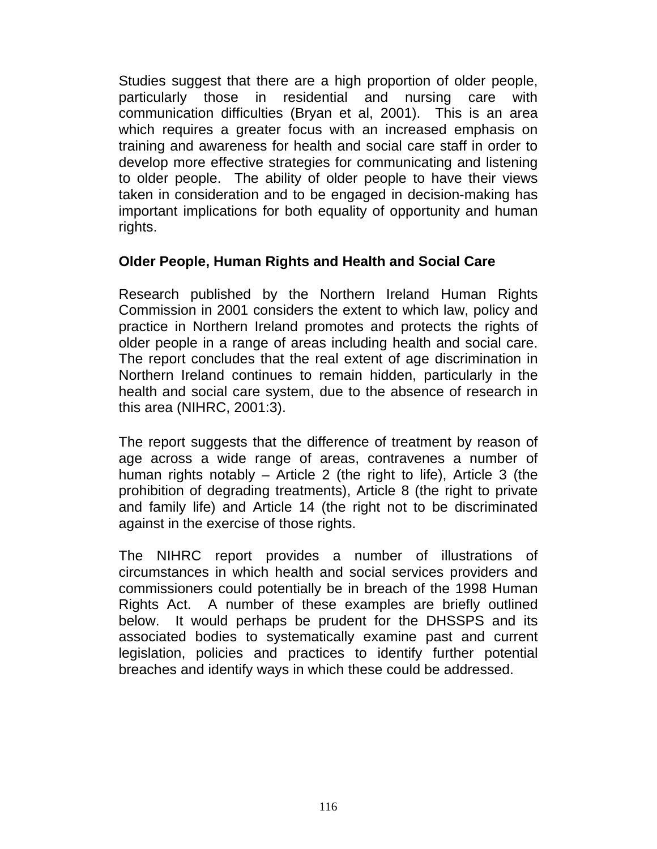Studies suggest that there are a high proportion of older people, particularly those in residential and nursing care with communication difficulties (Bryan et al, 2001). This is an area which requires a greater focus with an increased emphasis on training and awareness for health and social care staff in order to develop more effective strategies for communicating and listening to older people. The ability of older people to have their views taken in consideration and to be engaged in decision-making has important implications for both equality of opportunity and human rights.

### **Older People, Human Rights and Health and Social Care**

Research published by the Northern Ireland Human Rights Commission in 2001 considers the extent to which law, policy and practice in Northern Ireland promotes and protects the rights of older people in a range of areas including health and social care. The report concludes that the real extent of age discrimination in Northern Ireland continues to remain hidden, particularly in the health and social care system, due to the absence of research in this area (NIHRC, 2001:3).

The report suggests that the difference of treatment by reason of age across a wide range of areas, contravenes a number of human rights notably – Article 2 (the right to life), Article 3 (the prohibition of degrading treatments), Article 8 (the right to private and family life) and Article 14 (the right not to be discriminated against in the exercise of those rights.

The NIHRC report provides a number of illustrations of circumstances in which health and social services providers and commissioners could potentially be in breach of the 1998 Human Rights Act. A number of these examples are briefly outlined below. It would perhaps be prudent for the DHSSPS and its associated bodies to systematically examine past and current legislation, policies and practices to identify further potential breaches and identify ways in which these could be addressed.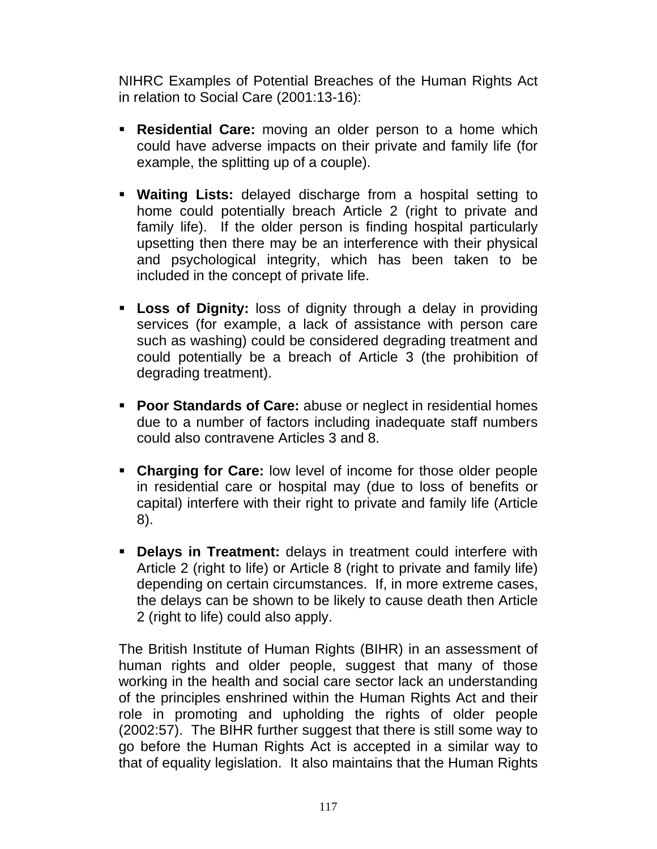NIHRC Examples of Potential Breaches of the Human Rights Act in relation to Social Care (2001:13-16):

- **Residential Care:** moving an older person to a home which could have adverse impacts on their private and family life (for example, the splitting up of a couple).
- **Waiting Lists:** delayed discharge from a hospital setting to home could potentially breach Article 2 (right to private and family life). If the older person is finding hospital particularly upsetting then there may be an interference with their physical and psychological integrity, which has been taken to be included in the concept of private life.
- **Loss of Dignity:** loss of dignity through a delay in providing services (for example, a lack of assistance with person care such as washing) could be considered degrading treatment and could potentially be a breach of Article 3 (the prohibition of degrading treatment).
- **Poor Standards of Care:** abuse or neglect in residential homes due to a number of factors including inadequate staff numbers could also contravene Articles 3 and 8.
- **Charging for Care:** low level of income for those older people in residential care or hospital may (due to loss of benefits or capital) interfere with their right to private and family life (Article 8).
- **Delays in Treatment:** delays in treatment could interfere with Article 2 (right to life) or Article 8 (right to private and family life) depending on certain circumstances. If, in more extreme cases, the delays can be shown to be likely to cause death then Article 2 (right to life) could also apply.

The British Institute of Human Rights (BIHR) in an assessment of human rights and older people, suggest that many of those working in the health and social care sector lack an understanding of the principles enshrined within the Human Rights Act and their role in promoting and upholding the rights of older people (2002:57). The BIHR further suggest that there is still some way to go before the Human Rights Act is accepted in a similar way to that of equality legislation. It also maintains that the Human Rights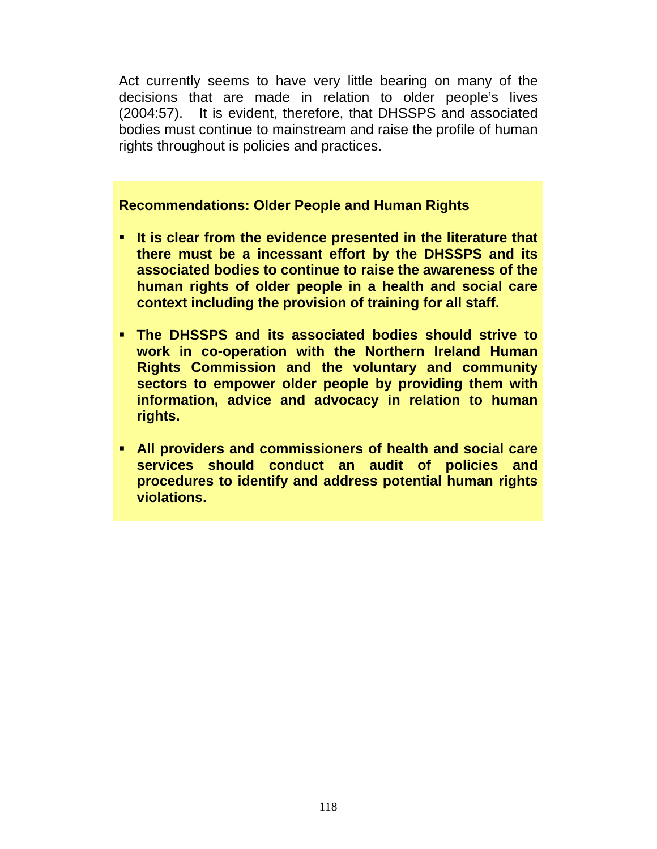Act currently seems to have very little bearing on many of the decisions that are made in relation to older people's lives (2004:57). It is evident, therefore, that DHSSPS and associated bodies must continue to mainstream and raise the profile of human rights throughout is policies and practices.

#### **Recommendations: Older People and Human Rights**

- **It is clear from the evidence presented in the literature that there must be a incessant effort by the DHSSPS and its associated bodies to continue to raise the awareness of the human rights of older people in a health and social care context including the provision of training for all staff.**
- **The DHSSPS and its associated bodies should strive to work in co-operation with the Northern Ireland Human Rights Commission and the voluntary and community sectors to empower older people by providing them with information, advice and advocacy in relation to human rights.**
- **All providers and commissioners of health and social care services should conduct an audit of policies and procedures to identify and address potential human rights violations.**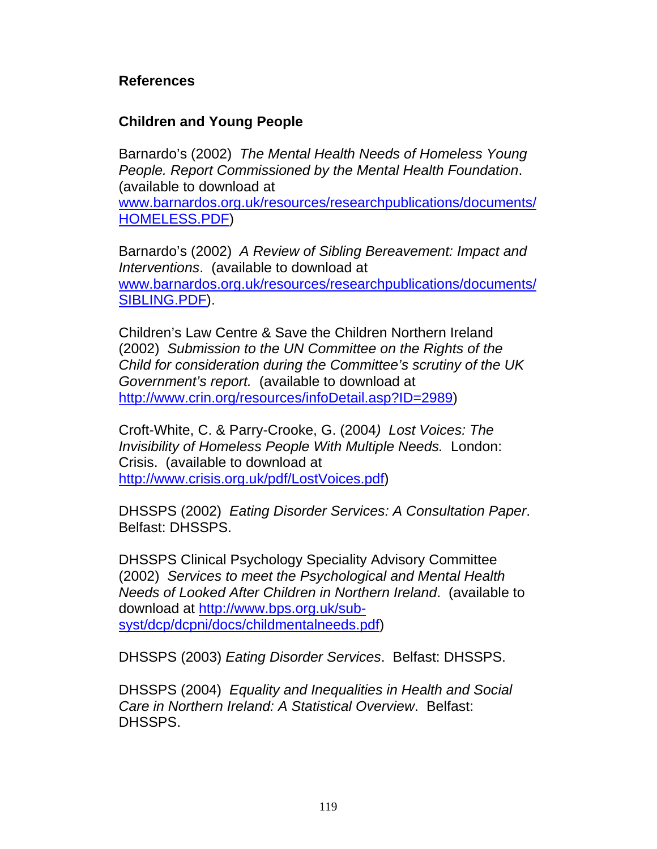### **References**

#### **Children and Young People**

Barnardo's (2002) *The Mental Health Needs of Homeless Young People. Report Commissioned by the Mental Health Foundation*. (available to download at

www.barnardos.org.uk/resources/researchpublications/documents/ HOMELESS.PDF)

Barnardo's (2002) *A Review of Sibling Bereavement: Impact and Interventions*. (available to download at www.barnardos.org.uk/resources/researchpublications/documents/ SIBLING.PDF).

Children's Law Centre & Save the Children Northern Ireland (2002) *Submission to the UN Committee on the Rights of the Child for consideration during the Committee's scrutiny of the UK Government's report.* (available to download at http://www.crin.org/resources/infoDetail.asp?ID=2989)

Croft-White, C. & Parry-Crooke, G. (2004*) Lost Voices: The Invisibility of Homeless People With Multiple Needs.* London: Crisis. (available to download at http://www.crisis.org.uk/pdf/LostVoices.pdf)

DHSSPS (2002) *Eating Disorder Services: A Consultation Paper*. Belfast: DHSSPS.

DHSSPS Clinical Psychology Speciality Advisory Committee (2002) *Services to meet the Psychological and Mental Health Needs of Looked After Children in Northern Ireland*. (available to download at http://www.bps.org.uk/subsyst/dcp/dcpni/docs/childmentalneeds.pdf)

DHSSPS (2003) *Eating Disorder Services*. Belfast: DHSSPS.

DHSSPS (2004) *Equality and Inequalities in Health and Social Care in Northern Ireland: A Statistical Overview*. Belfast: DHSSPS.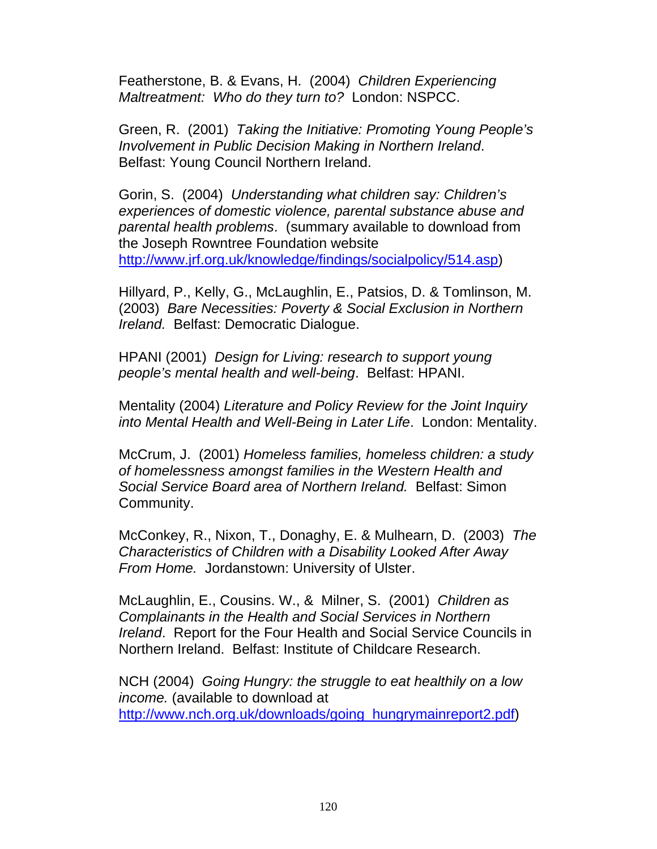Featherstone, B. & Evans, H. (2004) *Children Experiencing Maltreatment: Who do they turn to?* London: NSPCC.

Green, R. (2001) *Taking the Initiative: Promoting Young People's Involvement in Public Decision Making in Northern Ireland*. Belfast: Young Council Northern Ireland.

Gorin, S. (2004) *Understanding what children say: Children's experiences of domestic violence, parental substance abuse and parental health problems*. (summary available to download from the Joseph Rowntree Foundation website http://www.jrf.org.uk/knowledge/findings/socialpolicy/514.asp)

Hillyard, P., Kelly, G., McLaughlin, E., Patsios, D. & Tomlinson, M. (2003) *Bare Necessities: Poverty & Social Exclusion in Northern Ireland.* Belfast: Democratic Dialogue.

HPANI (2001) *Design for Living: research to support young people's mental health and well-being*. Belfast: HPANI.

Mentality (2004) *Literature and Policy Review for the Joint Inquiry into Mental Health and Well-Being in Later Life*. London: Mentality.

McCrum, J. (2001) *Homeless families, homeless children: a study of homelessness amongst families in the Western Health and Social Service Board area of Northern Ireland.* Belfast: Simon Community.

McConkey, R., Nixon, T., Donaghy, E. & Mulhearn, D. (2003) *The Characteristics of Children with a Disability Looked After Away From Home.* Jordanstown: University of Ulster.

McLaughlin, E., Cousins. W., & Milner, S. (2001) *Children as Complainants in the Health and Social Services in Northern Ireland*. Report for the Four Health and Social Service Councils in Northern Ireland. Belfast: Institute of Childcare Research.

NCH (2004) *Going Hungry: the struggle to eat healthily on a low income.* (available to download at http://www.nch.org.uk/downloads/going\_hungrymainreport2.pdf)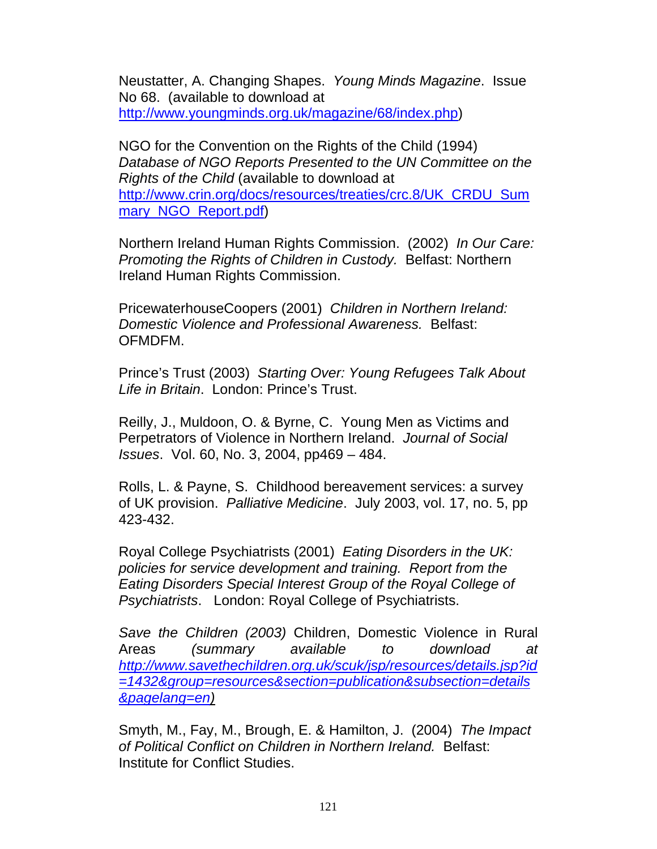Neustatter, A. Changing Shapes. *Young Minds Magazine*. Issue No 68. (available to download at http://www.youngminds.org.uk/magazine/68/index.php)

NGO for the Convention on the Rights of the Child (1994) *Database of NGO Reports Presented to the UN Committee on the Rights of the Child* (available to download at http://www.crin.org/docs/resources/treaties/crc.8/UK\_CRDU\_Sum mary NGO Report.pdf)

Northern Ireland Human Rights Commission. (2002) *In Our Care: Promoting the Rights of Children in Custody.* Belfast: Northern Ireland Human Rights Commission.

PricewaterhouseCoopers (2001) *Children in Northern Ireland: Domestic Violence and Professional Awareness.* Belfast: OFMDFM.

Prince's Trust (2003) *Starting Over: Young Refugees Talk About Life in Britain*. London: Prince's Trust.

Reilly, J., Muldoon, O. & Byrne, C. Young Men as Victims and Perpetrators of Violence in Northern Ireland. *Journal of Social Issues*. Vol. 60, No. 3, 2004, pp469 – 484.

Rolls, L. & Payne, S. Childhood bereavement services: a survey of UK provision. *Palliative Medicine*. July 2003, vol. 17, no. 5, pp 423-432.

Royal College Psychiatrists (2001) *Eating Disorders in the UK: policies for service development and training. Report from the Eating Disorders Special Interest Group of the Royal College of Psychiatrists*. London: Royal College of Psychiatrists.

*Save the Children (2003)* Children, Domestic Violence in Rural Areas *(summary available to download at http://www.savethechildren.org.uk/scuk/jsp/resources/details.jsp?id =1432&group=resources&section=publication&subsection=details &pagelang=en)*

Smyth, M., Fay, M., Brough, E. & Hamilton, J. (2004) *The Impact of Political Conflict on Children in Northern Ireland.* Belfast: Institute for Conflict Studies.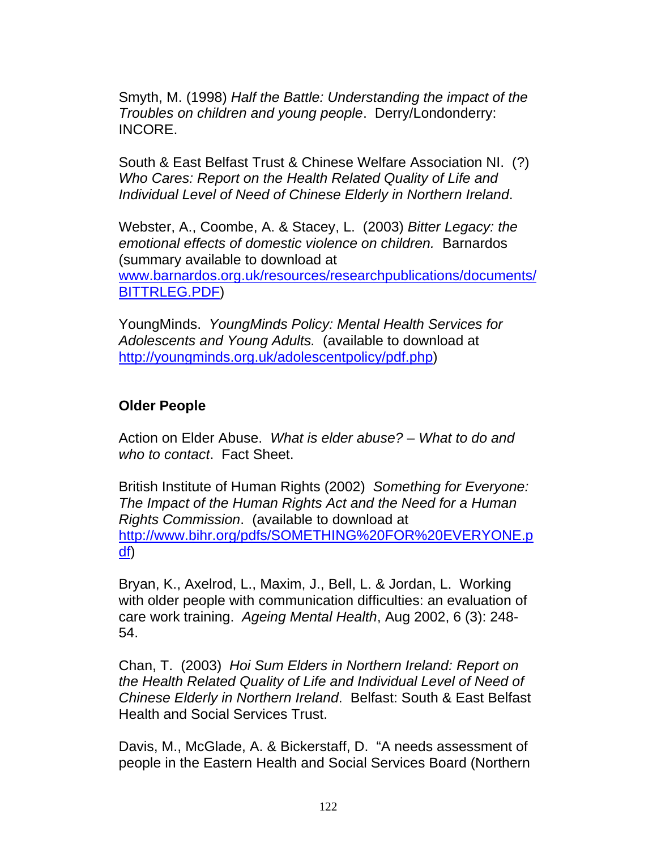Smyth, M. (1998) *Half the Battle: Understanding the impact of the Troubles on children and young people*. Derry/Londonderry: INCORE.

South & East Belfast Trust & Chinese Welfare Association NI. (?) *Who Cares: Report on the Health Related Quality of Life and Individual Level of Need of Chinese Elderly in Northern Ireland*.

Webster, A., Coombe, A. & Stacey, L. (2003) *Bitter Legacy: the emotional effects of domestic violence on children.* Barnardos (summary available to download at www.barnardos.org.uk/resources/researchpublications/documents/ BITTRLEG.PDF)

YoungMinds. *YoungMinds Policy: Mental Health Services for Adolescents and Young Adults.* (available to download at http://youngminds.org.uk/adolescentpolicy/pdf.php)

### **Older People**

Action on Elder Abuse. *What is elder abuse? – What to do and who to contact*. Fact Sheet.

British Institute of Human Rights (2002) *Something for Everyone: The Impact of the Human Rights Act and the Need for a Human Rights Commission*. (available to download at http://www.bihr.org/pdfs/SOMETHING%20FOR%20EVERYONE.p df)

Bryan, K., Axelrod, L., Maxim, J., Bell, L. & Jordan, L. Working with older people with communication difficulties: an evaluation of care work training. *Ageing Mental Health*, Aug 2002, 6 (3): 248- 54.

Chan, T. (2003) *Hoi Sum Elders in Northern Ireland: Report on the Health Related Quality of Life and Individual Level of Need of Chinese Elderly in Northern Ireland*. Belfast: South & East Belfast Health and Social Services Trust.

Davis, M., McGlade, A. & Bickerstaff, D. "A needs assessment of people in the Eastern Health and Social Services Board (Northern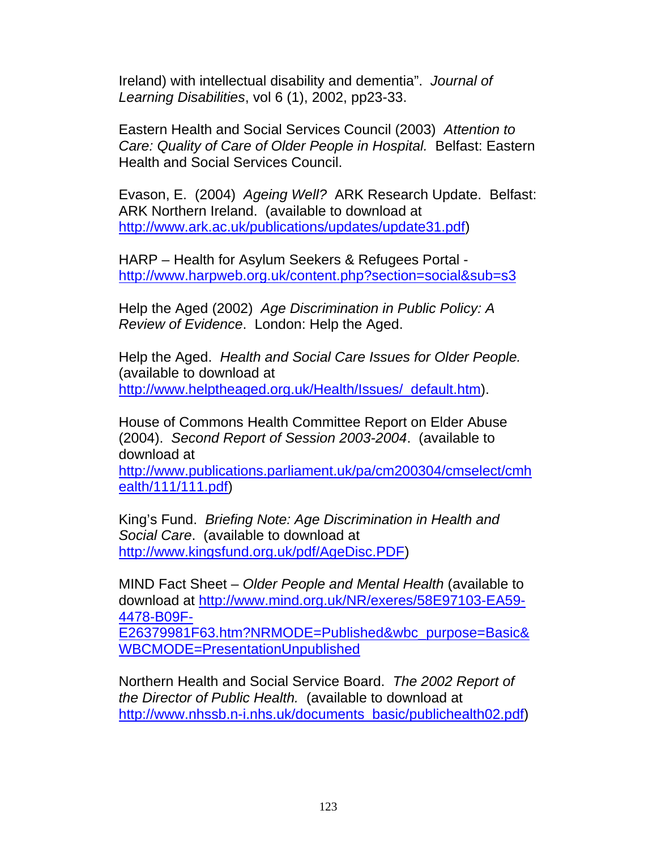Ireland) with intellectual disability and dementia". *Journal of Learning Disabilities*, vol 6 (1), 2002, pp23-33.

Eastern Health and Social Services Council (2003) *Attention to Care: Quality of Care of Older People in Hospital.* Belfast: Eastern Health and Social Services Council.

Evason, E. (2004) *Ageing Well?* ARK Research Update. Belfast: ARK Northern Ireland. (available to download at http://www.ark.ac.uk/publications/updates/update31.pdf)

HARP – Health for Asylum Seekers & Refugees Portal http://www.harpweb.org.uk/content.php?section=social&sub=s3

Help the Aged (2002) *Age Discrimination in Public Policy: A Review of Evidence*. London: Help the Aged.

Help the Aged. *Health and Social Care Issues for Older People.* (available to download at http://www.helptheaged.org.uk/Health/Issues/\_default.htm).

House of Commons Health Committee Report on Elder Abuse (2004). *Second Report of Session 2003-2004*. (available to download at

http://www.publications.parliament.uk/pa/cm200304/cmselect/cmh ealth/111/111.pdf)

King's Fund. *Briefing Note: Age Discrimination in Health and Social Care*. (available to download at http://www.kingsfund.org.uk/pdf/AgeDisc.PDF)

MIND Fact Sheet – *Older People and Mental Health* (available to download at http://www.mind.org.uk/NR/exeres/58E97103-EA59- 4478-B09F-

E26379981F63.htm?NRMODE=Published&wbc\_purpose=Basic& WBCMODE=PresentationUnpublished

Northern Health and Social Service Board. *The 2002 Report of the Director of Public Health.* (available to download at http://www.nhssb.n-i.nhs.uk/documents\_basic/publichealth02.pdf)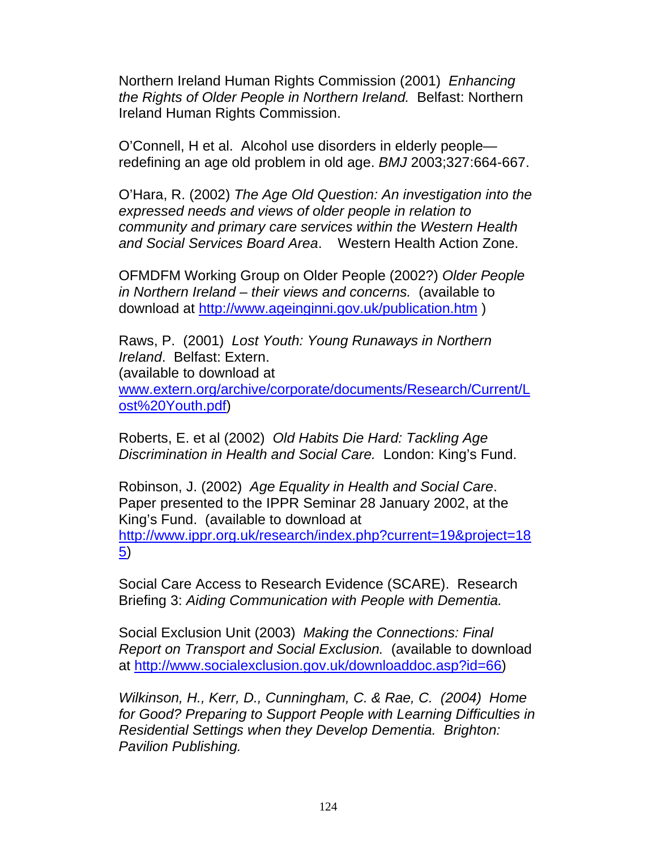Northern Ireland Human Rights Commission (2001) *Enhancing the Rights of Older People in Northern Ireland.* Belfast: Northern Ireland Human Rights Commission.

O'Connell, H et al. Alcohol use disorders in elderly people redefining an age old problem in old age. *BMJ* 2003;327:664-667.

O'Hara, R. (2002) *The Age Old Question: An investigation into the expressed needs and views of older people in relation to community and primary care services within the Western Health and Social Services Board Area*. Western Health Action Zone.

OFMDFM Working Group on Older People (2002?) *Older People in Northern Ireland – their views and concerns.* (available to download at http://www.ageinginni.gov.uk/publication.htm )

Raws, P. (2001) *Lost Youth: Young Runaways in Northern Ireland*. Belfast: Extern. (available to download at www.extern.org/archive/corporate/documents/Research/Current/L ost%20Youth.pdf)

Roberts, E. et al (2002) *Old Habits Die Hard: Tackling Age Discrimination in Health and Social Care.* London: King's Fund.

Robinson, J. (2002) *Age Equality in Health and Social Care*. Paper presented to the IPPR Seminar 28 January 2002, at the King's Fund. (available to download at http://www.ippr.org.uk/research/index.php?current=19&project=18 5)

Social Care Access to Research Evidence (SCARE). Research Briefing 3: *Aiding Communication with People with Dementia.* 

Social Exclusion Unit (2003) *Making the Connections: Final Report on Transport and Social Exclusion.* (available to download at http://www.socialexclusion.gov.uk/downloaddoc.asp?id=66)

*Wilkinson, H., Kerr, D., Cunningham, C. & Rae, C. (2004) Home for Good? Preparing to Support People with Learning Difficulties in Residential Settings when they Develop Dementia. Brighton: Pavilion Publishing.*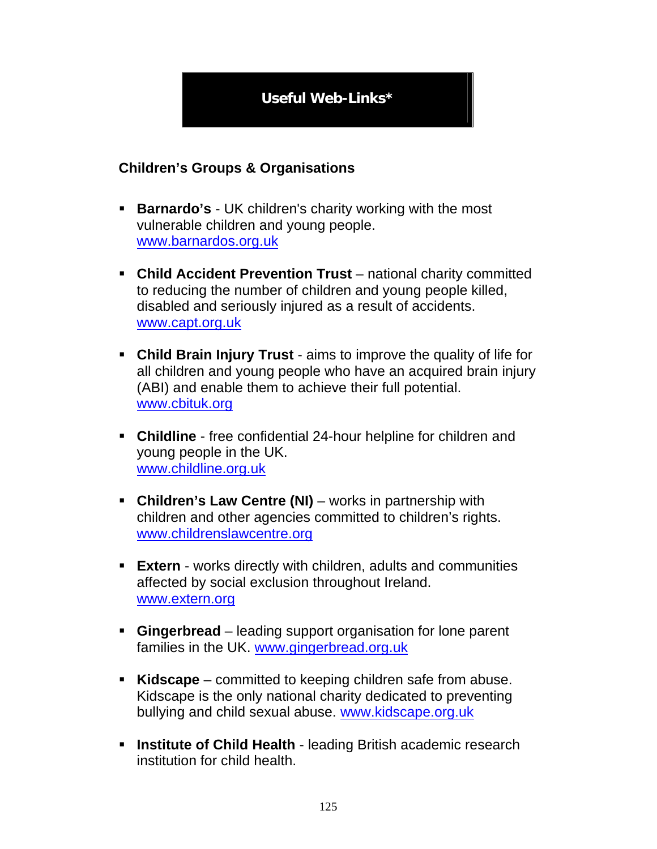# **Useful Web-Links\***

## **Children's Groups & Organisations**

- **Barnardo's** UK children's charity working with the most vulnerable children and young people. www.barnardos.org.uk
- **Child Accident Prevention Trust** national charity committed to reducing the number of children and young people killed, disabled and seriously injured as a result of accidents. www.capt.org.uk
- **Child Brain Injury Trust** aims to improve the quality of life for all children and young people who have an acquired brain injury (ABI) and enable them to achieve their full potential. www.cbituk.org
- **Childline** free confidential 24-hour helpline for children and young people in the UK. www.childline.org.uk
- **Children's Law Centre (NI)** works in partnership with children and other agencies committed to children's rights. www.childrenslawcentre.org
- **Extern**  works directly with children, adults and communities affected by social exclusion throughout Ireland. www.extern.org
- **Gingerbread** leading support organisation for lone parent families in the UK. www.gingerbread.org.uk
- **Kidscape** committed to keeping children safe from abuse. Kidscape is the only national charity dedicated to preventing bullying and child sexual abuse. www.kidscape.org.uk
- **Institute of Child Health** leading British academic research institution for child health.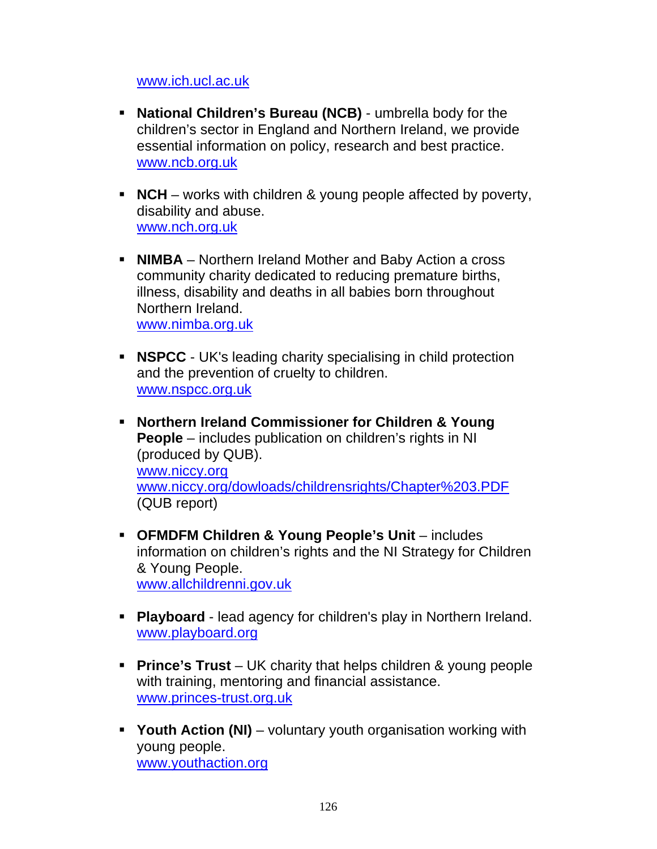#### www.ich.ucl.ac.uk

- **National Children's Bureau (NCB)** umbrella body for the children's sector in England and Northern Ireland, we provide essential information on policy, research and best practice. www.ncb.org.uk
- **NCH** works with children & young people affected by poverty, disability and abuse. www.nch.org.uk
- **NIMBA** Northern Ireland Mother and Baby Action a cross community charity dedicated to reducing premature births, illness, disability and deaths in all babies born throughout Northern Ireland. www.nimba.org.uk
- **NSPCC** UK's leading charity specialising in child protection and the prevention of cruelty to children. www.nspcc.org.uk
- **Northern Ireland Commissioner for Children & Young People** – includes publication on children's rights in NI (produced by QUB). www.niccy.org www.niccy.org/dowloads/childrensrights/Chapter%203.PDF (QUB report)
- **OFMDFM Children & Young People's Unit** includes information on children's rights and the NI Strategy for Children & Young People. www.allchildrenni.gov.uk
- **Playboard** lead agency for children's play in Northern Ireland. www.playboard.org
- **Prince's Trust** UK charity that helps children & young people with training, mentoring and financial assistance. www.princes-trust.org.uk
- **Youth Action (NI)** voluntary youth organisation working with young people. www.youthaction.org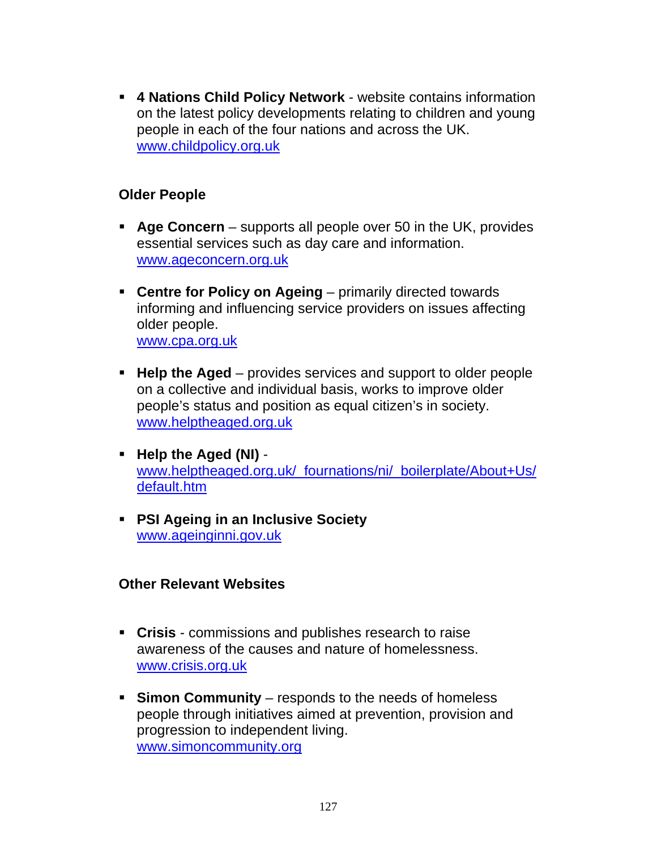**4 Nations Child Policy Network** - website contains information on the latest policy developments relating to children and young people in each of the four nations and across the UK. www.childpolicy.org.uk

### **Older People**

- **Age Concern** supports all people over 50 in the UK, provides essential services such as day care and information. www.ageconcern.org.uk
- **Centre for Policy on Ageing** primarily directed towards informing and influencing service providers on issues affecting older people. www.cpa.org.uk
- **Help the Aged** provides services and support to older people on a collective and individual basis, works to improve older people's status and position as equal citizen's in society. www.helptheaged.org.uk
- **Help the Aged (NI)** www.helptheaged.org.uk/\_fournations/ni/\_boilerplate/About+Us/ default.htm
- **PSI Ageing in an Inclusive Society** www.ageinginni.gov.uk

### **Other Relevant Websites**

- **Crisis** commissions and publishes research to raise awareness of the causes and nature of homelessness. www.crisis.org.uk
- **Simon Community** responds to the needs of homeless people through initiatives aimed at prevention, provision and progression to independent living. www.simoncommunity.org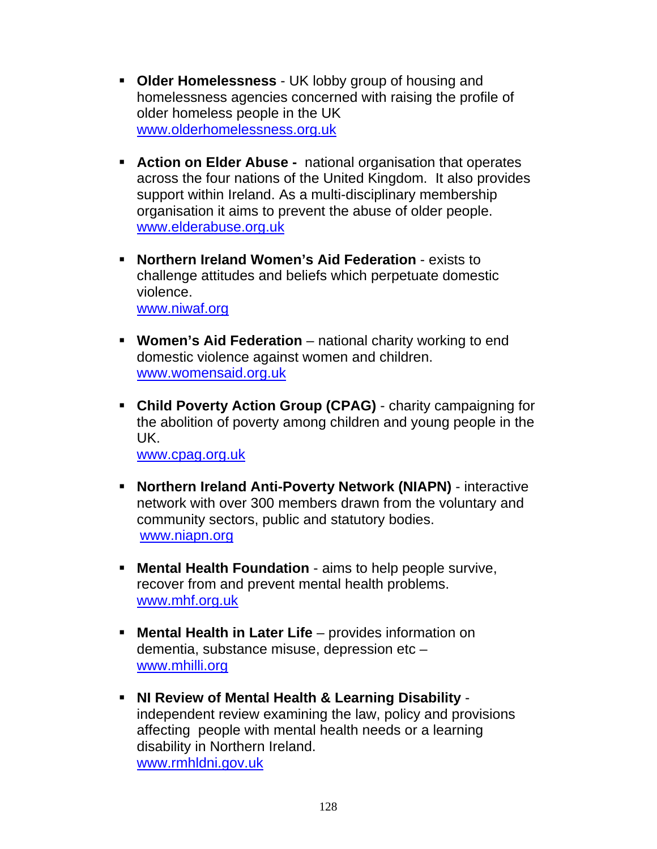- **Older Homelessness** UK lobby group of housing and homelessness agencies concerned with raising the profile of older homeless people in the UK www.olderhomelessness.org.uk
- **Action on Elder Abuse -** national organisation that operates across the four nations of the United Kingdom. It also provides support within Ireland. As a multi-disciplinary membership organisation it aims to prevent the abuse of older people. www.elderabuse.org.uk
- **Northern Ireland Women's Aid Federation** exists to challenge attitudes and beliefs which perpetuate domestic violence. www.niwaf.org
- **Women's Aid Federation** national charity working to end domestic violence against women and children. www.womensaid.org.uk
- **Child Poverty Action Group (CPAG)** charity campaigning for the abolition of poverty among children and young people in the UK.

www.cpag.org.uk

- **Northern Ireland Anti-Poverty Network (NIAPN)** interactive network with over 300 members drawn from the voluntary and community sectors, public and statutory bodies. www.niapn.org
- **Mental Health Foundation** aims to help people survive, recover from and prevent mental health problems. www.mhf.org.uk
- **Mental Health in Later Life** provides information on dementia, substance misuse, depression etc – www.mhilli.org
- **NI Review of Mental Health & Learning Disability** independent review examining the law, policy and provisions affecting people with mental health needs or a learning disability in Northern Ireland. www.rmhldni.gov.uk